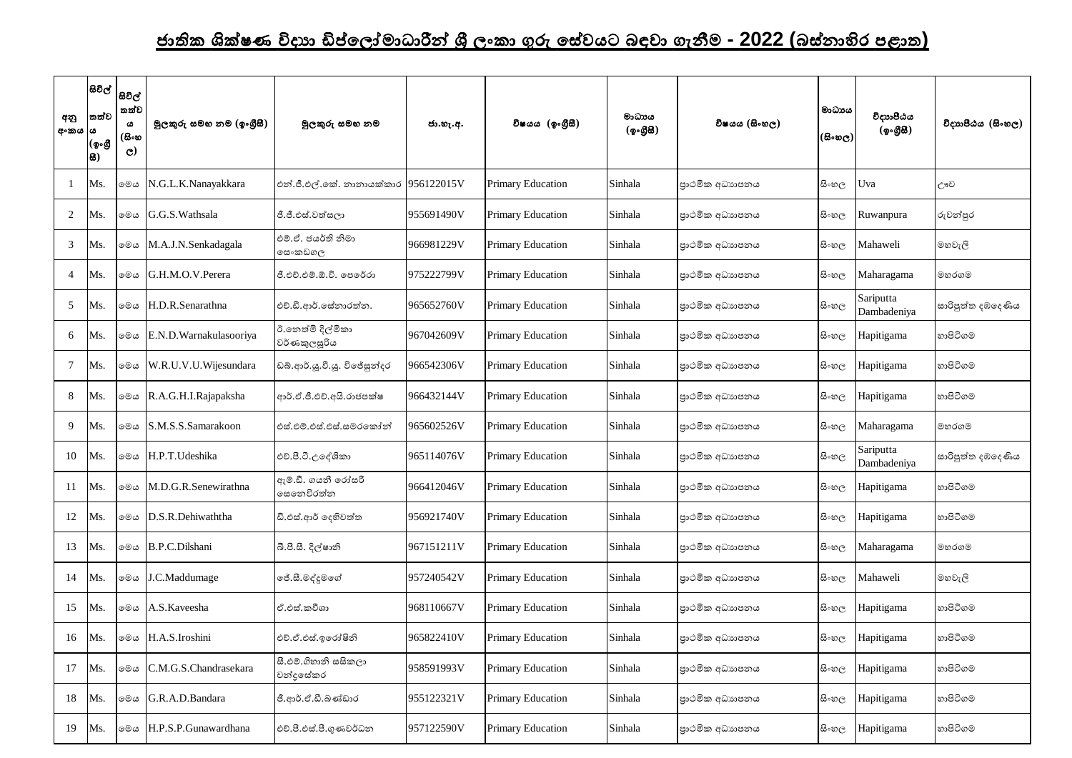## <u>ජාතික ශික්ෂණ විදාහ ඩිප්ලෝමාධාරීන් ශී ලංකා ගුරු සේවයට බඳවා ගැනීම - 2022 (බස්නාහිර පළාත)</u>

| අනු<br>අංකය ය  | තත්ව<br> (စွ•စ္သီ<br> 8) | සිවිල්  <br>සවිල්  <br>තත්ව<br>ය<br>(සිංහ<br>$\mathbf{C}$ | මූලකුරු සමහ නම (ඉංගීුසී) | මුලකුරු සමහ නම                        | ජා.හැ.අ.   | විෂයය (ඉංගීුසී)          | මාධායය<br>(ඉංගීසී) | විෂයය (සිංහල)  | මාධාපය<br> (සිංහල) | විදාාාපීඨය<br>(ඉංගීසී)   | විදාහපීඨය (සිංහල) |
|----------------|--------------------------|-----------------------------------------------------------|--------------------------|---------------------------------------|------------|--------------------------|--------------------|----------------|--------------------|--------------------------|-------------------|
|                | Ms.                      | මෙය                                                       | N.G.L.K.Nanayakkara      | එන්.ජී.එල්.කේ. නානායක්කාර  956122015V |            | <b>Primary Education</b> | Sinhala            | පාථමික අධාහපනය | සි∘හල              | Uva                      | ඌව                |
| 2              | Ms.                      | මෙය                                                       | G.G.S. Wathsala          | ජී.ජී.එස්.වත්සලා                      | 955691490V | <b>Primary Education</b> | Sinhala            | පාථමික අධාහපනය | සිංහල              | Ruwanpura                | රුවන්පුර          |
| $\mathfrak{Z}$ | Ms.                      | මෙය                                                       | M.A.J.N.Senkadagala      | එම්.ඒ. ජයර්ති නිමා<br>මස∘කඩගල         | 966981229V | <b>Primary Education</b> | Sinhala            | පාථමික අධාහපනය | සි∘හල              | Mahaweli                 | මහවැලි            |
| $\overline{4}$ | Ms.                      | මෙය                                                       | G.H.M.O.V.Perera         | ජී.එච්.එම්.ඕ.වි. පෙරේරා               | 975222799V | <b>Primary Education</b> | Sinhala            | පාථමික අධාහපනය | සි∘හල              | Maharagama               | මහරගම             |
| 5              | Ms.                      | මෙය                                                       | H.D.R.Senarathna         | එච්.ඩී.ආර්.සේනාරත්න.                  | 965652760V | <b>Primary Education</b> | Sinhala            | පාථමික අධාහපනය | සි∘හල              | Sariputta<br>Dambadeniya | සාරිපුත්ත දඹදෙණිය |
| 6              | Ms.                      | මෙය                                                       | E.N.D. Warnakulasooriya  | ඊ.නෙත්මි දිල්මිකා<br> වර්ණකුලසූරිය    | 967042609V | <b>Primary Education</b> | Sinhala            | පාථමික අධාහපනය | සි∘හල              | Hapitigama               | හාපිටිගම          |
| $\tau$         | Ms.                      | මෙය                                                       | W.R.U.V.U.Wijesundara    | ඩබ්.ආර්.ශූ.වී.ශූ. විජේසුන්දර          | 966542306V | <b>Primary Education</b> | Sinhala            | පාථමික අධාහපනය | සි∘හල              | Hapitigama               | හාපිටිගම          |
| 8              | Ms.                      | මෙය                                                       | R.A.G.H.I.Rajapaksha     | ආර්.ඒ.ජී.එච්.අයි.රාජපක්ෂ              | 966432144V | <b>Primary Education</b> | Sinhala            | පාථමික අධාහපනය | සි∘හල              | Hapitigama               | හාපිටිගම          |
| 9              | Ms.                      | මෙය                                                       | S.M.S.S.Samarakoon       | එස්.එම්.එස්.එස්.සමරකෝන්               | 965602526V | <b>Primary Education</b> | Sinhala            | පාථමික අධාහපනය | සිංහල              | Maharagama               | මහරගම             |
| 10             | Ms.                      | මෙය                                                       | H.P.T.Udeshika           | එච්.පී.ටී.උදේශිකා                     | 965114076V | <b>Primary Education</b> | Sinhala            | පාථමික අධාහපනය | සි∘හල              | Sariputta<br>Dambadeniya | සාරිපුත්ත දඹදෙණිය |
| 11             | Ms.                      | මෙය                                                       | M.D.G.R.Senewirathna     | ඇම්.ඩී. ගයනී රෝසරී<br>෧සතෙවිරත්න      | 966412046V | <b>Primary Education</b> | Sinhala            | පාථමික අධාහපනය | සි∘හල              | Hapitigama               | හාපිටිගම          |
| 12             | Ms.                      | මෙය                                                       | D.S.R.Dehiwaththa        | ඩි.එස්.ආර් දෙහිවත්ත                   | 956921740V | <b>Primary Education</b> | Sinhala            | පාථමික අධාහපනය | සි∘හල              | Hapitigama               | හාපිටිගම          |
| 13             | Ms.                      | මෙය                                                       | B.P.C.Dilshani           | බී.පී.සී. දිල්ෂානි                    | 967151211V | <b>Primary Education</b> | Sinhala            | පාථමික අධාහපනය | සි∘හල              | Maharagama               | මහරගම             |
| 14             | Ms.                      | මෙය                                                       | J.C.Maddumage            | ලේ.සී.මද්දුමගේ                        | 957240542V | <b>Primary Education</b> | Sinhala            | පාථමික අධාහපනය | සි∘හල              | Mahaweli                 | මහවැලි            |
| 15             | Ms.                      | මෙය                                                       | A.S.Kaveesha             | ඒ.එස්.කවීශා                           | 968110667V | <b>Primary Education</b> | Sinhala            | පාථමික අධාහපනය | සිංහල              | Hapitigama               | හාපිටිගම          |
| 16             | Ms.                      | මෙය                                                       | H.A.S.Iroshini           | එච්.ඒ.එස්.ඉරෝෂිනි                     | 965822410V | <b>Primary Education</b> | Sinhala            | පාථමික අධාහපනය | සි∘හල              | Hapitigama               | හාපිටිගම          |
| 17             | Ms.                      | මෙය                                                       | C.M.G.S.Chandrasekara    | සී.එම්.ගිහානි සසිකලා<br>චන්දුසේකර     | 958591993V | <b>Primary Education</b> | Sinhala            | පාථමික අධාහපනය | සි∘හල              | Hapitigama               | හාපිටිගම          |
| 18             | Ms.                      | මෙය                                                       | G.R.A.D.Bandara          | ජී.ආර්.ඒ.ඩී.බණ්ඩාර                    | 955122321V | <b>Primary Education</b> | Sinhala            | පාථමික අධාහපනය | සි∘හල              | Hapitigama               | හාපිටිගම          |
| 19             | Ms.                      | මෙය                                                       | H.P.S.P.Gunawardhana     | එච්.පී.එස්.පී.ගුණවර්ධන                | 957122590V | <b>Primary Education</b> | Sinhala            | පාථමික අධාහපනය | සි∘හල              | Hapitigama               | හාපිටිගම          |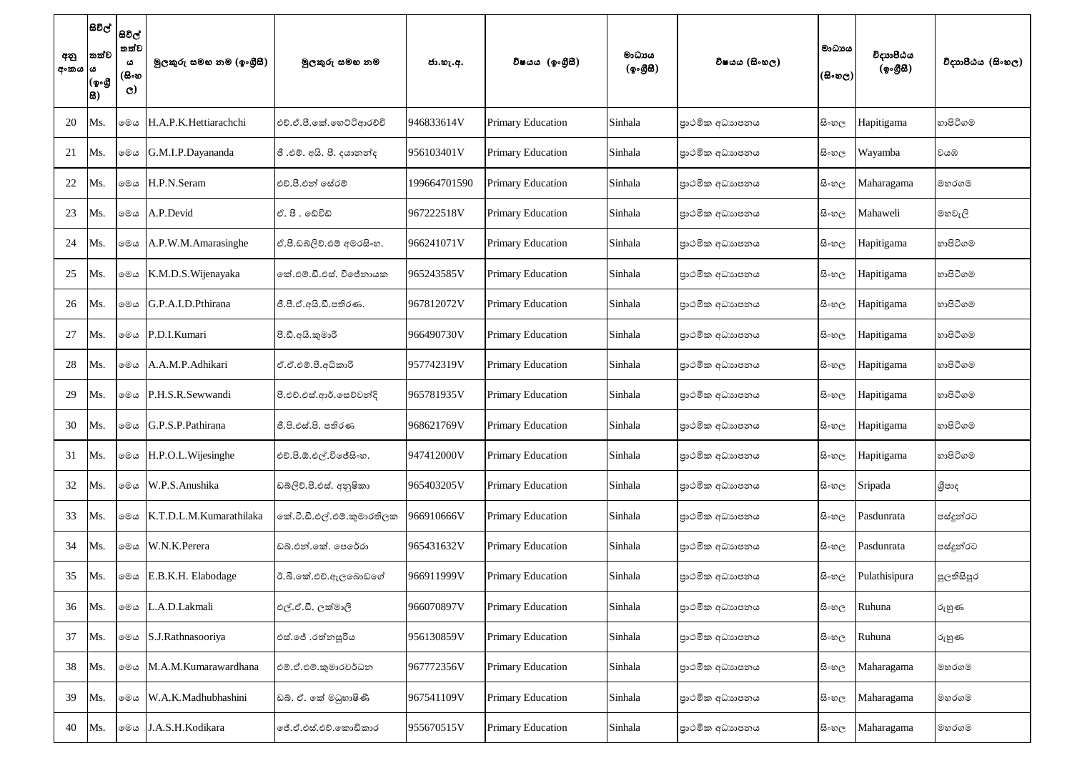| අනු<br>අංකය  ය | තත්ව<br>(ඉංගී<br> සි) | සිවිල්  <br>සවිල්  <br>තත්ව<br>ය<br>(සිංහ<br>$\mathbf{C}$ | මුලකුරු සමහ නම (ඉංගුීසී) | මූලකුරු සමහ නම             | ජා.හැ.අ.     | විෂයය (ඉංගීසී)           | මාධාපය<br>(ඉංගීසි) | විෂයය (සිංහල)  | මාධායය<br>(සිංහල) | විදාාාපීඨය<br>(ඉංගීසී) | විදාහපීඨය (සිංහල) |
|----------------|-----------------------|-----------------------------------------------------------|--------------------------|----------------------------|--------------|--------------------------|--------------------|----------------|-------------------|------------------------|-------------------|
| 20             | Ms.                   | මෙය                                                       | H.A.P.K.Hettiarachchi    | එච්.ඒ.පී.කේ.හෙට්ටිආරච්චි   | 946833614V   | <b>Primary Education</b> | Sinhala            | පාථමික අධාහපනය | සිංහ $_{\rm C}$   | Hapitigama             | හාපිටිගම          |
| 21             | Ms.                   | මෙය                                                       | G.M.I.P.Dayananda        | ජී .එම්. අයි. පී. දයානන්ද  | 956103401V   | <b>Primary Education</b> | Sinhala            | පාථමික අධාහපනය | සි∘හල             | Wayamba                | වයඹ               |
| 22             | Ms.                   | මෙය                                                       | H.P.N.Seram              | එච්.පී.එන් සේරම්           | 199664701590 | <b>Primary Education</b> | Sinhala            | පාථමික අධාහපනය | සි∘හල             | Maharagama             | මහරගම             |
| 23             | Ms.                   | මෙය                                                       | A.P.Devid                | ඒ. පී. ඬෙවිඩ්              | 967222518V   | <b>Primary Education</b> | Sinhala            | පාථමික අධාහපනය | සි∘හල             | Mahaweli               | මහවැලි            |
| 24             | Ms.                   | මෙය                                                       | A.P.W.M.Amarasinghe      | ඒ.පී.ඩබ්ලිව්.එම් අමරසිංහ.  | 966241071V   | <b>Primary Education</b> | Sinhala            | පාථමික අධාහපනය | සි∘හල             | Hapitigama             | හාපිටිගම          |
| 25             | Ms.                   | මෙය                                                       | K.M.D.S. Wijenayaka      | ඉක්.එම්.ඩී.එස්. විජේනායක   | 965243585V   | <b>Primary Education</b> | Sinhala            | පාථමික අධාහපනය | සිංහ $_{\rm C}$   | Hapitigama             | හාපිටිගම          |
| 26             | Ms.                   | මෙය                                                       | G.P.A.I.D.Pthirana       | ජී.පී.ඒ.අයි.ඩී.පතිරණ.      | 967812072V   | <b>Primary Education</b> | Sinhala            | පාථමික අධාහපනය | සි∘හල             | Hapitigama             | හාපිටිගම          |
| 27             | Ms.                   | මෙය                                                       | P.D.I.Kumari             | පී.ඩී.අයි.කුමාරි           | 966490730V   | <b>Primary Education</b> | Sinhala            | පාථමික අධාහපනය | සිංහල             | Hapitigama             | හාපිටිගම          |
| 28             | Ms.                   | මෙය                                                       | A.A.M.P.Adhikari         | ඒ.ඒ.එම්.පී.අධිකාරි         | 957742319V   | <b>Primary Education</b> | Sinhala            | පාථමික අධාහපනය | සි∘හල             | Hapitigama             | හාපිටිගම          |
| 29             | Ms.                   | මෙය                                                       | P.H.S.R.Sewwandi         | පී.එච්.එස්.ආර්.සෙව්වන්දි   | 965781935V   | <b>Primary Education</b> | Sinhala            | පාථමික අධාහපනය | සි∘හල             | Hapitigama             | හාපිටිගම          |
| 30             | Ms.                   | මෙය                                                       | G.P.S.P.Pathirana        | ජී.පි.එස්.පි. පතිරණ        | 968621769V   | <b>Primary Education</b> | Sinhala            | පාථමික අධාහපනය | සි∘හල             | Hapitigama             | හාපිටිගම          |
| 31             | Ms.                   | මෙය                                                       | H.P.O.L. Wijesinghe      | එච්.පි.ඕ.එල්.විජේසිංහ.     | 947412000V   | <b>Primary Education</b> | Sinhala            | පාථමික අධාහපනය | සි∘හල             | Hapitigama             | හාපිටිගම          |
| 32             | Ms.                   | මෙය                                                       | W.P.S.Anushika           | ඩබ්ලිව්.පී.එස්. අනුෂිකා    | 965403205V   | <b>Primary Education</b> | Sinhala            | පාථමික අධාහපනය | සි∘හල             | Sripada                | ශීපාද             |
| 33             | Ms.                   | මෙය                                                       | K.T.D.L.M.Kumarathilaka  | කේ.ටී.ඩී.එල්.එම්.කුමාරතිලක | 966910666V   | <b>Primary Education</b> | Sinhala            | පාථමික අධාහපනය | සි∘හල             | Pasdunrata             | පස්දුන්රට         |
| 34             | Ms.                   | මෙය                                                       | W.N.K.Perera             | ඩබ්.එන්.කේ. පෙරේරා         | 965431632V   | <b>Primary Education</b> | Sinhala            | පාථමික අධාහපනය | සි∘හල             | Pasdunrata             | පස්දුන්රට         |
| 35             | Ms.                   | මෙය                                                       | E.B.K.H. Elabodage       | ඊ.බී.කේ.එච්.ඇලබොඩගේ        | 966911999V   | <b>Primary Education</b> | Sinhala            | පාථමික අධාහපනය | සි∘හල             | Pulathisipura          | පුලතිසිපුර        |
| 36             | Ms.                   | මෙය                                                       | L.A.D.Lakmali            | එල්.ඒ.ඩී. ලක්මාලි          | 966070897V   | <b>Primary Education</b> | Sinhala            | පාථමික අධාහපනය | සිංහල             | Ruhuna                 | රුහුණ             |
| 37             | Ms.                   |                                                           | ⊚මය S.J.Rathnasooriya    | එස්.ජේ .රත්නසූරිය          | 956130859V   | <b>Primary Education</b> | Sinhala            | පාථමික අධාහපනය | සි∘හල             | Ruhuna                 | රුහුණ             |
| 38             | Ms.                   | මෙය                                                       | M.A.M.Kumarawardhana     | එම්.ඒ.එම්.කුමාරවර්ධන       | 967772356V   | <b>Primary Education</b> | Sinhala            | පාථමික අධාහපනය | සි∘හල             | Maharagama             | මහරගම             |
| 39             | Ms.                   | මෙය                                                       | W.A.K.Madhubhashini      | ඩබ්. ඒ. කේ මධුහාෂිණී       | 967541109V   | <b>Primary Education</b> | Sinhala            | පාථමික අධාහපනය | සි∘හල             | Maharagama             | මහරගම             |
| 40             | Ms.                   | මෙය                                                       | J.A.S.H.Kodikara         | ේ.ඒ.එස්.එච්.කොඩිකාර        | 955670515V   | <b>Primary Education</b> | Sinhala            | පාථමික අධාහපනය | සි∘හල             | Maharagama             | මහරගම             |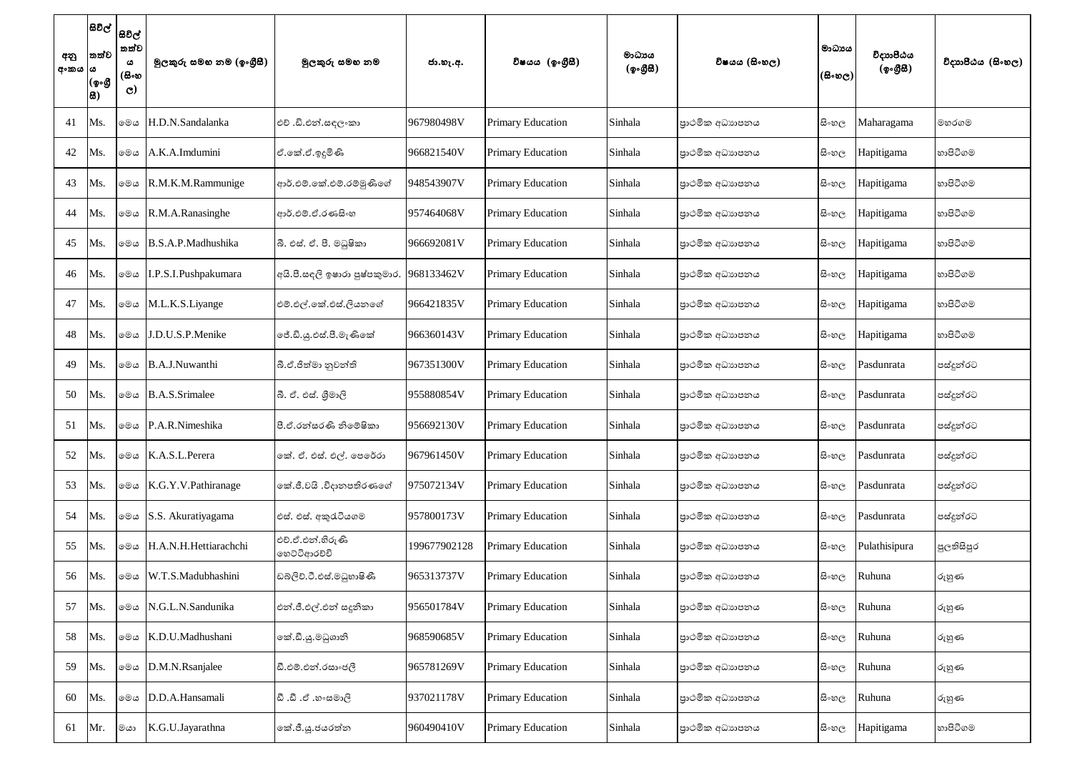| අනු<br>අංකය  ය | සිවිල්  <br>තත්ව<br>(ඉංගී<br> සි) | සිවිල්<br>තත්ව<br>ය<br>(සිංහ<br>$\mathbf{C}$ | මූලකුරු සමහ නම (ඉංගීුසී) | මූලකුරු සමහ නම                   | ජා.හැ.අ.     | විෂයය (ඉංගීසී)           | මාධායය<br>(ඉංගීසි) | විෂයය (සිංහල)  | මාධායය<br>(සිංහල) | විදාහපීඨය<br>(ඉංගීසී) | විදාහපීඨය (සිංහල) |
|----------------|-----------------------------------|----------------------------------------------|--------------------------|----------------------------------|--------------|--------------------------|--------------------|----------------|-------------------|-----------------------|-------------------|
| 41             | Ms.                               | මෙය                                          | H.D.N.Sandalanka         | එච් .ඩි.එන්.සඳලංකා               | 967980498V   | <b>Primary Education</b> | Sinhala            | පාථමික අධාහපනය | සි∘හල             | Maharagama            | මහරගම             |
| 42             | Ms.                               | මෙය                                          | A.K.A.Imdumini           | ඒ.කේ.ඒ.ඉදූමිණි                   | 966821540V   | <b>Primary Education</b> | Sinhala            | පාථමික අධාහපනය | සි∘හල             | Hapitigama            | හාපිටිගම          |
| 43             | Ms.                               | මෙය                                          | R.M.K.M.Rammunige        | ආර්.එම්.කේ.එම්.රම්මුණිගේ         | 948543907V   | <b>Primary Education</b> | Sinhala            | පාථමික අධාහපනය | සි∘හල             | Hapitigama            | හාපිටිගම          |
| 44             | Ms.                               | මෙය                                          | R.M.A.Ranasinghe         | ආර්.එම්.ඒ.රණසිංහ                 | 957464068V   | <b>Primary Education</b> | Sinhala            | පාථමික අධාහපනය | සි∘හල             | Hapitigama            | හාපිටිගම          |
| 45             | Ms.                               | මෙය                                          | B.S.A.P.Madhushika       | බී. එස්. ඒ. පී. මධුෂිකා          | 966692081V   | <b>Primary Education</b> | Sinhala            | පාථමික අධාහපනය | සි∘හල             | Hapitigama            | හාපිටිගම          |
| 46             | Ms.                               | මෙය                                          | I.P.S.I.Pushpakumara     | අයි.පී.සඳලි ඉෂාරා පුෂ්පකුමාර,    | 968133462V   | <b>Primary Education</b> | Sinhala            | පාථමික අධාහපනය | සි∘හල             | Hapitigama            | හාපිටිගම          |
| 47             | Ms.                               | මෙය                                          | M.L.K.S.Liyange          | එම්.එල්.කේ.එස්.ලියනගේ            | 966421835V   | <b>Primary Education</b> | Sinhala            | පාථමික අධාහපනය | සි∘හල             | Hapitigama            | හාපිටිගම          |
| 48             | Ms.                               | මෙය                                          | J.D.U.S.P.Menike         | ේ.ඩි.යූ.එස්.පී.මැණිකේ            | 966360143V   | <b>Primary Education</b> | Sinhala            | පාථමික අධාහපනය | සි∘හල             | Hapitigama            | හාපිටිගම          |
| 49             | Ms.                               | මෙය                                          | B.A.J.Nuwanthi           | බී.ඒ.ජීත්මා නුවන්ති              | 967351300V   | <b>Primary Education</b> | Sinhala            | පාථමික අධාහපනය | සි∘හල             | Pasdunrata            | පස්දුන්රට         |
| 50             | Ms.                               | මෙය                                          | <b>B.A.S.Srimalee</b>    | බී. ඒ. එස්. ශීමාලි               | 955880854V   | <b>Primary Education</b> | Sinhala            | පාථමික අධාහපනය | සි∘හල             | Pasdunrata            | පස්දුන්රට         |
| 51             | Ms.                               | මෙය                                          | P.A.R.Nimeshika          | පී.ඒ.රත්සරණි නිමේෂිකා            | 956692130V   | <b>Primary Education</b> | Sinhala            | පාථමික අධාහපනය | සි∘හල             | Pasdunrata            | පස්දුන්රට         |
| 52             | Ms.                               | මෙය                                          | K.A.S.L.Perera           | නේ. ඒ. එස්. එල්. පෙරේරා          | 967961450V   | <b>Primary Education</b> | Sinhala            | පාථමික අධාහපනය | සි∘හල             | Pasdunrata            | පස්දුන්රට         |
| 53             | Ms.                               | මෙය                                          | K.G.Y.V.Pathiranage      | කේ.ජී.වයි .විදානපතිරණගේ          | 975072134V   | <b>Primary Education</b> | Sinhala            | පාථමික අධාහපනය | සි∘හල             | Pasdunrata            | පස්දුන්රට         |
| 54             | Ms.                               | මෙය                                          | S.S. Akuratiyagama       | එස්. එස්. අකුරැටියගම             | 957800173V   | <b>Primary Education</b> | Sinhala            | පාථමික අධාහපනය | සි∘හල             | Pasdunrata            | පස්දුන්රට         |
| 55             | Ms.                               | මෙය                                          | H.A.N.H.Hettiarachchi    | එච්.ඒ.එන්.හිරුණි<br>ගෙට්ටිආරච්චි | 199677902128 | <b>Primary Education</b> | Sinhala            | පාථමික අධාහපනය | සි∘හල             | Pulathisipura         | පුලතිසිපුර        |
| 56             | Ms.                               | මෙය                                          | W.T.S.Madubhashini       | ඩබ්ලිව්.ටී.එස්.මධුහාෂිණී         | 965313737V   | <b>Primary Education</b> | Sinhala            | පාථමික අධාහපනය | සි∘හල             | Ruhuna                | රුහුණ             |
| 57             | Ms.                               | මෙය                                          | N.G.L.N.Sandunika        | එන්.ජී.එල්.එන් සදූනිකා           | 956501784V   | <b>Primary Education</b> | Sinhala            | පාථමික අධාහපනය | සි∘හල             | Ruhuna                | රුහුණ             |
| 58             | Ms.                               | මෙය                                          | K.D.U.Madhushani         | කේ.ඩී.යූ.මධුශානි                 | 968590685V   | <b>Primary Education</b> | Sinhala            | පාථමික අධාහපනය | සි∘හල             | Ruhuna                | රුහුණ             |
| 59             | Ms.                               | මෙය                                          | D.M.N.Rsanjalee          | ඩී.එම්.එන්.රසාංජලී               | 965781269V   | <b>Primary Education</b> | Sinhala            | පාථමික අධාහපනය | සි∘හල             | Ruhuna                | රුහුණ             |
| 60             | Ms.                               | මෙය                                          | D.D.A.Hansamali          | විඥා හි .ඒ .හිංසමාලි             | 937021178V   | <b>Primary Education</b> | Sinhala            | පාථමික අධාහපනය | සි∘හල             | Ruhuna                | රුහුණ             |
| 61             | Mr.                               | මයා                                          | K.G.U.Jayarathna         | කේ.ජී.යූ.ජයරත්න                  | 960490410V   | <b>Primary Education</b> | Sinhala            | පාථමික අධාහපනය | සි∘හල             | Hapitigama            | හාපිටිගම          |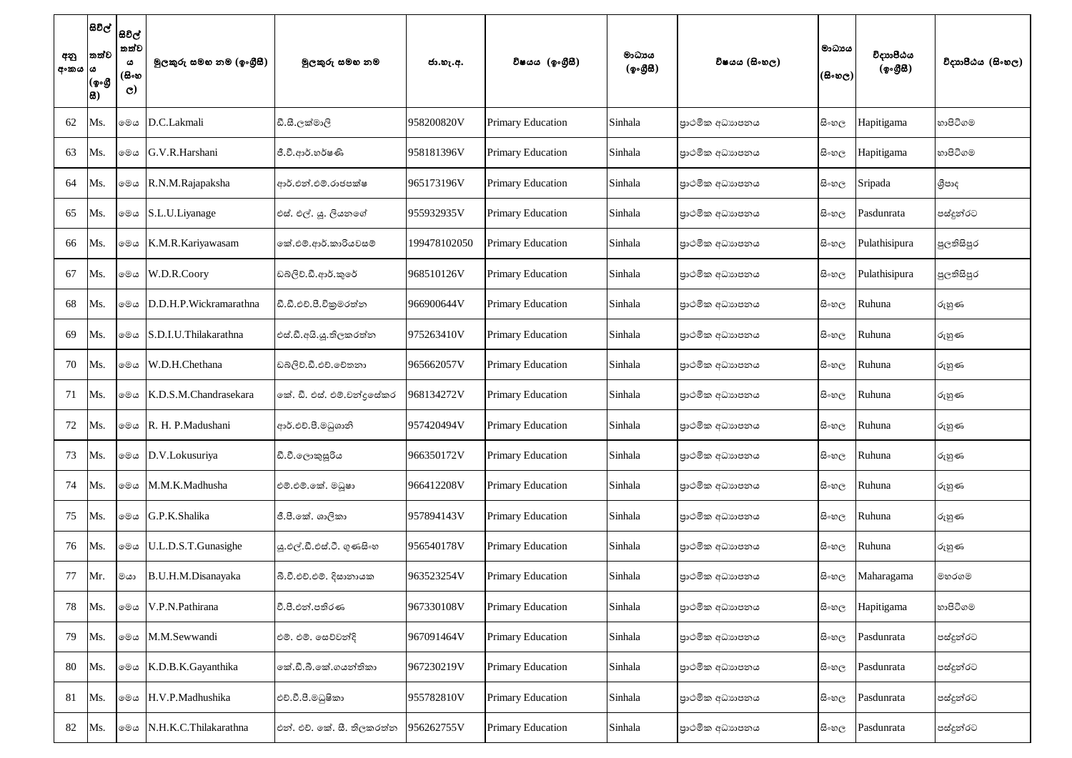| අනු<br>අංකය  ය | සිවිල්  <br>තත්ව<br>(ඉංගී<br>品) | සිවිල්<br>තත්ව<br>ය<br>(සිංහ<br>$\mathbf{C}$ | මුලකුරු සමහ නම (ඉංගුීසී) | මූලකුරු සමහ නම             | ජා.හැ.අ.     | විෂයය (ඉංගීසී)           | මාධායය<br>(ඉංගීසී) | විෂයය (සිංහල)  | මාධායය<br>(සිංහල) | විදාාාපීඨය<br>(ඉංගීසි) | විදාහපීඨය (සිංහල) |
|----------------|---------------------------------|----------------------------------------------|--------------------------|----------------------------|--------------|--------------------------|--------------------|----------------|-------------------|------------------------|-------------------|
| 62             | Ms.                             | මෙය                                          | D.C.Lakmali              | ඩී.සී.ලක්මාලි              | 958200820V   | <b>Primary Education</b> | Sinhala            | පාථමික අධාහපනය | සිංහල             | Hapitigama             | හාපිටිගම          |
| 63             | Ms.                             | මෙය                                          | G.V.R.Harshani           | ජී.වී.ආර්.හර්ෂණි           | 958181396V   | <b>Primary Education</b> | Sinhala            | පාථමික අධාහපනය | සි∘හල             | Hapitigama             | හාපිටිගම          |
| 64             | Ms.                             | මෙය                                          | R.N.M.Rajapaksha         | ආර්.එන්.එම්.රාජපක්ෂ        | 965173196V   | <b>Primary Education</b> | Sinhala            | පාථමික අධාහපනය | සි∘හල             | Sripada                | ශීපාද             |
| 65             | Ms.                             | මෙය                                          | S.L.U.Liyanage           | එස්. එල්. යූ. ලියනගේ       | 955932935V   | <b>Primary Education</b> | Sinhala            | පාථමික අධාහපනය | සි∘හල             | Pasdunrata             | පස්දුන්රට         |
| 66             | Ms.                             | මෙය                                          | K.M.R.Kariyawasam        | කේ.එම්.ආර්.කාරියවසම්       | 199478102050 | <b>Primary Education</b> | Sinhala            | පාථමික අධාහපනය | සි∘හල             | Pulathisipura          | පූලතිසිපුර        |
| 67             | Ms.                             | මෙය                                          | W.D.R.Coory              | ඩබ්ලිව්.ඩී.ආර්.කුරේ        | 968510126V   | <b>Primary Education</b> | Sinhala            | පාථමික අධාහපනය | සි∘හල             | Pulathisipura          | පුලතිසිපුර        |
| 68             | Ms.                             | මෙය                                          | D.D.H.P.Wickramarathna   | ඩී.ඩී.එච්.පී.විකුමරත්න     | 966900644V   | <b>Primary Education</b> | Sinhala            | පාථමික අධාහපනය | සිංහල             | Ruhuna                 | රුහුණ             |
| 69             | Ms.                             | මෙය                                          | S.D.I.U.Thilakarathna    | එස්.ඩී.අයි.යූ.තිලකරත්න     | 975263410V   | <b>Primary Education</b> | Sinhala            | පාථමික අධාහපනය | සිංහල             | Ruhuna                 | රුහුණ             |
| 70             | Ms.                             | මෙය                                          | W.D.H.Chethana           | ඩබ්ලිව්.ඩී.එච්.චේතනා       | 965662057V   | <b>Primary Education</b> | Sinhala            | පාථමික අධාහපනය | සි∘හල             | Ruhuna                 | රුහුණ             |
| 71             | Ms.                             | මෙය                                          | K.D.S.M.Chandrasekara    | කේ. ඩී. එස්. එම්.චන්දුසේකර | 968134272V   | <b>Primary Education</b> | Sinhala            | පාථමික අධාහපනය | සි∘හල             | Ruhuna                 | රුහුණ             |
| 72             | Ms.                             | මෙය                                          | R. H. P.Madushani        | ආර්.එච්.පී.මධුශානි         | 957420494V   | <b>Primary Education</b> | Sinhala            | පාථමික අධාහපනය | සි∘හල             | Ruhuna                 | රුහුණ             |
| 73             | Ms.                             |                                              | ⊚මය D.V.Lokusuriya       | ඩී.වී.ලොකුසූරිය            | 966350172V   | <b>Primary Education</b> | Sinhala            | පාථමික අධාහපනය | සි∘හල             | Ruhuna                 | රුහුණ             |
| 74             | Ms.                             | මෙය                                          | M.M.K.Madhusha           | එම්.එම්.කේ. මධුෂා          | 966412208V   | <b>Primary Education</b> | Sinhala            | පාථමික අධාහපනය | සි∘හල             | Ruhuna                 | රුහුණ             |
| 75             | Ms.                             | මෙය                                          | G.P.K.Shalika            | ජී.පී.කේ. ශාලිකා           | 957894143V   | <b>Primary Education</b> | Sinhala            | පාථමික අධාහපනය | සි∘හල             | Ruhuna                 | රුහුණ             |
| 76             | Ms.                             | මෙය                                          | U.L.D.S.T.Gunasighe      | ශු.එල්.ඩී.එස්.ටී. ගුණසිංහ  | 956540178V   | <b>Primary Education</b> | Sinhala            | පාථමික අධාහපනය | සි∘හල             | Ruhuna                 | රුහුණ             |
| 77             | Mr.                             | මයා                                          | B.U.H.M.Disanayaka       | බී.වී.එච්.එම්. දිසානායක    | 963523254V   | <b>Primary Education</b> | Sinhala            | පාථමික අධාහපනය | සි∘හල             | Maharagama             | මහරගම             |
| 78             | Ms.                             | මෙය                                          | V.P.N.Pathirana          | වී.පී.එන්.පතිරණ            | 967330108V   | <b>Primary Education</b> | Sinhala            | පාථමික අධාහපනය | සි∘හල             | Hapitigama             | හාපිටිගම          |
| 79             | Ms.                             | මෙය                                          | M.M.Sewwandi             | එම්. එම්. සෙව්වන්දි        | 967091464V   | <b>Primary Education</b> | Sinhala            | පාථමික අධාහපනය | සි∘හල             | Pasdunrata             | පස්දුන්රට         |
| 80             | Ms.                             | මෙය                                          | K.D.B.K.Gayanthika       | කේ.ඩී.බී.කේ.ගයන්තිකා       | 967230219V   | <b>Primary Education</b> | Sinhala            | පාථමික අධාහපනය | සි∘හල             | Pasdunrata             | පස්දුන්රට         |
| 81             | Ms.                             | මෙය                                          | H.V.P.Madhushika         | එච්.වී.පී.මධුෂිකා          | 955782810V   | <b>Primary Education</b> | Sinhala            | පාථමික අධාහපනය | සි∘හල             | Pasdunrata             | පස්දුන්රට         |
| 82             | Ms.                             | මෙය                                          | N.H.K.C.Thilakarathna    | එන්. එච්. කේ. සී. තිලකරත්න | 956262755V   | <b>Primary Education</b> | Sinhala            | පාථමික අධාහපනය | සි∘හල             | Pasdunrata             | පස්දුන්රට         |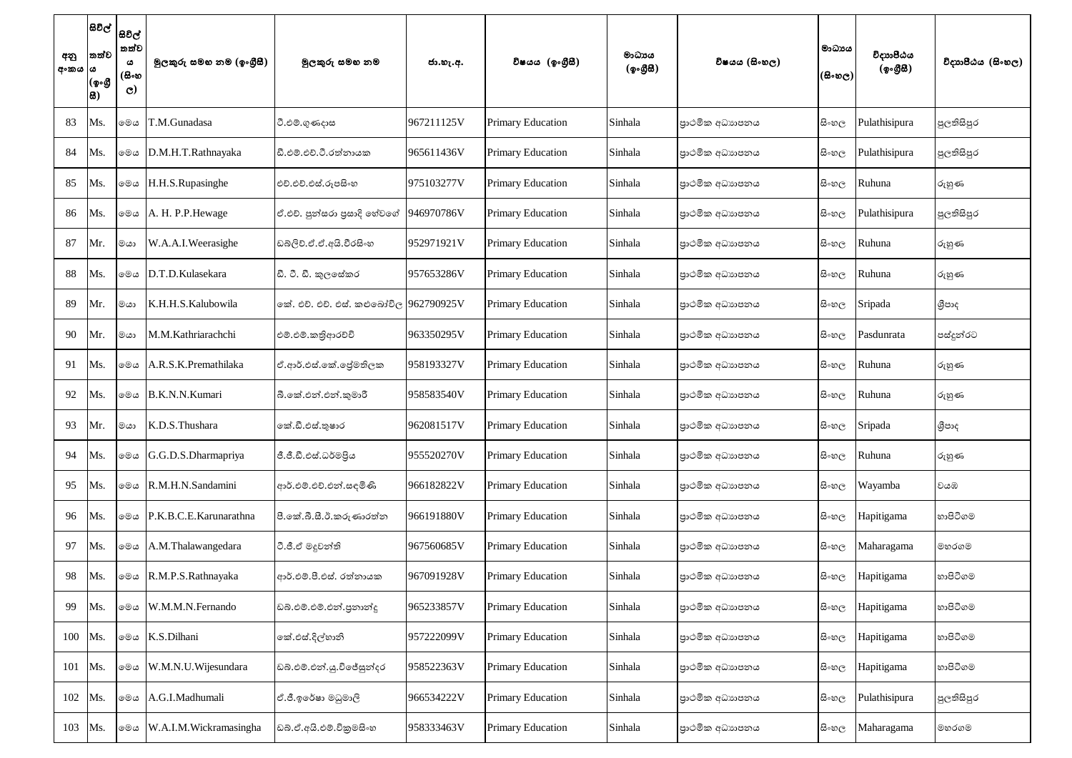| අනු<br>අංකය  ය | සිවිල්  <br>තත්ව<br>(ඉංගී<br> සි) | සිවිල්<br>තත්ව<br>ය<br>(සිංහ<br>$\mathbf{C}$ | මූලකුරු සමහ නම (ඉංගීුසී) | මූලකුරු සමහ නම                         | ජා.හැ.අ.   | විෂයය (ඉංගීසී)           | මාධායය<br>(ඉංගීසී) | විෂයය (සිංහල)  | මාධායය<br>(සිංහල) | විදාාාපීඨය<br>(ඉංගීසී) | විදාහපීඨය (සිංහල) |
|----------------|-----------------------------------|----------------------------------------------|--------------------------|----------------------------------------|------------|--------------------------|--------------------|----------------|-------------------|------------------------|-------------------|
| 83             | Ms.                               | මෙය                                          | T.M.Gunadasa             | ටී.එම්.ගුණදාස                          | 967211125V | <b>Primary Education</b> | Sinhala            | පාථමික අධාහපනය | සි∘හල             | Pulathisipura          | පූලතිසිපුර        |
| 84             | Ms.                               | මෙය                                          | D.M.H.T.Rathnayaka       | ඩී.එම්.එච්.ටී.රත්නායක                  | 965611436V | <b>Primary Education</b> | Sinhala            | පාථමික අධාහපනය | සි∘හල             | Pulathisipura          | පූලතිසිපුර        |
| 85             | Ms.                               | මෙය                                          | H.H.S.Rupasinghe         | එච්.එච්.එස්.රූපසිංහ                    | 975103277V | <b>Primary Education</b> | Sinhala            | පාථමික අධාහපනය | සිංහල             | Ruhuna                 | රුහුණ             |
| 86             | Ms.                               | මෙය                                          | A. H. P.P. Hewage        | ඒ.එච්. පුන්සරා පුසාදි හේවගේ            | 946970786V | <b>Primary Education</b> | Sinhala            | පාථමික අධාහපනය | සි∘හල             | Pulathisipura          | පූලතිසිපුර        |
| 87             | Mr.                               | මයා                                          | W.A.A.I.Weerasighe       | ඩබලිව්.ඒ.ඒ.අයි.වීරසිංහ                 | 952971921V | <b>Primary Education</b> | Sinhala            | පාථමික අධාහපනය | සිංහල             | Ruhuna                 | රුහුණ             |
| 88             | Ms.                               | මෙය                                          | D.T.D.Kulasekara         | ඩී. ටී. ඩී. කුලසේකර                    | 957653286V | <b>Primary Education</b> | Sinhala            | පාථමික අධාහපනය | සි∘හල             | Ruhuna                 | රුහුණ             |
| 89             | Mr.                               | මයා                                          | K.H.H.S.Kalubowila       | කේ. එච්. එච්. එස්. කළුබෝවිල 962790925V |            | <b>Primary Education</b> | Sinhala            | පාථමික අධාහපනය | සි∘හල             | Sripada                | ශීපාද             |
| 90             | Mr.                               | මයා                                          | M.M.Kathriarachchi       | එම්.එම්.කතිආරච්චි                      | 963350295V | <b>Primary Education</b> | Sinhala            | පාථමික අධාහපනය | සි∘හල             | Pasdunrata             | පස්දූන්රට         |
| 91             | Ms.                               | මෙය                                          | A.R.S.K.Premathilaka     | ඒ.ආර්.එස්.කේ.ජේමතිලක                   | 958193327V | <b>Primary Education</b> | Sinhala            | පාථමික අධාහපනය | සි∘හල             | Ruhuna                 | රුහුණ             |
| 92             | Ms.                               | මෙය                                          | B.K.N.N.Kumari           | බී.කේ.එන්.එන්.කුමාරී                   | 958583540V | <b>Primary Education</b> | Sinhala            | පාථමික අධාහපනය | සි∘හල             | Ruhuna                 | රුහුණ             |
| 93             | Mr.                               | මයා                                          | K.D.S.Thushara           | කේ.ඩී.එස්.තුෂාර                        | 962081517V | <b>Primary Education</b> | Sinhala            | පාථමික අධාහපනය | සි∘හල             | Sripada                | ශීපාද             |
| 94             | Ms.                               | මෙය                                          | G.G.D.S.Dharmapriya      | ජී.ජී.ඩී.එස්.ධර්මපිය                   | 955520270V | <b>Primary Education</b> | Sinhala            | පාථමික අධාහපනය | සි∘හල             | Ruhuna                 | රුහුණ             |
| 95             | Ms.                               | මෙය                                          | R.M.H.N.Sandamini        | ආර්.එම්.එච්.එන්.සඳමිණි                 | 966182822V | <b>Primary Education</b> | Sinhala            | පාථමික අධාහපනය | සි∘හල             | Wayamba                | වයඹ               |
| 96             | Ms.                               | මෙය                                          | P.K.B.C.E.Karunarathna   | පී.කේ.බී.සී.ඊ.කරුණාරත්න                | 966191880V | <b>Primary Education</b> | Sinhala            | පාථමික අධාහපනය | සි∘හල             | Hapitigama             | හාපිටිගම          |
| 97             | Ms.                               | මෙය                                          | A.M.Thalawangedara       | ටී.ජී.ඒ මදුවන්ති                       | 967560685V | <b>Primary Education</b> | Sinhala            | පාථමික අධාහපනය | සි∘හල             | Maharagama             | මහරගම             |
| 98             | Ms.                               | මෙය                                          | R.M.P.S.Rathnayaka       | ආර්.එම්.පී.එස්. රත්නායක                | 967091928V | <b>Primary Education</b> | Sinhala            | පාථමික අධාහපනය | සි∘හල             | Hapitigama             | හාපිටිගම          |
| 99             | Ms.                               | මෙය                                          | W.M.M.N.Fernando         | ඩබ්.එම්.එම්.එන්.පුනාන්දූ               | 965233857V | <b>Primary Education</b> | Sinhala            | පාථමික අධාහපනය | සි∘හල             | Hapitigama             | හාපිටිගම          |
| 100            | Ms.                               | මෙය                                          | K.S.Dilhani              | කේ.එස්.දිල්හානි                        | 957222099V | <b>Primary Education</b> | Sinhala            | පාථමික අධාහපනය | සි∘හල             | Hapitigama             | හාපිටිගම          |
| 101            | Ms.                               | මෙය                                          | W.M.N.U.Wijesundara      | ඩබ්.එම්.එන්.යූ.විජේසුන්දර              | 958522363V | <b>Primary Education</b> | Sinhala            | පාථමික අධාහපනය | සි∘හල             | Hapitigama             | හාපිටිගම          |
| 102            | Ms.                               | මෙය                                          | A.G.I.Madhumali          | ඒ.ජී.ඉරේෂා මධුමාලි                     | 966534222V | <b>Primary Education</b> | Sinhala            | පාථමික අධාහපනය | සි∘හල             | Pulathisipura          | පුලතිසිපුර        |
| 103            | Ms.                               | මෙය                                          | W.A.I.M.Wickramasingha   | ඩබ්.ඒ.අයි.එම්.විකුමසිංහ                | 958333463V | <b>Primary Education</b> | Sinhala            | පාථමික අධාහපනය | සි∘හල             | Maharagama             | මහරගම             |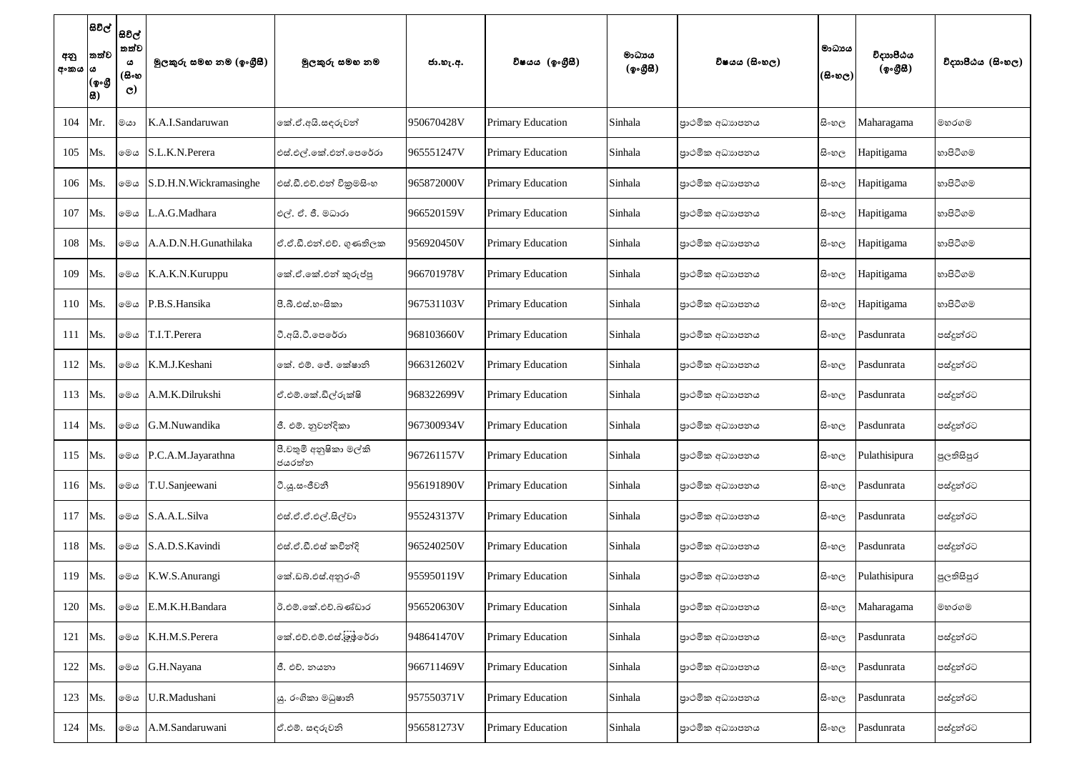| අනු<br>අංකය  ය | සිවිල්  <br>තත්ව<br>(ඉංගී<br>品) | සිවිල්<br>තත්ව<br>ය<br>(සිංහ<br>$\mathbf{C}$ | මුලකුරු සමහ නම (ඉංගුීසී) | මූලකුරු සමහ නම                   | ජා.හැ.අ.   | විෂයය (ඉංගීසී)           | මාධායය<br>(ඉංගීසී) | විෂයය (සිංහල)  | මාධායය<br>(සිංහල) | විදාාාපීඨය<br>(ඉංගීසී) | විදාහපීඨය (සිංහල) |
|----------------|---------------------------------|----------------------------------------------|--------------------------|----------------------------------|------------|--------------------------|--------------------|----------------|-------------------|------------------------|-------------------|
| 104            | Mr.                             | මයා                                          | K.A.I.Sandaruwan         | කේ.ඒ.අයි.සඳුරුවන්                | 950670428V | <b>Primary Education</b> | Sinhala            | පාථමික අධාහපනය | සිංහල             | Maharagama             | මහරගම             |
| 105            | Ms.                             | මෙය                                          | S.L.K.N.Perera           | එස්.එල්.කේ.එන්.පෙරේරා            | 965551247V | <b>Primary Education</b> | Sinhala            | පාථමික අධාහපනය | සිංහල             | Hapitigama             | හාපිටිගම          |
| 106            | Ms.                             | මෙය                                          | S.D.H.N.Wickramasinghe   | එස්.ඩී.එච්.එන් විකුමසිංහ         | 965872000V | <b>Primary Education</b> | Sinhala            | පාථමික අධාහපනය | සි∘හල             | Hapitigama             | හාපිටිගම          |
| 107            | Ms.                             | මෙය                                          | L.A.G.Madhara            | එල්. ඒ. ජී. මධාරා                | 966520159V | <b>Primary Education</b> | Sinhala            | පාථමික අධාහපනය | සි∘හල             | Hapitigama             | හාපිටිගම          |
| 108            | Ms.                             | මෙය                                          | A.A.D.N.H.Gunathilaka    | ඒ.ඒ.ඩී.එන්.එච්. ගුණතිලක          | 956920450V | <b>Primary Education</b> | Sinhala            | පාථමික අධාහපනය | සි∘හල             | Hapitigama             | හාපිටිගම          |
| 109            | Ms.                             | මෙය                                          | K.A.K.N.Kuruppu          | කේ.ඒ.කේ.එන් කුරුප්පූ             | 966701978V | <b>Primary Education</b> | Sinhala            | පාථමික අධාහපනය | සිංහල             | Hapitigama             | හාපිටිගම          |
| 110            | Ms.                             | මෙය                                          | P.B.S.Hansika            | පී.බී.එස්.හංසිකා                 | 967531103V | <b>Primary Education</b> | Sinhala            | පාථමික අධාහපනය | සිංහල             | Hapitigama             | හාපිටිගම          |
| 111            | Ms.                             | මෙය                                          | T.I.T.Perera             | ටී.අයි.ටී.පෙරේරා                 | 968103660V | <b>Primary Education</b> | Sinhala            | පාථමික අධාහපනය | සි∘හල             | Pasdunrata             | පස්දුන්රට         |
| 112            | Ms.                             | මෙය                                          | K.M.J.Keshani            | කේ. එම්. ජේ. කේෂානි              | 966312602V | <b>Primary Education</b> | Sinhala            | පාථමික අධාහපනය | සි∘හල             | Pasdunrata             | පස්දුන්රට         |
| 113            | Ms.                             | මෙය                                          | A.M.K.Dilrukshi          | ඒ.එම්.කේ.ඩිල්රුක්ෂි              | 968322699V | <b>Primary Education</b> | Sinhala            | පාථමික අධාහපනය | සි∘හල             | Pasdunrata             | පස්දුන්රට         |
| 114            | Ms.                             | මෙය                                          | G.M.Nuwandika            | ජී. එම්. නුවන්දිකා               | 967300934V | <b>Primary Education</b> | Sinhala            | පාථමික අධාහපනය | සි∘හල             | Pasdunrata             | පස්දුන්රට         |
| 115            | Ms.                             | මෙය                                          | P.C.A.M.Jayarathna       | පී.චතුමි අනුෂිකා මල්කි<br>ජයරත්න | 967261157V | <b>Primary Education</b> | Sinhala            | පාථමික අධාහපනය | සි∘හල             | Pulathisipura          | පුලතිසිපුර        |
| 116            | Ms.                             | මෙය                                          | T.U.Sanjeewani           | ටී.යූ.සංජීවනී                    | 956191890V | <b>Primary Education</b> | Sinhala            | පාථමික අධාහපනය | සි∘හල             | Pasdunrata             | පස්දුන්රට         |
| 117            | Ms.                             | මෙය                                          | S.A.A.L.Silva            | එස්.ඒ.ඒ.එල්.සිල්වා               | 955243137V | <b>Primary Education</b> | Sinhala            | පාථමික අධාහපනය | සි∘හල             | Pasdunrata             | පස්දුන්රට         |
| 118            | Ms.                             | මෙය                                          | S.A.D.S.Kavindi          | එස්.ඒ.ඩී.එස් කවින්දි             | 965240250V | <b>Primary Education</b> | Sinhala            | පාථමික අධාහපනය | සි∘හල             | Pasdunrata             | පස්දුන්රට         |
| 119            | Ms.                             | මෙය                                          | K.W.S.Anurangi           | කේ.ඩබ්.එස්.අනුරංගි               | 955950119V | <b>Primary Education</b> | Sinhala            | පාථමික අධාහපනය | සි∘හල             | Pulathisipura          | පුලතිසිපුර        |
| 120            | Ms.                             | මෙය                                          | E.M.K.H.Bandara          | ඊ.එම්.කේ.එච්.බණ්ඩාර              | 956520630V | <b>Primary Education</b> | Sinhala            | පාථමික අධාහපනය | සි∘හල             | Maharagama             | මහරගම             |
| 121            | Ms.                             | මෙය                                          | K.H.M.S.Perera           | කේ.එච්.එම්.එස්.ලූෂ්රේරා          | 948641470V | <b>Primary Education</b> | Sinhala            | පාථමික අධාහපනය | සි∘හල             | Pasdunrata             | පස්දුන්රට         |
| 122            | Ms.                             | මෙය                                          | G.H.Nayana               | ජී. එච්. නයනා                    | 966711469V | <b>Primary Education</b> | Sinhala            | පාථමික අධාහපනය | සිංහල             | Pasdunrata             | පස්දුන්රට         |
| 123            | Ms.                             | මෙය                                          | U.R.Madushani            | යු. රංගිකා මධුෂානි               | 957550371V | <b>Primary Education</b> | Sinhala            | පාථමික අධාහපනය | සිංහල             | Pasdunrata             | පස්දුන්රට         |
| 124            | Ms.                             | මෙය                                          | A.M.Sandaruwani          | ඒ.එම්. සඳරුවනි                   | 956581273V | <b>Primary Education</b> | Sinhala            | පාථමික අධාහපනය | සි∘හල             | Pasdunrata             | පස්දුන්රට         |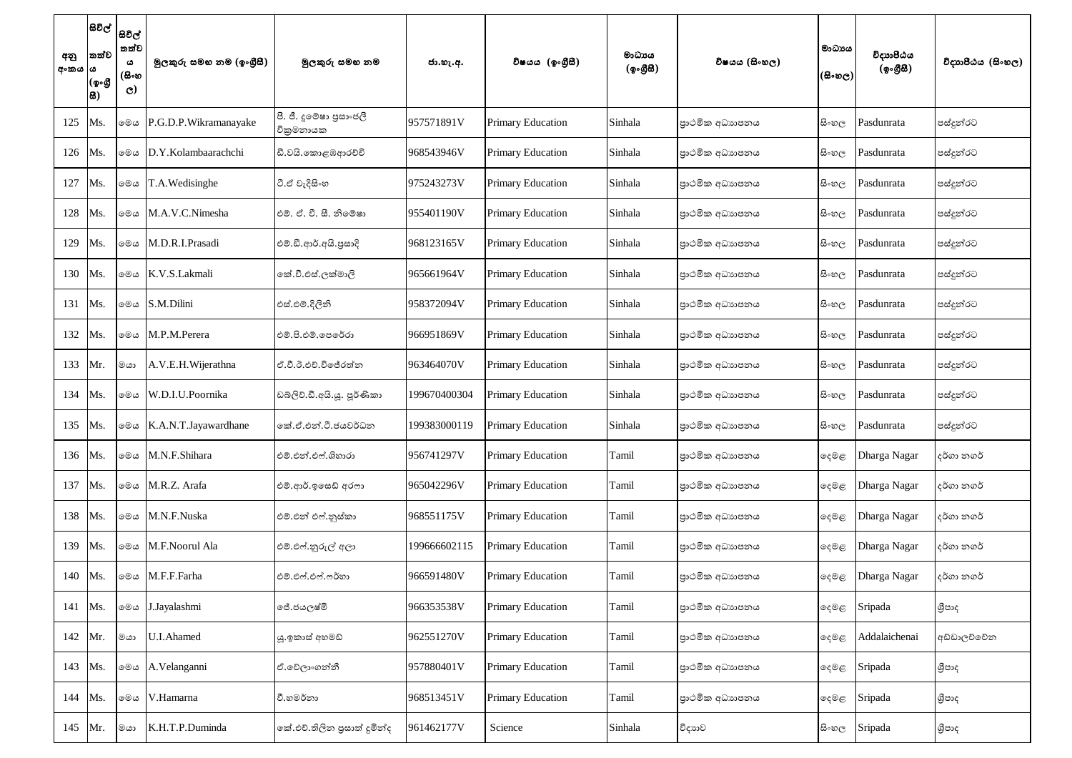| අනු<br>අංකය ය | සිවිල්  <br>තත්ව<br>(ඉංගී<br>සි) | සිවිල්<br>තත්ව<br>ය<br>(සිංහ<br>$\mathbf{C}$ | මූලකුරු සමහ නම (ඉංගුීසී) | මූලකුරු සමහ නම                       | ජා.හැ.අ.     | විෂයය (ඉංගීසී)           | මාධාපය<br>(ඉංගීසී) | විෂයය (සිංහල)  | මාධායය<br>$(\mathbb{B}\circ\mathfrak{v}_\mathbb{C})^{\mathbb{I}}$ | විදාාාපීඨය<br>(ඉංගීසී) | විදාහපීඨය (සිංහල) |
|---------------|----------------------------------|----------------------------------------------|--------------------------|--------------------------------------|--------------|--------------------------|--------------------|----------------|-------------------------------------------------------------------|------------------------|-------------------|
| 125           | Ms.                              | මෙය                                          | P.G.D.P.Wikramanayake    | පී. ජී. දූමේෂා පුසාංජලී<br>විකුමනායක | 957571891V   | <b>Primary Education</b> | Sinhala            | පාථමික අධාහපනය | සි∘හල                                                             | Pasdunrata             | පස්දුන්රට         |
| 126           | Ms.                              | මෙය                                          | D.Y.Kolambaarachchi      | ඩී.වයි.කොළඹආරච්චි                    | 968543946V   | <b>Primary Education</b> | Sinhala            | පාථමික අධාහපනය | සි∘හල                                                             | Pasdunrata             | පස්දුන්රට         |
| 127           | Ms.                              | මෙය                                          | T.A.Wedisinghe           | ටී.ඒ වැදිසිංහ                        | 975243273V   | <b>Primary Education</b> | Sinhala            | පාථමික අධාහපනය | සි∘හල                                                             | Pasdunrata             | පස්දුන්රට         |
| 128           | Ms.                              | මෙය                                          | M.A.V.C.Nimesha          | එම්. ඒ. වී. සී. නිමේෂා               | 955401190V   | <b>Primary Education</b> | Sinhala            | පාථමික අධාහපනය | සි∘හල                                                             | Pasdunrata             | ්පස්දූන්රට        |
| 129           | Ms.                              | මෙය                                          | M.D.R.I.Prasadi          | එම්.ඩී.ආර්.අයි.පුසාදි                | 968123165V   | <b>Primary Education</b> | Sinhala            | පාථමික අධාහපනය | සි∘හල                                                             | Pasdunrata             | පස්දුන්රට         |
| 130           | Ms.                              | මෙය                                          | K.V.S.Lakmali            | කේ.වී.එස්.ලක්මාලි                    | 965661964V   | <b>Primary Education</b> | Sinhala            | පාථමික අධාහපනය | සි∘හල                                                             | Pasdunrata             | පස්දුන්රට         |
| 131           | Ms.                              | මෙය                                          | S.M.Dilini               | එස්.එම්.දිලිනි                       | 958372094V   | <b>Primary Education</b> | Sinhala            | පාථමික අධාහපනය | සි∘හල                                                             | Pasdunrata             | පස්දුන්රට         |
| 132           | Ms.                              | මෙය                                          | M.P.M.Perera             | එම්.පි.එම්.පෙරේරා                    | 966951869V   | <b>Primary Education</b> | Sinhala            | පාථමික අධාහපනය | සි∘හල                                                             | Pasdunrata             | පස්දුන්රට         |
| 133           | Mr.                              | මයා                                          | A.V.E.H. Wijerathna      | ඒ.වී.ඊ.එච්.විජේරත්න                  | 963464070V   | <b>Primary Education</b> | Sinhala            | පාථමික අධාහපනය | සි∘හල                                                             | Pasdunrata             | පස්දූන්රට         |
| 134           | Ms.                              | මෙය                                          | W.D.I.U.Poornika         | ඩබ්ලිව්.ඩී.අයි.යූ. පූර්ණිකා          | 199670400304 | <b>Primary Education</b> | Sinhala            | පාථමික අධාහපනය | සි∘හල                                                             | Pasdunrata             | පස්දුන්රට         |
| 135           | Ms.                              | මෙය                                          | K.A.N.T.Jayawardhane     | කේ.ඒ.එන්.ටී.ජයවර්ධන                  | 199383000119 | <b>Primary Education</b> | Sinhala            | පාථමික අධාහපනය | සි∘හල                                                             | Pasdunrata             | පස්දුන්රට         |
| 136           | Ms.                              | මෙය                                          | M.N.F.Shihara            | එම්.එන්.එෆ්.ශිහාරා                   | 956741297V   | <b>Primary Education</b> | Tamil              | පාථමික අධාහපනය | දෙමළ                                                              | Dharga Nagar           | දර්ගා නගර්        |
| 137           | Ms.                              | මෙය                                          | M.R.Z. Arafa             | එම්.ආර්.ඉසෙඩ් අරෆා                   | 965042296V   | <b>Primary Education</b> | Tamil              | පාථමික අධාහපනය | ඈමඳ                                                               | Dharga Nagar           | දර්ගා නගර්        |
| 138           | Ms.                              | මෙය                                          | M.N.F.Nuska              | එම්.එන් එෆ්.නූස්කා                   | 968551175V   | <b>Primary Education</b> | Tamil              | පාථමික අධාහපනය | දෙමළ                                                              | Dharga Nagar           | දර්ගා නගර්        |
| 139           | Ms.                              | මෙය                                          | M.F.Noorul Ala           | එම්.එෆ්.නූරුල් අලා                   | 199666602115 | <b>Primary Education</b> | Tamil              | පාථමික අධාහපනය | දෙමළ                                                              | Dharga Nagar           | දර්ගා නගර්        |
| 140           | Ms.                              | මෙය                                          | M.F.F.Farha              | එම්.එෆ්.එෆ්.ෆර්හා                    | 966591480V   | <b>Primary Education</b> | Tamil              | පාථමික අධාහපනය | දෙමළ                                                              | Dharga Nagar           | දර්ගා නගර්        |
| 141           | Ms.                              | මෙය                                          | J.Jayalashmi             | ජේ.ජයලෂ්මි                           | 966353538V   | <b>Primary Education</b> | Tamil              | පාථමික අධාහපනය | දෙමළ                                                              | Sripada                | ශීපාද             |
| 142           | Mr.                              | මයා                                          | U.I.Ahamed               | යු.ඉකාස් අහමඩ්                       | 962551270V   | <b>Primary Education</b> | Tamil              | පාථමික අධාහපනය | දෙමළ                                                              | Addalaichenai          | අඩ්ඩාලච්චේන       |
| 143           | Ms.                              | මෙය                                          | A. Velanganni            | ඒ.වේලාංගන්නී                         | 957880401V   | <b>Primary Education</b> | Tamil              | පාථමික අධාහපනය | දෙමළ                                                              | Sripada                | ශීපාද             |
| 144           | Ms.                              | මෙය                                          | V.Hamarna                | වී.හමර්නා                            | 968513451V   | <b>Primary Education</b> | Tamil              | පාථමික අධාහපනය | දෙමළ                                                              | Sripada                | ශීපාද             |
| 145           | Mr.                              | මයා                                          | K.H.T.P.Duminda          | කේ.එච්.තිලින පුසාත් දුමින්ද          | 961462177V   | Science                  | Sinhala            | විදාහව         | සි∘හල                                                             | Sripada                | ශීපාද             |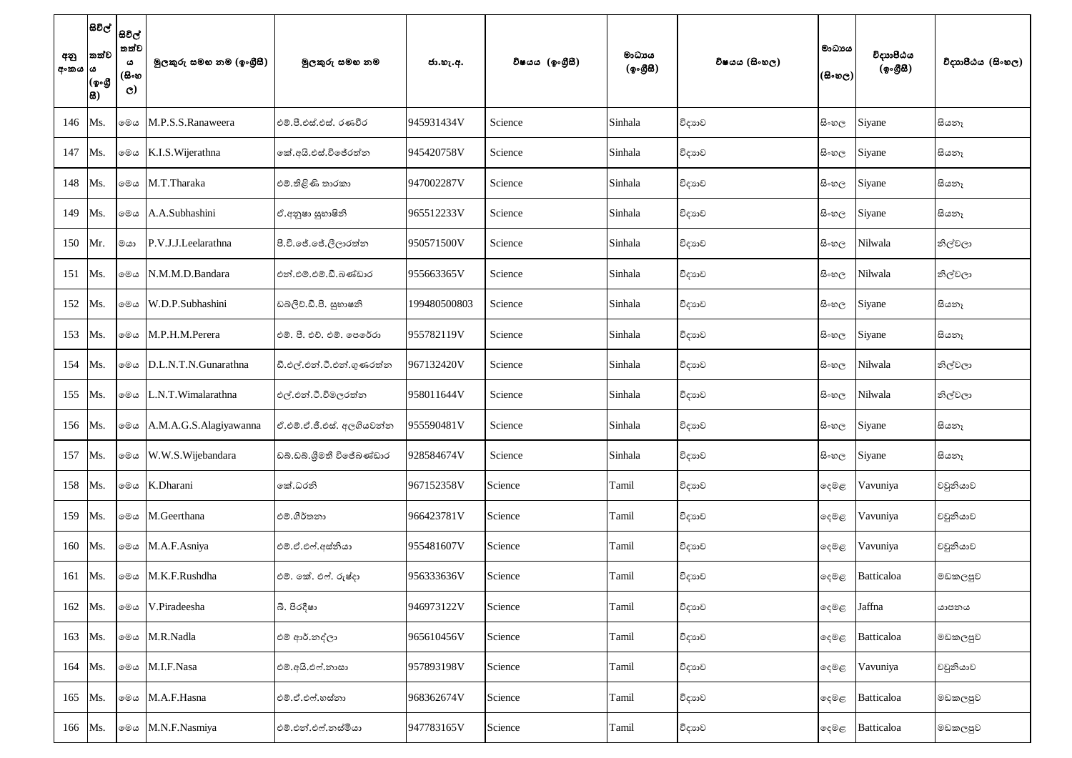| අනු<br>අංකය  ය | සිවිල්  <br> සවිල්  <br>තත්ව<br>(ஓ.கு<br> සි) | තත්ව<br>ය<br>(සිංහ<br>$\mathbf{C}$ | මූලකුරු සමහ නම (ඉංගුීසී) | මුලකුරු සමහ නම            | ජා.හැ.අ.     | විෂයය (ඉංගීුසි) | මාධායය<br>(ඉංගීසී) | විෂයය (සිංහල) | මාධායය<br>(සිංහල) | විදාහපීඨය<br>(ඉංගීසී) | විදාහපීඨය (සිංහල) |
|----------------|-----------------------------------------------|------------------------------------|--------------------------|---------------------------|--------------|-----------------|--------------------|---------------|-------------------|-----------------------|-------------------|
| 146            | Ms.                                           | මෙය                                | M.P.S.S.Ranaweera        | එම්.පී.එස්.එස්. රණවීර     | 945931434V   | Science         | Sinhala            | විදාහව        | සි∘හල             | Siyane                | සියනෑ             |
| 147            | Ms.                                           | මෙය                                | K.I.S. Wijerathna        | නේ.අයි.එස්.විජේරත්න       | 945420758V   | Science         | Sinhala            | විදාහව        | සි∘හල             | Siyane                | සියනෑ             |
| 148            | Ms.                                           | මෙය                                | M.T.Tharaka              | එම්.තිළිණි තාරකා          | 947002287V   | Science         | Sinhala            | විදාහව        | සි∘හල             | Siyane                | සියනෑ             |
| 149            | Ms.                                           | මෙය                                | A.A.Subhashini           | ඒ.අනුෂා සුභාෂිනි          | 965512233V   | Science         | Sinhala            | විදාහව        | සි∘හල             | Siyane                | සියනෑ             |
| 150            | Mr.                                           | මයා                                | P.V.J.J.Leelarathna      | පී.වී.ජේ.ජේ.ලීලාරත්න      | 950571500V   | Science         | Sinhala            | විදාහව        | සි∘හල             | Nilwala               | නිල්වලා           |
| 151            | Ms.                                           | මෙය                                | N.M.M.D.Bandara          | එන්.එම්.එම්.ඩී.බණ්ඩාර     | 955663365V   | Science         | Sinhala            | විදාහව        | සි∘හල             | Nilwala               | නිල්වලා           |
| 152            | Ms.                                           | මෙය                                | W.D.P.Subhashini         | ඩබලිව්.ඩී.පී. සුහාෂනි     | 199480500803 | Science         | Sinhala            | විදාහව        | සි∘හල             | Siyane                | සියනෑ             |
| 153            | Ms.                                           | මෙය                                | M.P.H.M.Perera           | එම්. පී. එච්. එම්. පෙරේරා | 955782119V   | Science         | Sinhala            | විදාහව        | සි∘හල             | Siyane                | සියනෑ             |
| 154            | Ms.                                           | මෙය                                | D.L.N.T.N.Gunarathna     | ඩී.එල්.එන්.ටී.එන්.ගුණරත්න | 967132420V   | Science         | Sinhala            | විදාහව        | සි∘හල             | Nilwala               | නිල්වලා           |
| 155            | Ms.                                           | මෙය                                | L.N.T.Wimalarathna       | එල්.එන්.ටී.විමලරත්න       | 958011644V   | Science         | Sinhala            | විදාහව        | සි∘හල             | Nilwala               | නිල්වලා           |
|                | 156 Ms.                                       | මෙය                                | A.M.A.G.S.Alagiyawanna   | ඒ.එම්.ඒ.ජී.එස්. අලගියවන්න | 955590481V   | Science         | Sinhala            | විදාහව        | සි∘හල             | Siyane                | සියනෑ             |
| 157            | Ms.                                           | මෙය                                | W.W.S.Wijebandara        | ඩබ්.ඩබ්.ශීමතී විජේබණ්ඩාර  | 928584674V   | Science         | Sinhala            | විදාහව        | සි∘හල             | Siyane                | සියනෑ             |
| 158            | Ms.                                           |                                    | ⊚®ය K.Dharani            | කේ.ධරනි                   | 967152358V   | Science         | Tamil              | විදාහව        | ඈමඳ               | Vavuniya              | වවුනියාව          |
| 159            | Ms.                                           | මෙය                                | M.Geerthana              | එම්.ගීර්තනා               | 966423781V   | Science         | Tamil              | විදාහව        | දෙමළ              | Vavuniya              | වවුනියාව          |
| 160            | Ms.                                           | මෙය                                | M.A.F.Asniya             | එම්.ඒ.එෆ්.අස්තියා         | 955481607V   | Science         | Tamil              | විදාහව        | දෙමළ              | Vavuniya              | වවුනියාව          |
| 161            | Ms.                                           | මෙය                                | M.K.F.Rushdha            | එම්. කේ. එෆ්. රුෂ්දා      | 956333636V   | Science         | Tamil              | විදාහව        | දෙමළ              | Batticaloa            | මඩකලපුව           |
| 162            | Ms.                                           | මෙය                                | V.Piradeesha             | බී. පිරදීෂා               | 946973122V   | Science         | Tamil              | විදාහව        | දෙමළ              | Jaffna                | යාපනය             |
| 163            | Ms.                                           | මෙය                                | M.R.Nadla                | එම් ආර්.නද්ලා             | 965610456V   | Science         | Tamil              | විදාහව        | දෙමළ              | Batticaloa            | මඩකලපුව           |
| 164            | Ms.                                           | මෙය                                | M.I.F.Nasa               | එම්.අයි.එෆ්.නාසා          | 957893198V   | Science         | Tamil              | විදාහව        | ඈමඳ               | Vavuniya              | වවුනියාව          |
| 165            | Ms.                                           | මෙය                                | M.A.F.Hasna              | එම්.ඒ.එෆ්.හස්නා           | 968362674V   | Science         | Tamil              | විදාහව        | දෙමළ              | Batticaloa            | මඩකලපුව           |
| 166            | Ms.                                           | මෙය                                | M.N.F.Nasmiya            | එම්.එන්.එෆ්.නස්මියා       | 947783165V   | Science         | Tamil              | විදාහව        | දෙමළ              | Batticaloa            | මඩකලපුව           |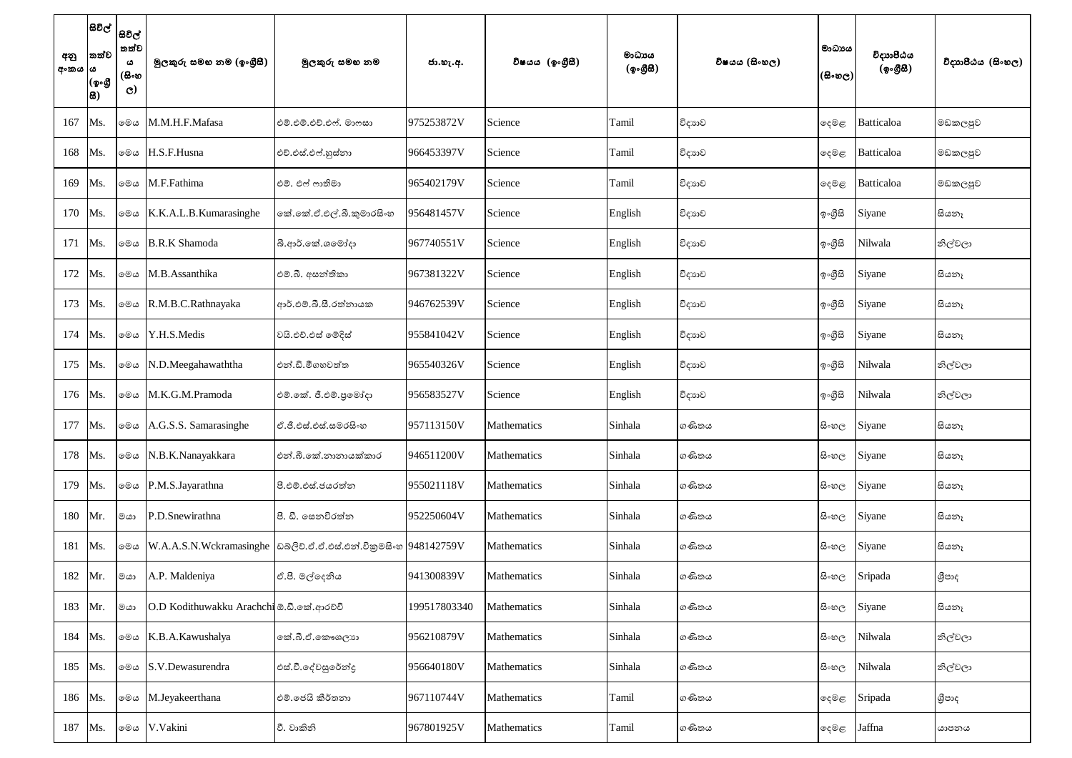| අනු<br>අංකය ය | තත්ව<br>(ஓംடூ<br> සි) | සිවිල්  <br> සවිල්  <br>තත්ව<br>ය<br>(සිංහ<br>$\mathbf{C}$ | මූලකුරු සමහ නම (ඉංගීසී)                  | මූලකුරු සමහ නම                                                    | ජා.හැ.අ.     | විෂයය (ඉංගීසී) | මාධාපය<br>(ඉංගීසී) | විෂයය (සිංහල) | මාධායය<br>(සිංහල) | විදාහපීඨය<br>(ඉංගීසී) | විදාහපීඨය (සිංහල) |
|---------------|-----------------------|------------------------------------------------------------|------------------------------------------|-------------------------------------------------------------------|--------------|----------------|--------------------|---------------|-------------------|-----------------------|-------------------|
| 167           | Ms.                   | මෙය                                                        | M.M.H.F.Mafasa                           | එම්.එම්.එච්.එෆ්. මාෆසා                                            | 975253872V   | Science        | Tamil              | විදාහව        | දෙමළ              | Batticaloa            | මඩකලපුව           |
| 168           | Ms.                   | මෙය                                                        | H.S.F.Husna                              | එච්.එස්.එෆ්.හුස්තා                                                | 966453397V   | Science        | Tamil              | විදාහව        | දෙමළ              | Batticaloa            | මඩකලපුව           |
| 169           | Ms.                   | මෙය                                                        | M.F.Fathima                              | එම්. එෆ් ෆාතිමා                                                   | 965402179V   | Science        | Tamil              | විදාහව        | දෙමළ              | Batticaloa            | මඩකලපුව           |
| 170           | Ms.                   | මෙය                                                        | K.K.A.L.B.Kumarasinghe                   | නේ.කේ.ඒ.එල්.බී.කුමාරසිංහ                                          | 956481457V   | Science        | English            | විදාහව        | ඉ∘ගීුසි           | Siyane                | සියනෑ             |
| 171           | Ms.                   | මෙය                                                        | <b>B.R.K Shamoda</b>                     | බී.ආර්.කේ.ශමෝදා                                                   | 967740551V   | Science        | English            | විදාහව        | ඉ∘ගීුසි           | Nilwala               | නිල්වලා           |
| 172           | Ms.                   | මෙය                                                        | M.B.Assanthika                           | එම්.බී. අසන්තිකා                                                  | 967381322V   | Science        | English            | විදාහව        | ඉ∘ගීුසි           | Siyane                | සියනෑ             |
| 173           | Ms.                   | මෙය                                                        | R.M.B.C.Rathnayaka                       | ආර්.එම්.බී.සී.රත්නායක                                             | 946762539V   | Science        | English            | විදාහව        | ඉංගීසි            | Siyane                | සියනෑ             |
| 174           | Ms.                   | මෙය                                                        | Y.H.S.Medis                              | වයි.එච්.එස් මේදිස්                                                | 955841042V   | Science        | English            | විදාහව        | ඉ∘ගීුසි           | Siyane                | සියනෑ             |
| 175           | Ms.                   | මෙය                                                        | N.D.Meegahawaththa                       | එන්.ඩී.මීගහවත්ත                                                   | 965540326V   | Science        | English            | විදාහව        | ඉංගීසි            | Nilwala               | නිල්වලා           |
| 176           | Ms.                   | මෙය                                                        | M.K.G.M.Pramoda                          | එම්.කේ. ජී.එම්.පුමෝදා                                             | 956583527V   | Science        | English            | විදාහව        | ඉ∘ගීුසි           | Nilwala               | නිල්වලා           |
| 177           | Ms.                   | මෙය                                                        | A.G.S.S. Samarasinghe                    | ඒ.ජී.එස්.එස්.සමරසිංහ                                              | 957113150V   | Mathematics    | Sinhala            | ගණිතය         | සි∘හල             | Siyane                | සියනෑ             |
| 178           | Ms.                   | මෙය                                                        | N.B.K.Nanayakkara                        | එන්.බී.කේ.නානායක්කාර                                              | 946511200V   | Mathematics    | Sinhala            | ගණිතය         | සි∘හල             | Siyane                | සියනෑ             |
| 179           | Ms.                   |                                                            | ⊚මය P.M.S.Jayarathna                     | පී.එම්.එස්.ජයරත්න                                                 | 955021118V   | Mathematics    | Sinhala            | ගණිතය         | සි∘හල             | Siyane                | සියනෑ             |
| 180           | Mr.                   | ගය                                                         | P.D.Snewirathna                          | පී. ඩී. සෙනවිරත්න                                                 | 952250604V   | Mathematics    | Sinhala            | ගණිතය         | සි∘හල             | Siyane                | සියනෑ             |
| 181           | Ms.                   | මෙය                                                        |                                          | W.A.A.S.N.Wckramasinghe  ඩබ්ලිව්.ඒ.ඒ.එස්.එන්.විකුමසිංහ 948142759V |              | Mathematics    | Sinhala            | ගණිතය         | සි∘හල             | Siyane                | සියනෑ             |
| 182           | Mr.                   | මයා                                                        | A.P. Maldeniya                           | ඒ.පී. මල්දෙනිය                                                    | 941300839V   | Mathematics    | Sinhala            | ගණිතය         | සි∘හල             | Sripada               | ශීපාද             |
| 183           | Mr.                   | මයා                                                        | O.D Kodithuwakku Arachchi ඕ.ඩී.කේ.ආරච්චි |                                                                   | 199517803340 | Mathematics    | Sinhala            | ගණිතය         | සි∘හල             | Siyane                | සියනෑ             |
| 184           | Ms.                   |                                                            | මෙය K.B.A.Kawushalya                     | නේ.බී.ඒ.කෞශලාන                                                    | 956210879V   | Mathematics    | Sinhala            | ගණිතය         | සි∘හල             | Nilwala               | නිල්වලා           |
| 185           | Ms.                   | මෙය                                                        | S.V.Dewasurendra                         | එස්.වී.දේවසුරේන්දු                                                | 956640180V   | Mathematics    | Sinhala            | ගණිතය         | සි∘හල             | Nilwala               | නිල්වලා           |
| 186           | Ms.                   | මෙය                                                        | M.Jeyakeerthana                          | එම්.ජෙයි කීර්තනා                                                  | 967110744V   | Mathematics    | Tamil              | ගණිතය         | දෙමළ              | Sripada               | ශීපාද             |
| 187           | Ms.                   | මෙය                                                        | V.Vakini                                 | වී. වාකිනි                                                        | 967801925V   | Mathematics    | Tamil              | ගණිතය         | දෙමළ              | Jaffna                | යාපනය             |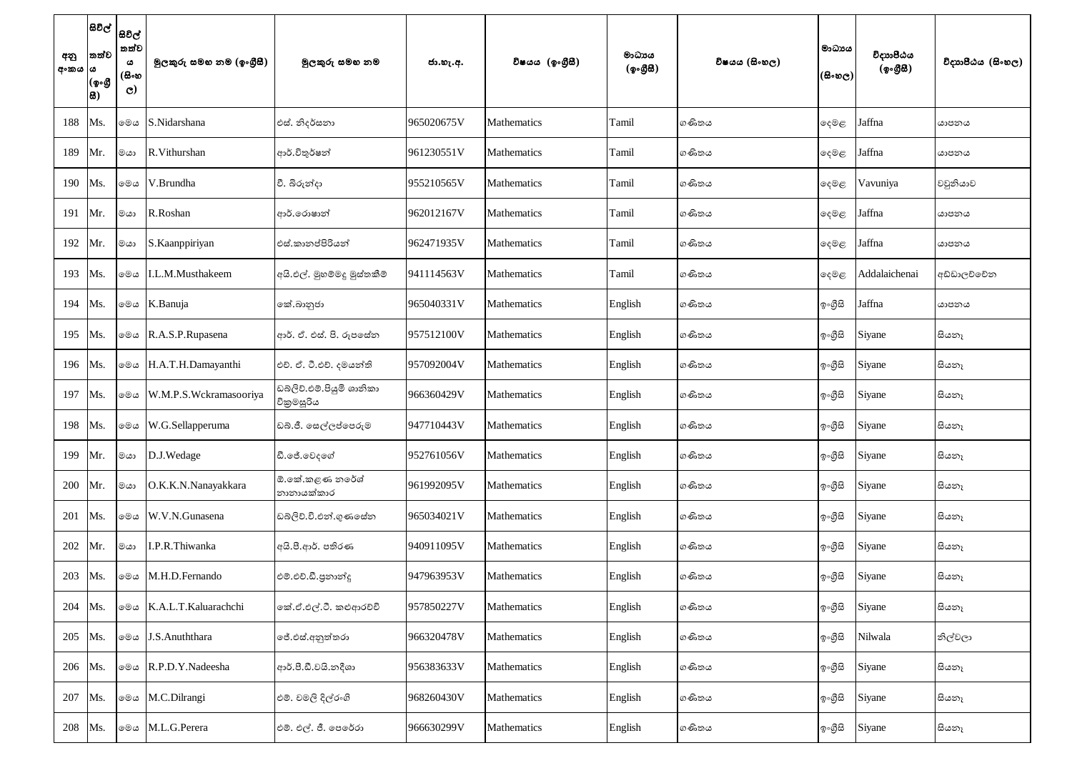| අනු<br>  අංකය  ය | තත්ව<br>(ඉංගී<br>සි) | සිවිල්  <br>සවිල්  <br>තත්ව<br>ය<br>(සිංහ<br>$\mathbf{C}$ | මූලකුරු සමහ නම (ඉංගුීසී) | මූලකුරු සමහ නම                          | ජා.හැ.අ.   | විෂයය (ඉංගීුසී)    | මාධාය<br>(ඉංගීසී) | විෂයය (සිංහල) | මාධායය<br>$(\mathbb{B}\circ\mathfrak{v}_\mathbb{C})$ | විදාාාපීඨය<br>(ඉංගීසී) | විදාහපීඨය (සිංහල) |
|------------------|----------------------|-----------------------------------------------------------|--------------------------|-----------------------------------------|------------|--------------------|-------------------|---------------|------------------------------------------------------|------------------------|-------------------|
| 188              | Ms.                  | මෙය                                                       | S.Nidarshana             | එස්. නිදර්සනා                           | 965020675V | Mathematics        | Tamil             | ගණිතය         | ු මදම                                                | Jaffna                 | යාපනය             |
| 189              | Mr.                  | මයා                                                       | R.Vithurshan             | ආර්.විතුර්ෂන්                           | 961230551V | Mathematics        | Tamil             | ගණිතය         | ඈමළ                                                  | Jaffna                 | යාපනය             |
| 190              | Ms.                  | මෙය                                                       | V.Brundha                | වී. බිරුන්දා                            | 955210565V | Mathematics        | Tamil             | ගණිතය         | ඈමළ                                                  | Vavuniya               | වවුනියාව          |
| 191              | Mr.                  | මයා                                                       | R.Roshan                 | ආර්.රොෂාන්                              | 962012167V | Mathematics        | Tamil             | ගණිතය         | දෙමළ                                                 | Jaffna                 | යාපනය             |
| 192              | Mr.                  | මයා                                                       | S.Kaanppiriyan           | එස්.කානප්පිරියන්                        | 962471935V | Mathematics        | Tamil             | ගණිතය         | දෙමළ                                                 | Jaffna                 | යාපනය             |
| 193              | Ms.                  | මෙය                                                       | I.L.M.Musthakeem         | අයි.එල්. මුහම්මදු මුස්තකීම්             | 941114563V | <b>Mathematics</b> | Tamil             | ගණිතය         | ු මද <sup>ු</sup> ල                                  | Addalaichenai          | අඩ්ඩාලච්චේන       |
| 194              | Ms.                  | මෙය                                                       | K.Banuja                 | කේ.බානුජා                               | 965040331V | Mathematics        | English           | ගණිතය         | ඉ∘ගීුසි                                              | Jaffna                 | යාපනය             |
| 195              | Ms.                  | මෙය                                                       | R.A.S.P.Rupasena         | ආර්. ඒ. එස්. පි. රූපසේත                 | 957512100V | Mathematics        | English           | ගණිතය         | ඉංගීසි                                               | Siyane                 | සියනෑ             |
| 196              | Ms.                  | මෙය                                                       | H.A.T.H.Damayanthi       | එච්. ඒ. ටී.එච්. දමයන්ති                 | 957092004V | Mathematics        | English           | ගණිතය         | ඉ∘ගීුසි                                              | Siyane                 | සියනෑ             |
| 197              | Ms.                  | මෙය                                                       | W.M.P.S.Wckramasooriya   | ඩබ්ලිව්.එම්.පියුමි ශානිකා<br>විකුමසූරිය | 966360429V | Mathematics        | English           | ගණිතය         | ඉංගීසි                                               | Siyane                 | සියනෑ             |
| 198              | Ms.                  | මෙය                                                       | W.G.Sellapperuma         | ඩබ්.ජී. සෙල්ලප්පෙරුම                    | 947710443V | Mathematics        | English           | ගණිතය         | ඉංගීසි                                               | Siyane                 | සියනෑ             |
| 199              | Mr.                  | $rac{1}{2}$                                               | D.J.Wedage               | ඩී.ජේ.වෙදගේ                             | 952761056V | Mathematics        | English           | ගණිතය         | ඉ∘ගීුසි                                              | Siyane                 | සියනෑ             |
| 200              | Mr.                  | මයා                                                       | O.K.K.N.Nanayakkara      | ඕ.කේ.කළණ නරේශ්<br>නානායක්කාර            | 961992095V | Mathematics        | English           | ගණිතය         | ඉංගීසි                                               | Siyane                 | සියනෑ             |
| 201              | Ms.                  | මෙය                                                       | W.V.N.Gunasena           | ඩබ්ලිව්.වී.එන්.ගුණසේන                   | 965034021V | Mathematics        | English           | ගණිතය         | ඉංගීසි                                               | Siyane                 | සියනෑ             |
| 202              | Mr.                  | මයා                                                       | I.P.R.Thiwanka           | අයි.පී.ආර්. පතිරණ                       | 940911095V | Mathematics        | English           | ගණිතය         | ඉංගීසි                                               | Siyane                 | සියනෑ             |
| 203              | Ms.                  | මෙය                                                       | M.H.D.Fernando           | එම්.එච්.ඩී.පුනාන්දු                     | 947963953V | Mathematics        | English           | ගණිතය         | ඉංගීසි                                               | Siyane                 | සියනෑ             |
| 204              | Ms.                  | මෙය                                                       | K.A.L.T.Kaluarachchi     | කේ.ඒ.එල්.ටී. කළුආරච්චි                  | 957850227V | Mathematics        | English           | ගණිතය         | ඉ∘ගීුසි                                              | Siyane                 | සියනෑ             |
| 205              | Ms.                  |                                                           | මෙය J.S.Anuththara       | ජේ.එස්.අනුත්තරා                         | 966320478V | Mathematics        | English           | ගණිතය         | ඉ∘ගීුසි                                              | Nilwala                | නිල්වලා           |
| 206              | Ms.                  | මෙය                                                       | R.P.D.Y.Nadeesha         | ආර්.පී.ඩී.වයි.නදීශා                     | 956383633V | Mathematics        | English           | ගණිතය         | ඉංගීසි                                               | Siyane                 | සියනෑ             |
| 207              | Ms.                  | මෙය                                                       | M.C.Dilrangi             | එම්. චමලි දිල්රංගි                      | 968260430V | Mathematics        | English           | ගණිතය         | ඉංගීසි                                               | Siyane                 | සියනෑ             |
| 208              | Ms.                  | මෙය                                                       | M.L.G.Perera             | එම්. එල්. ජී. පෙරේරා                    | 966630299V | Mathematics        | English           | ගණිතය         | ඉංගීසි                                               | Siyane                 | සියනෑ             |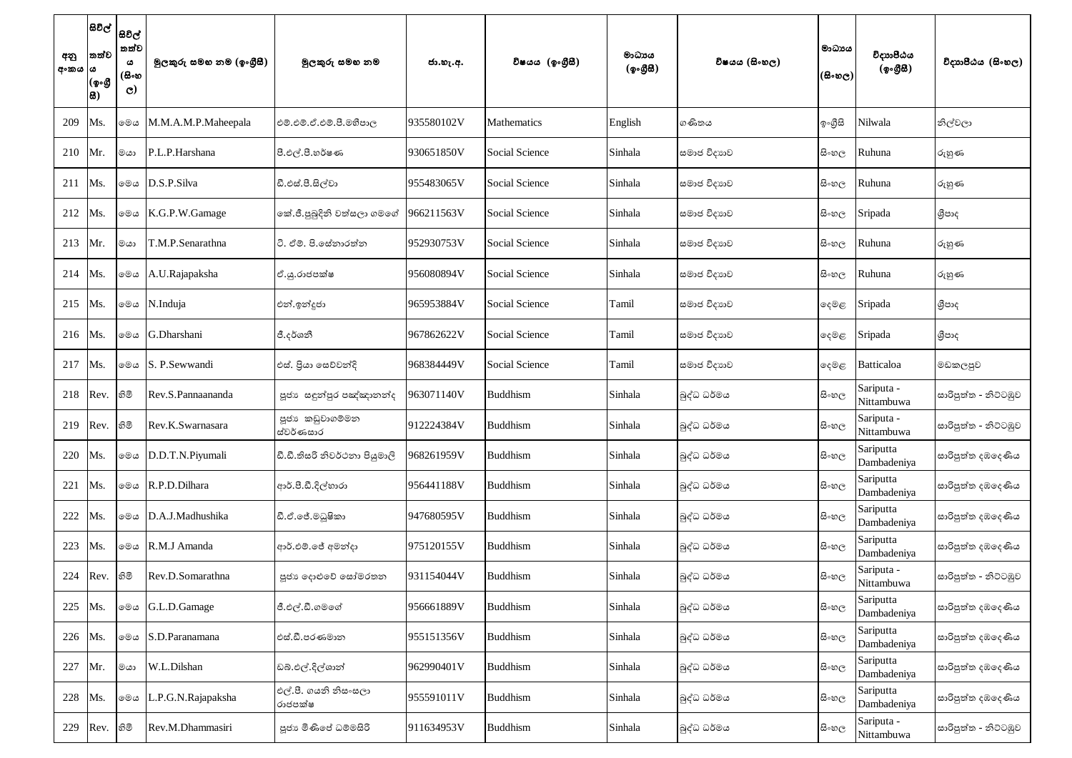| අනු<br>  අංකය  ය | තත්ව<br>(ඉංගී<br>සි) | සිවිල්  <br> සවිල්  <br>තත්ව<br>ය<br>(සිංහ<br>$\mathbf{C}$ | මුලකුරු සමහ නම (ඉංගුීසී) | මුලකුරු සමහ නම                  | ජා.හැ.අ.   | විෂයය (ඉංගීසී)        | මාධායය<br>(ඉංගීසී) | විෂයය (සිංහල) | මාධායය<br>(සිංහල) | විදාහපීඨය<br>(ඉංගීසී)    | විදාහපීඨය (සිංහල)    |
|------------------|----------------------|------------------------------------------------------------|--------------------------|---------------------------------|------------|-----------------------|--------------------|---------------|-------------------|--------------------------|----------------------|
| 209              | Ms.                  | මෙය                                                        | M.M.A.M.P.Maheepala      | එම්.එම්.ඒ.එම්.පී.මහීපාල         | 935580102V | Mathematics           | English            | ගණිතය         | ඉංගීසි            | Nilwala                  | නිල්වලා              |
| 210              | Mr.                  | මයා                                                        | P.L.P.Harshana           | පී.එල්.පී.හර්ෂණ                 | 930651850V | <b>Social Science</b> | Sinhala            | සමාජ විදාහව   | සි∘හල             | Ruhuna                   | රුහුණ                |
| 211              | Ms.                  | මෙය                                                        | D.S.P.Silva              | ඩී.එස්.පී.සිල්වා                | 955483065V | <b>Social Science</b> | Sinhala            | සමාජ විදාහව   | සි∘හල             | Ruhuna                   | රුහුණ                |
| 212              | Ms.                  | මෙය                                                        | K.G.P.W.Gamage           | කේ.ජී.පුබුදිනි වත්සලා ගමගේ      | 966211563V | <b>Social Science</b> | Sinhala            | සමාජ විදාහව   | සි∘හල             | Sripada                  | ශීපාද                |
| 213              | Mr.                  | මයා                                                        | T.M.P.Senarathna         | ටි. ඒම්. පි.සේනාරත්න            | 952930753V | <b>Social Science</b> | Sinhala            | සමාජ විදාහව   | සි∘හල             | Ruhuna                   | රුහුණ                |
| 214              | Ms.                  | මෙය                                                        | A.U.Rajapaksha           | ඒ.යූ.රාජපක්ෂ                    | 956080894V | <b>Social Science</b> | Sinhala            | සමාජ විදාහව   | සි∘හල             | Ruhuna                   | රුහුණ                |
| 215              | Ms.                  | මෙය                                                        | N.Induja                 | එන්.ඉන්දූජා                     | 965953884V | <b>Social Science</b> | Tamil              | සමාජ විදාහව   | දෙමළ              | Sripada                  | ශීපාද                |
| 216              | Ms.                  | මෙය                                                        | G.Dharshani              | ජී.දර්ශනී                       | 967862622V | Social Science        | Tamil              | සමාජ විදාහව   | දෙමළ              | Sripada                  | ශීපාද                |
| 217              | Ms.                  | මෙය                                                        | S. P. Sewwandi           | එස්. පියා සෙව්වන්දි             | 968384449V | <b>Social Science</b> | Tamil              | සමාජ විදාහව   | දෙමළ              | Batticaloa               | මඩකලපුව              |
| 218              | Rev.                 | හිමි                                                       | Rev.S.Pannaananda        | පූජා සඳුන්පුර පඤ්ඤානන්ද         | 963071140V | Buddhism              | Sinhala            | බුද්ධ ධර්මය   | සි∘හල             | Sariputa -<br>Nittambuwa | සාරිපුත්ත - නිට්ටඹුව |
| 219              | Rev.                 | හිමි                                                       | Rev.K.Swarnasara         | පූජා කඩුවාගම්මන<br>ස්වර්ණසාර    | 912224384V | <b>Buddhism</b>       | Sinhala            | බුද්ධ ධර්මය   | සි∘හල             | Sariputa -<br>Nittambuwa | සාරිපුත්ත - නිට්ටඹුව |
| 220              | Ms.                  | මෙය                                                        | D.D.T.N.Piyumali         | ඩී.ඩී.තිසරි නිවර්ථනා පියුමාලි   | 968261959V | <b>Buddhism</b>       | Sinhala            | බුද්ධ ධර්මය   | සි∘හල             | Sariputta<br>Dambadeniya | සාරිපුත්ත දඹදෙණිය    |
| 221              | Ms.                  | මෙය                                                        | R.P.D.Dilhara            | ආර්.පී.ඩී.දිල්හාරා              | 956441188V | <b>Buddhism</b>       | Sinhala            | බුද්ධ ධර්මය   | සි∘හල             | Sariputta<br>Dambadeniya | සාරිපුත්ත දඹදෙණිය    |
| 222              | Ms.                  | මෙය                                                        | D.A.J.Madhushika         | ඩී.ඒ.ජේ.මධුෂිකා                 | 947680595V | <b>Buddhism</b>       | Sinhala            | බුද්ධ ධර්මය   | සි∘හල             | Sariputta<br>Dambadeniya | සාරිපුත්ත දඹදෙණිය    |
| 223              | Ms.                  | මෙය                                                        | R.M.J Amanda             | ආර්.එම්.ජේ අමන්දා               | 975120155V | <b>Buddhism</b>       | Sinhala            | බුද්ධ ධර්මය   | සි∘හල             | Sariputta<br>Dambadeniya | සාරිපුත්ත දඹදෙණිය    |
| 224              | Rev.                 | නිමි                                                       | Rev.D.Somarathna         | පූජා දොළුවේ සෝමරතන              | 931154044V | <b>Buddhism</b>       | Sinhala            | බුද්ධ ධර්මය   | සි∘හල             | Sariputa -<br>Nittambuwa | සාරිපුත්ත - නිට්ටඹුව |
| 225              | Ms.                  | මෙය                                                        | G.L.D.Gamage             | ජී.එල්.ඩී.ගමගේ                  | 956661889V | <b>Buddhism</b>       | Sinhala            | බුද්ධ ධර්මය   | සි∘හල             | Sariputta<br>Dambadeniya | සාරිපුත්ත දඹදෙණිය    |
| 226              | Ms.                  | මෙය                                                        | S.D.Paranamana           | එස්.ඩී.පරණමාන                   | 955151356V | <b>Buddhism</b>       | Sinhala            | බුද්ධ ධර්මය   | සි∘හල             | Sariputta<br>Dambadeniya | සාරිපුත්ත දඹදෙණිය    |
| 227              | Mr.                  | මයා                                                        | W.L.Dilshan              | ඩබ්.එල්.දිල්ශාන්                | 962990401V | <b>Buddhism</b>       | Sinhala            | බුද්ධ ධර්මය   | සි∘හල             | Sariputta<br>Dambadeniya | සාරිපුත්ත දඹදෙණිය    |
| 228              | Ms.                  | මෙය                                                        | .P.G.N.Rajapaksha        | එල්.පී. ගයනි නිසංසලා<br>රාජපක්ෂ | 955591011V | <b>Buddhism</b>       | Sinhala            | බුද්ධ ධර්මය   | සි∘හල             | Sariputta<br>Dambadeniya | සාරිපුත්ත දඹදෙණිය    |
| 229              | Rev.                 | නිමි                                                       | Rev.M.Dhammasiri         | පූජා මිණිසේ ධම්මසිරි            | 911634953V | <b>Buddhism</b>       | Sinhala            | බුද්ධ ධර්මය   | සි∘හල             | Sariputa -<br>Nittambuwa | සාරිපුත්ත - නිට්ටඹුව |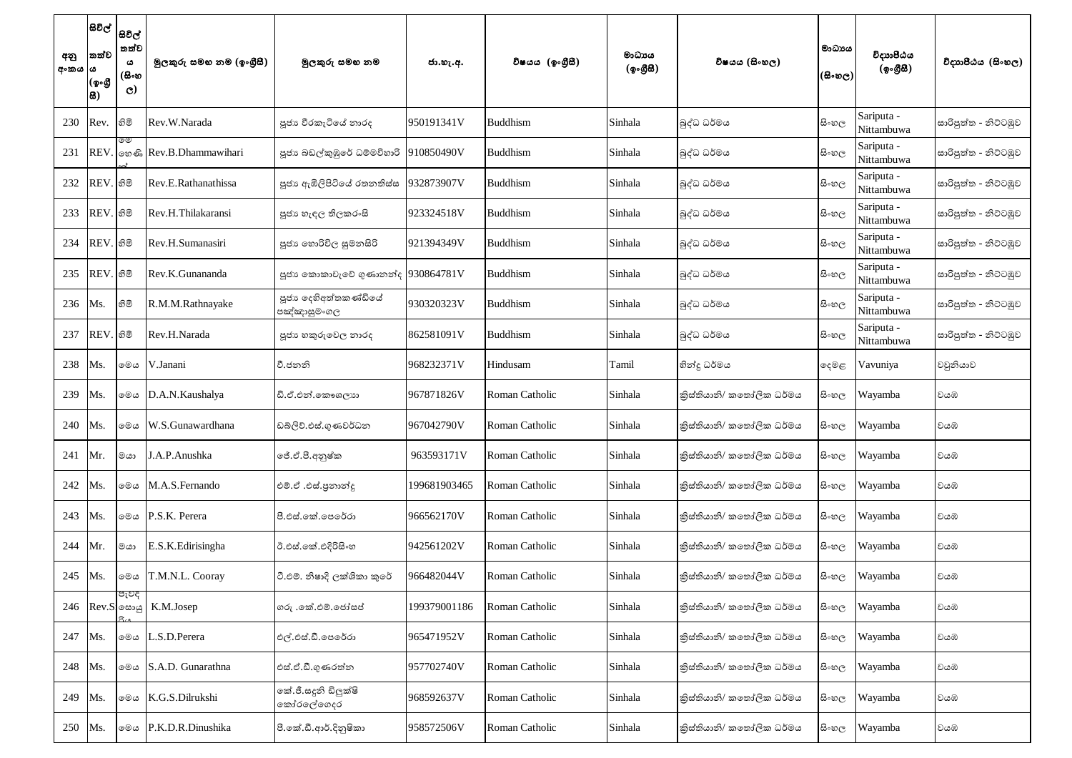| අනු<br>  අංකය | සිවිල්  <br>තත්ව<br>ఴ<br>(ඉංගී<br><b>8)</b> | සිවිල්<br>' තත්ව<br>ය<br>(සිංහ<br>$\mathbf{C}$ | මූලකුරු සමහ නම (ඉංගුීසී) | මූලකුරු සමහ නම                      | ජා.හැ.අ.     | විෂයය (ඉංගීසී)  | මාධායය<br>(ඉංගීසී) | විෂයය (සිංහල)            | මාධායය<br>(සිංහල) | විදාහපීඨය<br>(ඉංගීසී)    | විදාහපීඨය (සිංහල)    |
|---------------|---------------------------------------------|------------------------------------------------|--------------------------|-------------------------------------|--------------|-----------------|--------------------|--------------------------|-------------------|--------------------------|----------------------|
| 230           | Rev.                                        | හිමි                                           | Rev.W.Narada             | පූජා වීරකැටියේ නාරද                 | 950191341V   | <b>Buddhism</b> | Sinhala            | බුද්ධ ධර්මය              | සි∘හල             | Sariputa -<br>Nittambuwa | සාරිපුත්ත - නිට්ටඹුව |
| 231           | <b>REV</b>                                  | ಄಄                                             | லை Rev.B.Dhammawihari    | පූජා බඩල්කුඹුරේ ධම්මවිහාරි          | 910850490V   | Buddhism        | Sinhala            | බුද්ධ ධර්මය              | සි∘හල             | Sariputa -<br>Nittambuwa | සාරිපුත්ත - නිට්ටඹුව |
| 232           | REV. හිමි                                   |                                                | Rev.E.Rathanathissa      | පූජා ඇඹිලිපිටියේ රතනතිස්ස           | 932873907V   | Buddhism        | Sinhala            | බුද්ධ ධර්මය              | සි∘හල             | Sariputa -<br>Nittambuwa | සාරිපුත්ත - නිට්ටඹුව |
| 233           | REV. හිමි                                   |                                                | Rev.H.Thilakaransi       | පූජා හැඳල තිලකරංසි                  | 923324518V   | Buddhism        | Sinhala            | බුද්ධ ධර්මය              | සි∘හල             | Sariputa -<br>Nittambuwa | සාරිපුත්ත - නිට්ටඹුව |
| 234           | REV.                                        | .  හිමි                                        | Rev.H.Sumanasiri         | පූජා හොරිවිල සුමනසිරි               | 921394349V   | Buddhism        | Sinhala            | බුද්ධ ධර්මය              | සි∘හල             | Sariputa -<br>Nittambuwa | සාරිපුත්ත - නිට්ටඹුව |
| 235           | <b>REV</b>                                  | .  හිමි                                        | Rev.K.Gunananda          | පූජා කොකාවැවේ ගුණානන්ද 930864781V   |              | Buddhism        | Sinhala            | බුද්ධ ධර්මය              | සි∘හල             | Sariputa -<br>Nittambuwa | සාරිපුත්ත - නිට්ටඹුව |
| 236           | Ms.                                         | හිමි                                           | R.M.M.Rathnayake         | පූජා දෙහිඅත්තකණ්ඩියේ<br>පඤ්ඤාසුමංගල | 930320323V   | Buddhism        | Sinhala            | බුද්ධ ධර්මය              | සි∘හල             | Sariputa -<br>Nittambuwa | සාරිපුත්ත - නිට්ටඹුව |
| 237           | REV. හිමි                                   |                                                | Rev.H.Narada             | පූජා හකුරුවෙල නාරද                  | 862581091V   | Buddhism        | Sinhala            | බුද්ධ ධර්මය              | සි∘හල             | Sariputa -<br>Nittambuwa | සාරිපුත්ත - නිට්ටඹුව |
| 238           | Ms.                                         | මෙය                                            | V.Janani                 | වී.ජනනි                             | 968232371V   | Hindusam        | Tamil              | හින්දු ධර්මය             | දෙමළ              | Vavuniya                 | වවුනියාව             |
| 239           | Ms.                                         | මෙය                                            | D.A.N.Kaushalya          | ඩි.ඒ.එන්.කෞශලාන                     | 967871826V   | Roman Catholic  | Sinhala            | කිස්තියානි/ කතෝලික ධර්මය | සි∘හල             | Wayamba                  | වයඹ                  |
| 240           | Ms.                                         | මෙය                                            | W.S.Gunawardhana         | ඩබ්ලිව්.එස්.ගුණවර්ධන                | 967042790V   | Roman Catholic  | Sinhala            | කිස්තියානි/ කතෝලික ධර්මය | සි∘හල             | Wayamba                  | වයඹ                  |
| 241           | Mr.                                         | මයා                                            | J.A.P.Anushka            | ජේ.ඒ.පී.අනුෂ්ක                      | 963593171V   | Roman Catholic  | Sinhala            | කිස්තියානි/ කතෝලික ධර්මය | සි∘හල             | Wayamba                  | වයඹ                  |
| 242           | Ms.                                         | මෙය                                            | M.A.S.Fernando           | එම්.ඒ .එස්.පුනාන්දු                 | 199681903465 | Roman Catholic  | Sinhala            | කිස්තියානි/ කතෝලික ධර්මය | සි∘හල             | Wayamba                  | වයඹ                  |
| 243           | Ms.                                         | මෙය                                            | P.S.K. Perera            | පී.එස්.කේ.පෙරේරා                    | 966562170V   | Roman Catholic  | Sinhala            | කිස්තියානි/ කතෝලික ධර්මය | සි∘හල             | Wayamba                  | වයඹ                  |
| 244           | Mr.                                         | මයා                                            | E.S.K.Edirisingha        | ඊ.එස්.කේ.එදිරිසිංහ                  | 942561202V   | Roman Catholic  | Sinhala            | කිස්තියානි/ කතෝලික ධර්මය | සි∘හල             | Wayamba                  | වයඹ                  |
| 245           | Ms.                                         | මෙය                                            | T.M.N.L. Cooray          | ටී.එම්. නිෂාදි ලක්ශිකා කුරේ         | 966482044V   | Roman Catholic  | Sinhala            | කිස්තියානි/ කතෝලික ධර්මය | සි∘හල             | Wayamba                  | වයඹ                  |
| 246           |                                             | පැවදි<br>$ Rev.S $ ලසායු                       | K.M.Josep                | ගරු .කේ.එම්.ජෝසප්                   | 199379001186 | Roman Catholic  | Sinhala            | කිස්තියානි/ කතෝලික ධර්මය | සි∘හල             | Wayamba                  | වයඹ                  |
| 247           | Ms.                                         | මෙය                                            | L.S.D.Perera             | එල්.එස්.ඩී.පෙරේරා                   | 965471952V   | Roman Catholic  | Sinhala            | කිස්තියානි/ කතෝලික ධර්මය | සි∘හල             | Wayamba                  | වයඹ                  |
| 248           | Ms.                                         | මෙය                                            | S.A.D. Gunarathna        | එස්.ඒ.ඩී.ගුණරත්න                    | 957702740V   | Roman Catholic  | Sinhala            | කිස්තියානි/ කතෝලික ධර්මය | සි∘හල             | Wayamba                  | වයඹ                  |
| 249           | Ms.                                         | මෙය                                            | K.G.S.Dilrukshi          | කේ.ජී.සදුනි ඩිලුක්ෂි<br>කෝරලේගෙදර   | 968592637V   | Roman Catholic  | Sinhala            | කිස්තියානි/ කතෝලික ධර්මය | සි∘හල             | Wayamba                  | වයඹ                  |
| 250           | Ms.                                         | මෙය                                            | P.K.D.R.Dinushika        | පී.කේ.ඩී.ආර්.දිනුෂිකා               | 958572506V   | Roman Catholic  | Sinhala            | කිස්තියානි/ කතෝලික ධර්මය | සි∘හල             | Wayamba                  | වයඹ                  |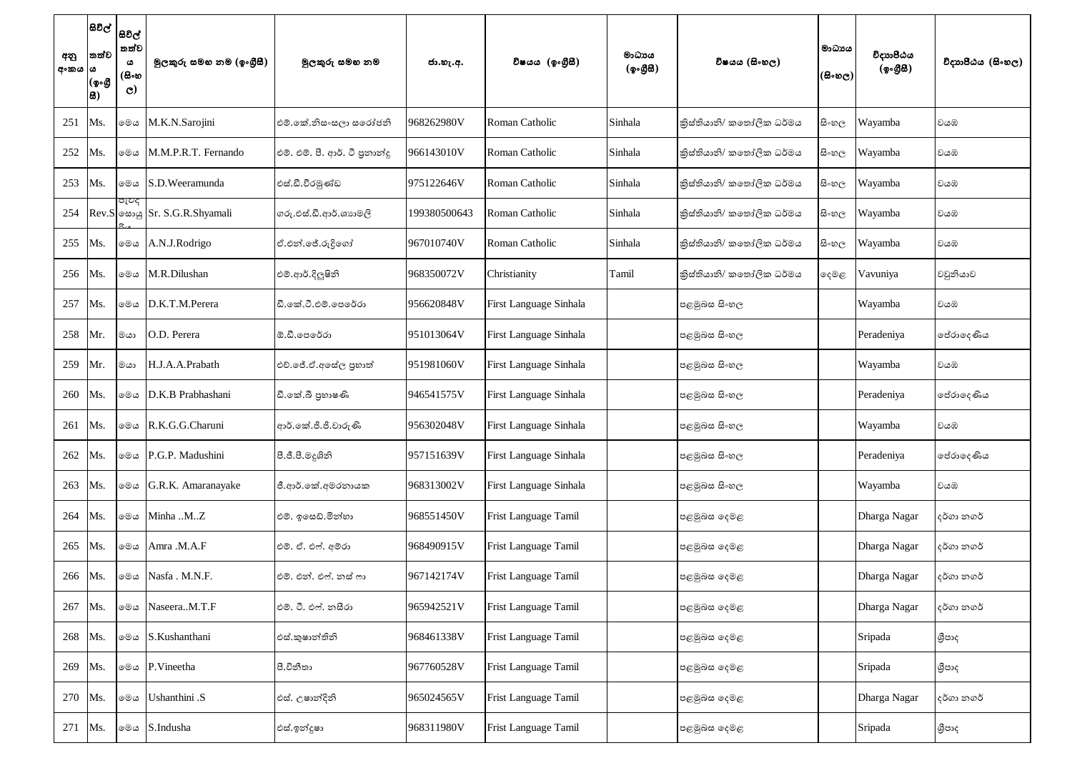| අනු<br>අංකය  ය | සිවිල්  <br>සවිල්  <br>තත්ව<br>(ඉංගී<br> සි) | තත්ව<br>ය<br>(සිංහ<br>$\mathbf{C}$ | මූලකුරු සමහ නම (ඉංගුීසී)            | මූලකුරු සමහ නම                 | ජා.හැ.අ.     | විෂයය (ඉංගීසී)              | මාධාපය<br>(ඉංගීසි) | විෂයය (සිංහල)            | මාධාපය<br>(සිංහල) | විදාහපීඨය<br>(ඉංගීසි) | විදාහපීඨය (සිංහල) |
|----------------|----------------------------------------------|------------------------------------|-------------------------------------|--------------------------------|--------------|-----------------------------|--------------------|--------------------------|-------------------|-----------------------|-------------------|
| 251            | Ms.                                          | මෙය                                | M.K.N.Sarojini                      | එම්.කේ.නිස∘සලා සරෝජනි          | 968262980V   | Roman Catholic              | Sinhala            | කිස්තියානි/ කතෝලික ධර්මය | සි∘හල             | Wayamba               | වයඹ               |
| 252            | Ms.                                          | මෙය                                | M.M.P.R.T. Fernando                 | එම්. එම්. පී. ආර්. ටී පුනාන්දු | 966143010V   | Roman Catholic              | Sinhala            | කිස්තියානි/ කතෝලික ධර්මය | සි∘හල             | Wayamba               | වයඹ               |
| 253            | Ms.                                          | මෙය                                | S.D.Weeramunda                      | එස්.ඩී.වීරමුණ්ඩ                | 975122646V   | Roman Catholic              | Sinhala            | කිස්තියානි/ කතෝලික ධර්මය | සි∘හල             | Wayamba               | වයඹ               |
| 254            |                                              | පැවද                               | Rev.S $\circ$ ல் Sr. S.G.R.Shyamali | ගරු.එස්.ඩී.ආර්.ශානමලි          | 199380500643 | Roman Catholic              | Sinhala            | කිස්තියානි/ කතෝලික ධර්මය | සි∘හල             | Wayamba               | වයඹ               |
| 255            | Ms.                                          | මෙය                                | A.N.J.Rodrigo                       | ඒ.එන්.ජේ.රුදිගෝ                | 967010740V   | Roman Catholic              | Sinhala            | කිස්තියානි/ කතෝලික ධර්මය | සි∘හල             | Wayamba               | වයඹ               |
| 256            | Ms.                                          | මෙය                                | M.R.Dilushan                        | එම්.ආර්.දිලුෂිනි               | 968350072V   | Christianity                | Tamil              | කිස්තියානි/ කතෝලික ධර්මය | දෙමළ              | Vavuniya              | වවුනියාව          |
| 257            | Ms.                                          | මෙය                                | D.K.T.M.Perera                      | ඩී.කේ.ටී.එම්.පෙරේරා            | 956620848V   | First Language Sinhala      |                    | පළමුබස සිංහල             |                   | Wayamba               | වයඹ               |
| 258            | Mr.                                          | මයා                                | O.D. Perera                         | ඕ.ඩී.පෙරේරා                    | 951013064V   | First Language Sinhala      |                    | පළමුබස සිංහල             |                   | Peradeniya            | පේරාදෙණිය         |
| 259            | Mr.                                          | මයා                                | H.J.A.A.Prabath                     | එච්.ජේ.ඒ.අසේල පුහාත්           | 951981060V   | First Language Sinhala      |                    | පළමුබස සිංහල             |                   | Wayamba               | වයඹ               |
| 260            | Ms.                                          | මෙය                                | D.K.B Prabhashani                   | ඩී.කේ.බී පුහාෂණි               | 946541575V   | First Language Sinhala      |                    | පළමුබස සිංහල             |                   | Peradeniya            | පේරාදෙණිය         |
| 261            | Ms.                                          | මෙය                                | R.K.G.G.Charuni                     | ආර්.කේ.ජී.ජී.චාරුණි            | 956302048V   | First Language Sinhala      |                    | පළමුබස සිංහල             |                   | Wayamba               | වයඹ               |
| 262            | Ms.                                          | මෙය                                | P.G.P. Madushini                    | පී.ජී.පී.මදුශිනි               | 957151639V   | First Language Sinhala      |                    | පළමුබස සිංහල             |                   | Peradeniya            | ජේරාදෙණිය         |
| 263            | Ms.                                          | මෙය                                | G.R.K. Amaranayake                  | ජී.ආර්.කේ.අමරනායක              | 968313002V   | First Language Sinhala      |                    | පළමුබස සිංහල             |                   | Wayamba               | වයඹ               |
| 264            | Ms.                                          | මෙය                                | Minha MZ                            | එම්. ඉසෙඩ්.මින්හා              | 968551450V   | <b>Frist Language Tamil</b> |                    | පළමුබස දෙමළ              |                   | Dharga Nagar          | දර්ගා නගර්        |
| 265            | Ms.                                          | මෙය                                | Amra .M.A.F                         | එම්. ඒ. එෆ්. අම්රා             | 968490915V   | <b>Frist Language Tamil</b> |                    | පළමුබස දෙමළ              |                   | Dharga Nagar          | දර්ගා නගර්        |
| 266            | Ms.                                          | මෙය                                | Nasfa. M.N.F.                       | එම්. එන්. එෆ්. නස් ෆා          | 967142174V   | <b>Frist Language Tamil</b> |                    | පළමුබස දෙමළ              |                   | Dharga Nagar          | දර්ගා නගර්        |
| 267            | Ms.                                          | මෙය                                | NaseeraM.T.F                        | එම්. ටී. එෆ්. නසීරා            | 965942521V   | <b>Frist Language Tamil</b> |                    | පළමුබස දෙමළ              |                   | Dharga Nagar          | දර්ගා නගර්        |
| 268            | Ms.                                          |                                    | லை S.Kushanthani                    | එස්.කුෂාන්තිනි                 | 968461338V   | <b>Frist Language Tamil</b> |                    | පළමුබස දෙමළ              |                   | Sripada               | ශීපාද             |
| 269            | Ms.                                          | මෙය                                | P.Vineetha                          | පී.විනීතා                      | 967760528V   | <b>Frist Language Tamil</b> |                    | පළමුබස දෙමළ              |                   | Sripada               | ශීපාද             |
| 270            | Ms.                                          | මෙය                                | Ushanthini .S                       | එස්. උෂාන්දිනි                 | 965024565V   | <b>Frist Language Tamil</b> |                    | පළමුබස දෙමළ              |                   | Dharga Nagar          | දර්ගා නගර්        |
| 271            | Ms.                                          | මෙය                                | S.Indusha                           | එස්.ඉන්දුෂා                    | 968311980V   | Frist Language Tamil        |                    | පළමුබස දෙමළ              |                   | Sripada               | ශීපාද             |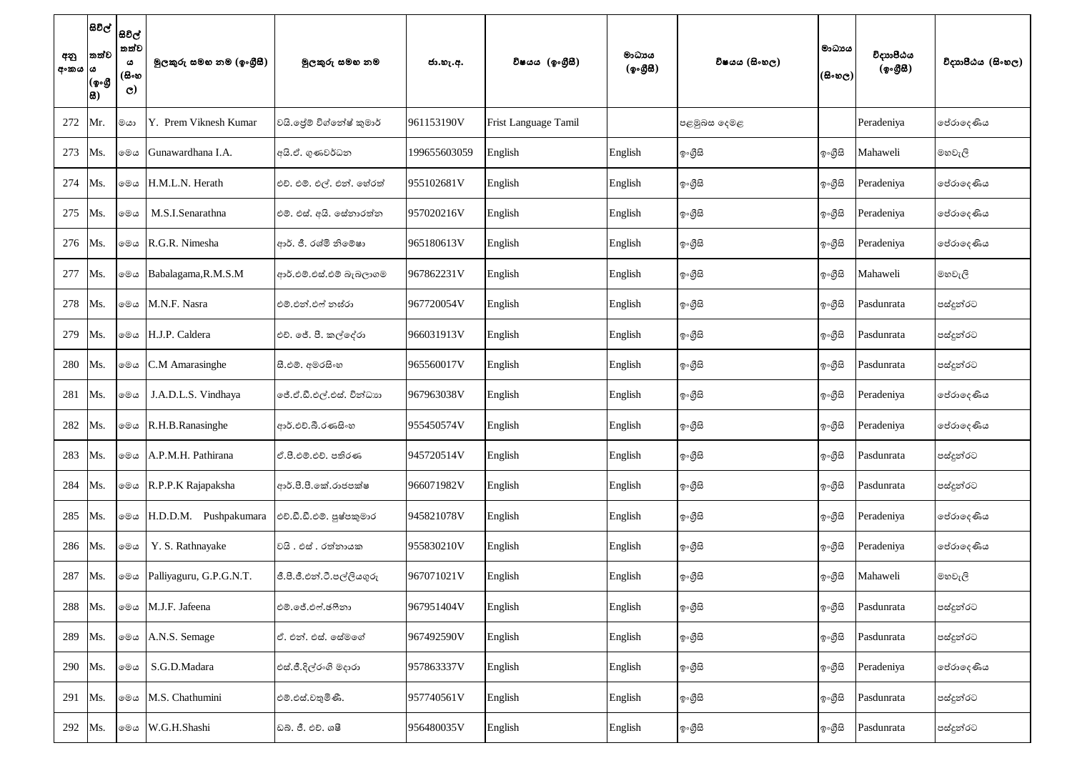| අනු<br>අංකය  ය | තත්ව<br>(ඉංගී<br>සි) | සිවිල්  <br>සවිල්  <br>තත්ව<br>ය<br>(සිංහ<br>$\mathbf{C}$ | මූලකුරු සමහ නම (ඉංගුීසී) | මුලකුරු සමහ නම             | ජා.හැ.අ.     | විෂයය (ඉංගීසී)       | මාධායය<br>(ඉංගීසී) | විෂයය (සිංහල) | මාධායය<br>(සිංහල) | විදාහපීඨය<br>(ඉංගීසී) | විදාහපීඨය (සිංහල) |
|----------------|----------------------|-----------------------------------------------------------|--------------------------|----------------------------|--------------|----------------------|--------------------|---------------|-------------------|-----------------------|-------------------|
| 272            | Mr.                  | මයා                                                       | Y. Prem Viknesh Kumar    | වයි. ජේම් විග්තේෂ් කුමාර්  | 961153190V   | Frist Language Tamil |                    | පළමුබස දෙමළ   |                   | Peradeniya            | ජේරාදෙණිය         |
| 273            | Ms.                  | මෙය                                                       | Gunawardhana I.A.        | අයි.ඒ. ගුණවර්ධන            | 199655603059 | English              | English            | ඉ∘ගීුසි       | ඉංගීසි            | Mahaweli              | මහවැලි            |
| 274            | Ms.                  | මෙය                                                       | H.M.L.N. Herath          | එච්. එම්. එල්. එන්. හේරත්  | 955102681V   | English              | English            | ඉ∘ගීුසි       | ඉංගීසි            | Peradeniya            | ජේරාදෙණිය         |
| 275            | Ms.                  | මෙය                                                       | M.S.I.Senarathna         | එම්. එස්. අයි. සේනාරත්න    | 957020216V   | English              | English            | ඉංගීසි        | ඉංගීසි            | Peradeniya            | ජේරාදෙණිය         |
| 276            | Ms.                  | මෙය                                                       | R.G.R. Nimesha           | ආර්. ජී. රශ්මි නිමේෂා      | 965180613V   | English              | English            | ඉ∘ගීුසි       | ඉංගීසි            | Peradeniya            | පේරාදෙණිය         |
| 277            | Ms.                  | මෙය                                                       | Babalagama, R.M.S.M      | ආර්.එම්.එස්.එම් බැබලාගම    | 967862231V   | English              | English            | ඉංගීසි        | ඉංගීසි            | Mahaweli              | මහවැලි            |
| 278            | Ms.                  | මෙය                                                       | M.N.F. Nasra             | එම්.එන්.ඵෆ් නඝ්රා          | 967720054V   | English              | English            | ඉංගීසි        | ඉංගීසි            | Pasdunrata            | පස්දූන්රට         |
| 279            | Ms.                  | මෙය                                                       | H.J.P. Caldera           | එච්. ජේ. පී. කල්දේරා       | 966031913V   | English              | English            | ඉංගීසි        | ඉංගීසි            | Pasdunrata            | පස්දුන්රට         |
| 280            | Ms.                  | මෙය                                                       | C.M Amarasinghe          | සී.එම්. අමරසිංහ            | 965560017V   | English              | English            | ඉංගීසි        | ඉංගීසි            | Pasdunrata            | පස්දුන්රට         |
| 281            | Ms.                  | මෙය                                                       | J.A.D.L.S. Vindhaya      | මේ.ඒ.ඩී.එල්.එස්. වින්ධාහ   | 967963038V   | English              | English            | ඉංගීසි        | ඉංගීසි            | Peradeniya            | ජේරාදෙණිය         |
| 282            | Ms.                  | මෙය                                                       | R.H.B.Ranasinghe         | ආර්.එච්.බී.රණසිංහ          | 955450574V   | English              | English            | ඉංගීසි        | ඉංගීසි            | Peradeniya            | ජේරාදෙණිය         |
| 283            | Ms.                  | මෙය                                                       | A.P.M.H. Pathirana       | ඒ.පී.එම්.එච්. පතිරණ        | 945720514V   | English              | English            | ඉංගීසි        | ඉ∘ගීුසි           | Pasdunrata            | පස්දුන්රට         |
| 284            | Ms.                  | මෙය                                                       | R.P.P.K Rajapaksha       | ආර්.පී.පී.කේ.රාජපක්ෂ       | 966071982V   | English              | English            | ඉංගීසි        | ඉංගීසි            | Pasdunrata            | පස්දුන්රට         |
| 285            | Ms.                  | මෙය                                                       | H.D.D.M. Pushpakumara    | එච්.ඩී.ඩී.එම්. පුෂ්පකුමාර  | 945821078V   | English              | English            | ඉංගීසි        | ඉංගීසි            | Peradeniya            | ජේරාදෙණිය         |
| 286            | Ms.                  | මෙය                                                       | Y. S. Rathnayake         | වයි. එස් . රත්නායක         | 955830210V   | English              | English            | ඉංගීසි        | ඉංගීසි            | Peradeniya            | පේරාදෙණිය         |
| 287            | Ms.                  | මෙය                                                       | Palliyaguru, G.P.G.N.T.  | ජී.පී.ජී.එන්.ටී.පල්ලියගුරු | 967071021V   | English              | English            | ඉ∘ගීසි        | ඉංගීසි            | Mahaweli              | මහවැලි            |
| 288            | Ms.                  | මෙය                                                       | M.J.F. Jafeena           | එම්.ජේ.එෆ්.ජෆීනා           | 967951404V   | English              | English            | ඉංගීසි        | ඉ∘ගීුසි           | Pasdunrata            | පස්දුන්රට         |
| 289            | Ms.                  | මෙය                                                       | A.N.S. Semage            | ඒ. එන්. එස්. සේමගේ         | 967492590V   | English              | English            | ඉංගීසි        | ඉංගීසි            | Pasdunrata            | පස්දුන්රට         |
| 290            | Ms.                  | මෙය                                                       | S.G.D.Madara             | එස්.ජී.දිල්රංගි මදාරා      | 957863337V   | English              | English            | ඉංගීසි        | ඉංගීසි            | Peradeniya            | ජේරාදෙණිය         |
| 291            | Ms.                  | මෙය                                                       | M.S. Chathumini          | එම්.එස්.චතුමිණි.           | 957740561V   | English              | English            | ඉංගීසි        | ඉංගීසි            | Pasdunrata            | පස්දුන්රට         |
| 292            | Ms.                  | මෙය                                                       | W.G.H.Shashi             | ඩබ්. ජී. එච්. ශෂී          | 956480035V   | English              | English            | ඉ∘ගීුසි       | ඉ∘ගීුසි           | Pasdunrata            | පස්දුන්රට         |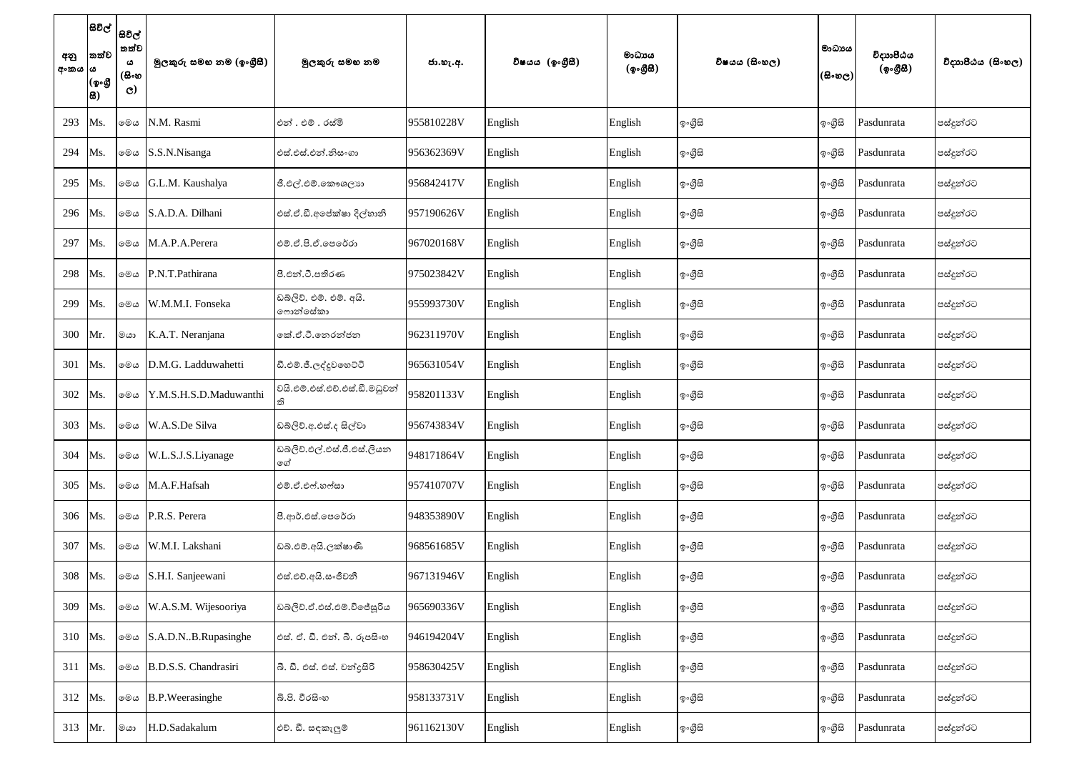| අනු<br>අංකය ය | $ \texttt{B}$ වල් $ $<br>තත්ව<br>(ඉංගී<br> සි) | සවිල්<br>තත්ව<br>ය<br>(සිංහ<br>$\mathbf{C}$ | මූලකුරු සමහ නම (ඉංගුීසී) | මුලකුරු සමහ නම                      | ජා.හැ.අ.   | විෂයය (ඉංගීසී) | මාධායය<br>(ඉංගීසී) | විෂයය (සිංහල) | මාධායය<br>(සිංහල) | විදාාාපීඨය<br>(ඉංගීසී) | විදාහපීඨය (සිංහල) |
|---------------|------------------------------------------------|---------------------------------------------|--------------------------|-------------------------------------|------------|----------------|--------------------|---------------|-------------------|------------------------|-------------------|
| 293           | Ms.                                            | මෙය                                         | N.M. Rasmi               | එන් . එම් . රස්මි                   | 955810228V | English        | English            | ඉංගීසි        | ඉංගීසි            | Pasdunrata             | පස්දුන්රට         |
| 294           | Ms.                                            |                                             | ⊚මය S.S.N.Nisanga        | එස්.එස්.එන්.නිසංගා                  | 956362369V | English        | English            | ඉංගීසි        | ඉ∘ගීුසි           | Pasdunrata             | පස්දුන්රට         |
| 295           | Ms.                                            | මෙය                                         | G.L.M. Kaushalya         | ජී.එල්.එම්.කෞශලාහ                   | 956842417V | English        | English            | ඉ∘ගීුසි       | ඉංගීසි            | Pasdunrata             | පස්දුන්රට         |
| 296           | Ms.                                            | මෙය                                         | S.A.D.A. Dilhani         | එස්.ඒ.ඩී.අපේක්ෂා දිල්හානි           | 957190626V | English        | English            | ඉංගීසි        | ඉංගීසි            | Pasdunrata             | පස්දුන්රට         |
| 297           | Ms.                                            | මෙය                                         | M.A.P.A.Perera           | එම්.ඒ.පි.ඒ.පෙරේරා                   | 967020168V | English        | English            | ඉංගීසි        | ඉංගීසි            | Pasdunrata             | පස්දුන්රට         |
| 298           | Ms.                                            |                                             | මෙය P.N.T.Pathirana      | පී.එන්.ටී.පතිරණ                     | 975023842V | English        | English            | ඉ∘ගීුසි       | ඉ∘ගීුසි           | Pasdunrata             | පස්දුන්රට         |
| 299           | Ms.                                            | මෙය                                         | W.M.M.I. Fonseka         | ඩබලිව්. එම්. එම්. අයි.<br>ෆොන්සේකා  | 955993730V | English        | English            | ඉංගීසි        | ඉංගීසි            | Pasdunrata             | පස්දුන්රට         |
| 300           | Mr.                                            | මයා                                         | K.A.T. Neranjana         | කේ.ඒ.ටී.තෙරන්ජන                     | 962311970V | English        | English            | ඉ∘ගීුසි       | ඉ∘ගීුසි           | Pasdunrata             | පස්දුන්රට         |
| 301           | Ms.                                            | මෙය                                         | D.M.G. Ladduwahetti      | ඩී.එම්.ජී.ලද්දුවහෙට්ටි              | 965631054V | English        | English            | ඉංගීසි        | ඉංගීසි            | Pasdunrata             | පස්දුන්රට         |
| 302           | Ms.                                            | මෙය                                         | Y.M.S.H.S.D.Maduwanthi   | වයි.එම්.එස්.එච්.එස්.ඩී.මධුවන්<br>ති | 958201133V | English        | English            | ඉංගීසි        | ඉංගීසි            | Pasdunrata             | පස්දුන්රට         |
| 303           | Ms.                                            | මෙය                                         | W.A.S.De Silva           | ඩබ්ලිව්.අ.එස්.ද සිල්වා              | 956743834V | English        | English            | ඉංගීසි        | ඉංගීසි            | Pasdunrata             | පස්දුන්රට         |
| 304           | Ms.                                            | මෙය                                         | W.L.S.J.S.Liyanage       | ඩබ්ලිව්.එල්.එස්.ජී.එස්.ලියන<br>ගේ   | 948171864V | English        | English            | ඉංගීසි        | ඉංගීසි            | Pasdunrata             | පස්දුන්රට         |
| 305           | Ms.                                            | මෙය                                         | M.A.F.Hafsah             | එම්.ඒ.එෆ්.හෆ්සා                     | 957410707V | English        | English            | ඉංගීසි        | ඉංගීසි            | Pasdunrata             | පස්දුන්රට         |
| 306           | Ms.                                            |                                             | මෙය P.R.S. Perera        | පී.ආර්.එස්.පෙරේරා                   | 948353890V | English        | English            | ඉංගීසි        | ඉ∘ගීුසි           | Pasdunrata             | පස්දුන්රට         |
| 307           | Ms.                                            | මෙය                                         | W.M.I. Lakshani          | ඩබ්.එම්.අයි.ලක්ෂාණි                 | 968561685V | English        | English            | ඉංගීසි        | ඉංගීසි            | Pasdunrata             | පස්දුන්රට         |
| 308           | Ms.                                            |                                             | ⊚®ය S.H.I. Sanjeewani    | එස්.එච්.අයි.සංජීවනී                 | 967131946V | English        | English            | ඉංගීසි        | ඉංගීසි            | Pasdunrata             | පස්දුන්රට         |
| 309           | Ms.                                            | මෙය                                         | W.A.S.M. Wijesooriya     | ඩබ්ලිව්.ඒ.එස්.එම්.විජේසූරිය         | 965690336V | English        | English            | ඉංගීසි        | ඉංගීසි            | Pasdunrata             | පස්දුන්රට         |
| 310           | Ms.                                            |                                             | ⊚මය S.A.D.NB.Rupasinghe  | එස්. ඒ. ඩී. එන්. බී. රූපසිංහ        | 946194204V | English        | English            | ඉංගීසි        | ඉංගීසි            | Pasdunrata             | පස්දුන්රට         |
| 311           | Ms.                                            | මෙය                                         | B.D.S.S. Chandrasiri     | බී. ඩී. එස්. එස්. චන්දුසිරි         | 958630425V | English        | English            | ඉංගීසි        | ඉංගීසි            | Pasdunrata             | පස්දුන්රට         |
| 312           | Ms.                                            | මෙය                                         | B.P.Weerasinghe          | බී.පි. වීරසිංහ                      | 958133731V | English        | English            | ඉංගීසි        | ඉ∘ගීසි            | Pasdunrata             | පස්දුන්රට         |
| 313           | Mr.                                            | මයා                                         | H.D.Sadakalum            | එච්. ඩී. සඳකැලුම්                   | 961162130V | English        | English            | ඉ∘ගීුසි       | ඉ∘ගීුසි           | Pasdunrata             | පස්දුන්රට         |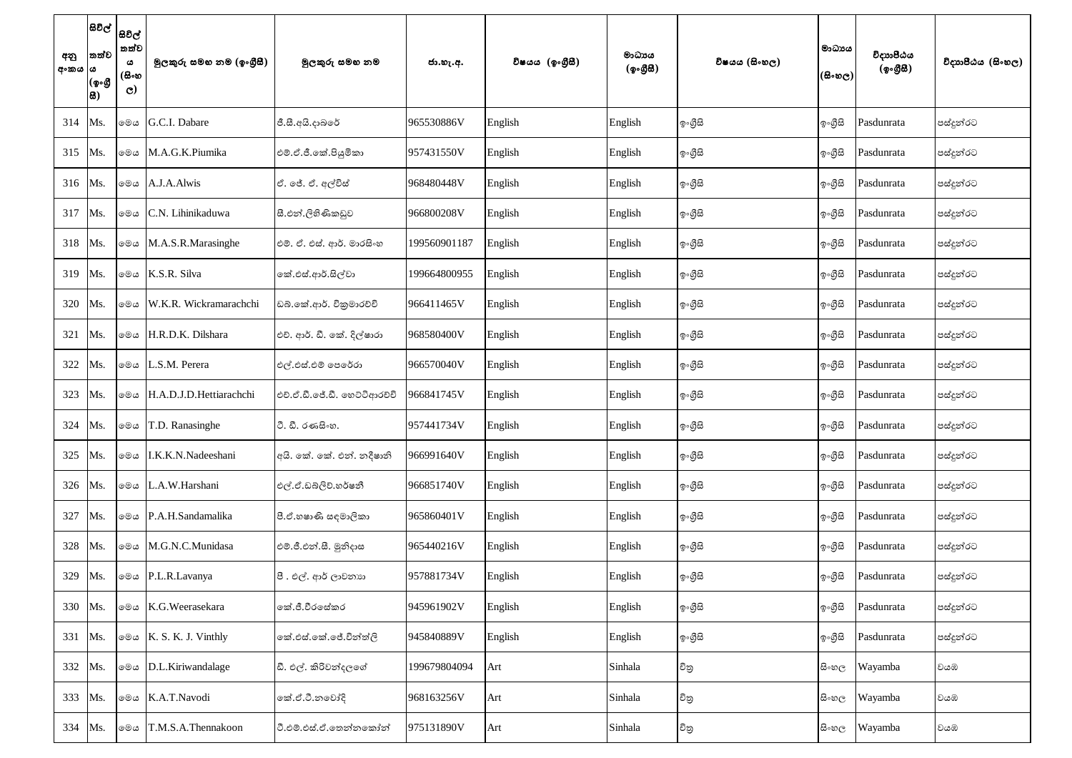| අනු<br>අංකය  ය | $ \texttt{B}$ වල් $ $<br>තත්ව<br>(ඉංගී<br> සි) | සිවිල්<br>තත්ව<br>ය<br>(සිංහ<br>$\mathbf{C}$ | මූලකුරු සමහ නම (ඉංගුීසී)            | මුලකුරු සමහ නම               | ජා.හැ.අ.     | විෂයය (ඉංගීසී) | මාධායය<br>(ඉංගීසී) | විෂයය (සිංහල) | මාධායය<br>(සිංහල) | විදාහපීඨය<br>(ඉංගීසී) | විදාහපීඨය (සිංහල) |
|----------------|------------------------------------------------|----------------------------------------------|-------------------------------------|------------------------------|--------------|----------------|--------------------|---------------|-------------------|-----------------------|-------------------|
| 314            | Ms.                                            | මෙය                                          | G.C.I. Dabare                       | ජී.සී.අයි.දාබරේ              | 965530886V   | English        | English            | ඉංගීසි        | ඉංගීසි            | Pasdunrata            | පස්දූන්රට         |
| 315            | Ms.                                            | මෙය                                          | M.A.G.K.Piumika                     | එම්.ඒ.ජී.කේ.පියුමිකා         | 957431550V   | English        | English            | ඉංගීසි        | ඉංගීසි            | Pasdunrata            | පස්දූන්රට         |
| 316            | Ms.                                            | මෙය                                          | A.J.A.Alwis                         | ඒ. ජේ. ඒ. අල්විස්            | 968480448V   | English        | English            | ඉ∘ගීුසි       | ඉංගීසි            | Pasdunrata            | පස්දුන්රට         |
| 317            | Ms.                                            | මෙය                                          | C.N. Lihinikaduwa                   | සී.එන්.ලිහිණිකඩුව            | 966800208V   | English        | English            | ඉ∘ගීුසි       | ඉ∘ගීුසි           | Pasdunrata            | පස්දූන්රට         |
| 318            | Ms.                                            | මෙය                                          | M.A.S.R.Marasinghe                  | එම්. ඒ. එස්. ආර්. මාරසිංහ    | 199560901187 | English        | English            | ඉංගීසි        | ඉංගීසි            | Pasdunrata            | පස්දුන්රට         |
| 319            | Ms.                                            | මෙය                                          | K.S.R. Silva                        | කේ.එස්.ආර්.සිල්වා            | 199664800955 | English        | English            | ඉ∘ගීුසි       | ඉ∘ගීුසි           | Pasdunrata            | පස්දූන්රට         |
| 320            | Ms.                                            | මෙය                                          | W.K.R. Wickramarachchi              | ඩබ්.කේ.ආර්. විකුමාරච්චි      | 966411465V   | English        | English            | ඉ∘ගීුසි       | ඉංගීසි            | Pasdunrata            | පස්දූන්රට         |
| 321            | Ms.                                            | මෙය                                          | H.R.D.K. Dilshara                   | එච්. ආර්. ඩී. කේ. දිල්ෂාරා   | 968580400V   | English        | English            | ඉ∘ගීුසි       | ඉංගීසි            | Pasdunrata            | පස්දූන්රට         |
| 322            | Ms.                                            | මෙය                                          | L.S.M. Perera                       | එල්.එස්.එම් පෙරේරා           | 966570040V   | English        | English            | ඉ∘ගීුසි       | ඉංගීසි            | Pasdunrata            | පස්දුන්රට         |
| 323            | Ms.                                            | මෙය                                          | H.A.D.J.D.Hettiarachchi             | එච්.ඒ.ඩී.ජේ.ඩී. හෙට්ටිආරච්චි | 966841745V   | English        | English            | ඉංගීසි        | ඉංගීසි            | Pasdunrata            | පස්දුන්රට         |
| 324            | Ms.                                            | මෙය                                          | T.D. Ranasinghe                     | ී. ඩී. රණසිංහ.               | 957441734V   | English        | English            | ඉංගීසි        | ඉංගීසි            | Pasdunrata            | පස්දුන්රට         |
| 325            | Ms.                                            | මෙය                                          | I.K.K.N.Nadeeshani                  | අයි. කේ. කේ. එන්. නදීෂානි    | 966991640V   | English        | English            | ඉංගීසි        | ඉංගීසි            | Pasdunrata            | පස්දුන්රට         |
| 326            | Ms.                                            |                                              | මෙය L.A.W.Harshani                  | එල්.ඒ.ඩබ්ලිව්.හර්ෂනී         | 966851740V   | English        | English            | ඉංගීසි        | ඉංගීසි            | Pasdunrata            | පස්දුන්රට         |
| 327            | Ms.                                            | මෙය                                          | P.A.H.Sandamalika                   | පී.ඒ.හෂාණි සඳමාලිකා          | 965860401V   | English        | English            | ඉංගීසි        | ඉංගීසි            | Pasdunrata            | පස්දුන්රට         |
| 328            | Ms.                                            | මෙය                                          | M.G.N.C.Munidasa                    | එම්.ජී.එන්.සී. මුනිදාස       | 965440216V   | English        | English            | ඉංගීසි        | ඉංගීසි            | Pasdunrata            | පස්දුන්රට         |
| 329            | Ms.                                            |                                              | ⊚මය P.L.R.Lavanya                   | පී. එල්. ආර් ලාවනාහ          | 957881734V   | English        | English            | ඉ∘ගීුසි       | ඉංගීසි            | Pasdunrata            | පස්දුන්රට         |
| 330            | Ms.                                            |                                              | මෙය K.G.Weerasekara                 | කේ.ජී.වීරසේකර                | 945961902V   | English        | English            | ඉංගීසි        | ඉංගීසි            | Pasdunrata            | පස්දූන්රට         |
| 331            | Ms.                                            |                                              | $\circ$ $\circ$ K. S. K. J. Vinthly | කේ.එස්.කේ.ජේ.වින්ත්ලි        | 945840889V   | English        | English            | ඉංගීසි        | ඉංගීසි            | Pasdunrata            | පස්දුන්රට         |
| 332            | Ms.                                            |                                              | @@c D.L.Kiriwandalage               | ඩී. එල්. කිරිවන්දලගේ         | 199679804094 | Art            | Sinhala            | චිතු          | සි∘හල             | Wayamba               | වයඹ               |
| 333            | Ms.                                            | මෙය                                          | K.A.T.Navodi                        | කේ.ඒ.ටී.නුවෝදි               | 968163256V   | Art            | Sinhala            | චිතු          | සි∘හල             | Wayamba               | වයඹ               |
| 334            | Ms.                                            | මෙය                                          | T.M.S.A.Thennakoon                  | ටී.එම්.එස්.ඒ.තෙන්නකෝන්       | 975131890V   | Art            | Sinhala            | චිතු          | සි∘හල             | Wayamba               | වයඹ               |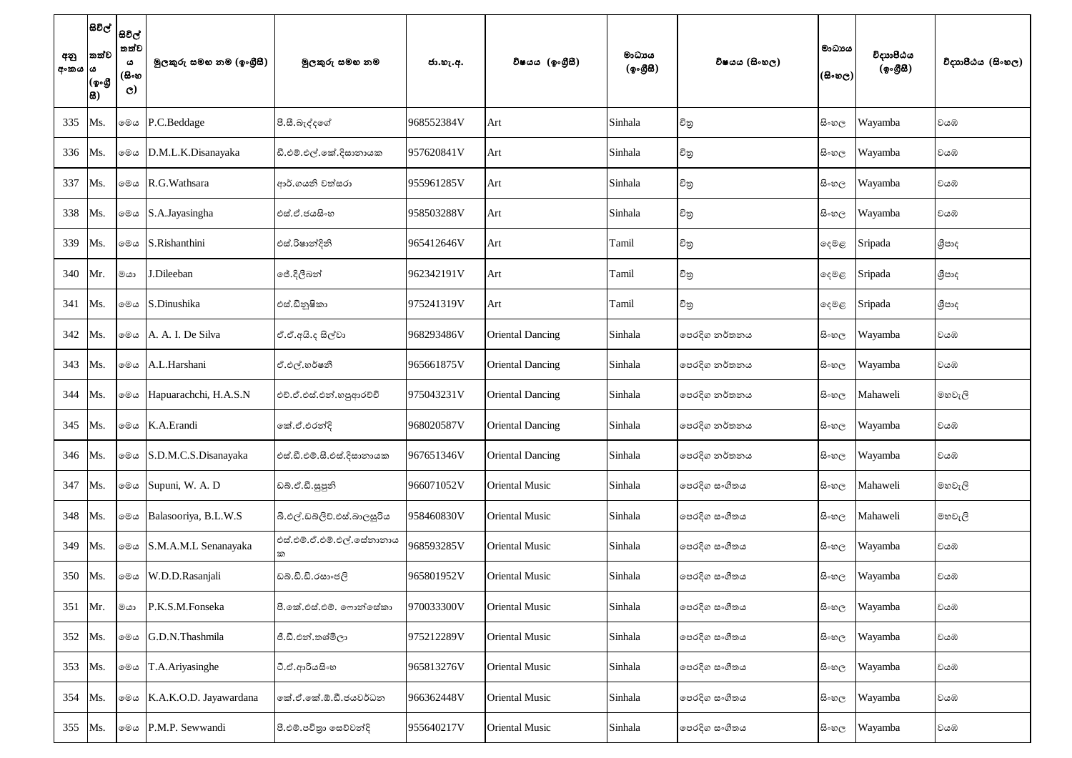| අනු<br>අංකය  ය | සිවිල්  <br>තත්ව<br>(ඉංගී<br> සි) | සිවිල්<br>තත්ව<br>ය<br>(සිංහ<br>$\mathbf{C}$ | මුලකුරු සමහ නම (ඉංගුීසී) | මුලකුරු සමහ නම              | ජා.හැ.අ.   | විෂයය (ඉංගීසී)          | මාධායය<br>(ඉංගීසී) | විෂයය (සිංහල) | මාධායය<br>$(\mathbb{B}\circ\mathfrak{v}_\mathbb{C})$ | විදාහපීඨය<br>(ඉංගීසී) | විදාහපීඨය (සිංහල) |
|----------------|-----------------------------------|----------------------------------------------|--------------------------|-----------------------------|------------|-------------------------|--------------------|---------------|------------------------------------------------------|-----------------------|-------------------|
| 335            | Ms.                               |                                              | මෙය P.C.Beddage          | පී.සී.බැද්දගේ               | 968552384V | Art                     | Sinhala            | චිතු          | සි∘හල                                                | Wayamba               | වයඹ               |
| 336            | Ms.                               | මෙය                                          | D.M.L.K.Disanayaka       | ඩී.එම්.එල්.කේ.දිසානායක      | 957620841V | Art                     | Sinhala            | චිතු          | සි∘හල                                                | Wayamba               | වයඹ               |
| 337            | Ms.                               | මෙය                                          | R.G. Wathsara            | ආර්.ගයනි වත්සරා             | 955961285V | Art                     | Sinhala            | චිතු          | සි∘හල                                                | Wayamba               | වයඹ               |
| 338            | Ms.                               | මෙය                                          | S.A.Jayasingha           | එස්.ඒ.ජයසිංහ                | 958503288V | Art                     | Sinhala            | චිනු          | සි∘හල                                                | Wayamba               | වයඹ               |
| 339            | Ms.                               | මෙය                                          | S.Rishanthini            | එස්.රිෂාන්දිනි              | 965412646V | Art                     | Tamil              | චිතු          | දෙමළ                                                 | Sripada               | ශීපාද             |
| 340            | Mr.                               | මයා                                          | J.Dileeban               | ් ජේ.දිලීබන්                | 962342191V | Art                     | Tamil              | චිතු          | දෙමළ                                                 | Sripada               | ශීපාද             |
| 341            | Ms.                               | මෙය                                          | S.Dinushika              | එස්.ඩිනුෂිකා                | 975241319V | Art                     | Tamil              | චිතු          | දෙමළ                                                 | Sripada               | ශීපාද             |
| 342            | Ms.                               | මෙය                                          | A. A. I. De Silva        | ඒ.ඒ.අයි.ද සිල්වා            | 968293486V | <b>Oriental Dancing</b> | Sinhala            | පෙරදිග නර්තනය | සි∘හල                                                | Wayamba               | වයඹ               |
| 343            | Ms.                               | මෙය                                          | A.L.Harshani             | ඒ.එල්.හර්ෂනී                | 965661875V | <b>Oriental Dancing</b> | Sinhala            | පෙරදිග නර්තනය | සි∘හල                                                | Wayamba               | වයඹ               |
| 344            | Ms.                               | මෙය                                          | Hapuarachchi, H.A.S.N    | එච්.ඒ.එස්.එන්.හපුආරච්චි     | 975043231V | <b>Oriental Dancing</b> | Sinhala            | පෙරදිග නර්තනය | සි∘හල                                                | Mahaweli              | මහවැලි            |
| 345            | Ms.                               | මෙය                                          | K.A.Erandi               | කේ.ඒ.එරන්දි                 | 968020587V | <b>Oriental Dancing</b> | Sinhala            | පෙරදිග නර්තනය | සි∘හල                                                | Wayamba               | වයඹ               |
| 346            | Ms.                               | මෙය                                          | S.D.M.C.S.Disanayaka     | එස්.ඩී.එම්.සී.එස්.දිසානායක  | 967651346V | <b>Oriental Dancing</b> | Sinhala            | පෙරදිග නර්තනය | සි∘හල                                                | Wayamba               | වයඹ               |
| 347            | Ms.                               |                                              | මை Supuni, W. A. D       | ඩබ්.ඒ.ඩී.සුපූනි             | 966071052V | <b>Oriental Music</b>   | Sinhala            | පෙරදිග සංගීතය | සි∘හල                                                | Mahaweli              | මහවැලි            |
| 348            | Ms.                               | මෙය                                          | Balasooriya, B.L.W.S     | බී.එල්.ඩබ්ලිව්.එස්.බාලසූරිය | 958460830V | <b>Oriental Music</b>   | Sinhala            | පෙරදිග සංගීතය | සි∘හල                                                | Mahaweli              | මහවැලි            |
| 349            | Ms.                               | මෙය                                          | S.M.A.M.L Senanayaka     | එස්.එම්.ඒ.එම්.එල්.සේනානාය   | 968593285V | <b>Oriental Music</b>   | Sinhala            | පෙරදිග සංගීතය | සි∘හල                                                | Wayamba               | වයඹ               |
| 350            | Ms.                               | මෙය                                          | W.D.D.Rasanjali          | ඩබ්.ඩී.ඩී.රසාංජලි           | 965801952V | <b>Oriental Music</b>   | Sinhala            | පෙරදිග සංගීතය | සි∘හල                                                | Wayamba               | වයඹ               |
| 351            | Mr.                               | මයා                                          | P.K.S.M.Fonseka          | පී.කේ.එස්.එම්. ෆොන්සේකා     | 970033300V | <b>Oriental Music</b>   | Sinhala            | පෙරදිග සංගීතය | සි∘හල                                                | Wayamba               | වයඹ               |
| 352            | Ms.                               | මෙය                                          | G.D.N.Thashmila          | ජී.ඩී.එන්.තශ්මිලා           | 975212289V | <b>Oriental Music</b>   | Sinhala            | පෙරදිග සංගීතය | සි∘හල                                                | Wayamba               | වයඹ               |
| 353            | Ms.                               | මෙය                                          | T.A.Ariyasinghe          | ටී.ඒ.ආරියසිංහ               | 965813276V | <b>Oriental Music</b>   | Sinhala            | පෙරදිග සංගීතය | සි∘හල                                                | Wayamba               | වයඹ               |
| 354            | Ms.                               | මෙය                                          | K.A.K.O.D. Jayawardana   | කේ.ඒ.කේ.ඕ.ඩී.ජයවර්ධන        | 966362448V | <b>Oriental Music</b>   | Sinhala            | පෙරදිග සංගීතය | සි∘හල                                                | Wayamba               | වයඹ               |
| 355            | Ms.                               | මෙය                                          | P.M.P. Sewwandi          | පී.එම්.පවිතා සෙව්වන්දි      | 955640217V | <b>Oriental Music</b>   | Sinhala            | පෙරදිග සංගීතය | සි∘හල                                                | Wayamba               | වයඹ               |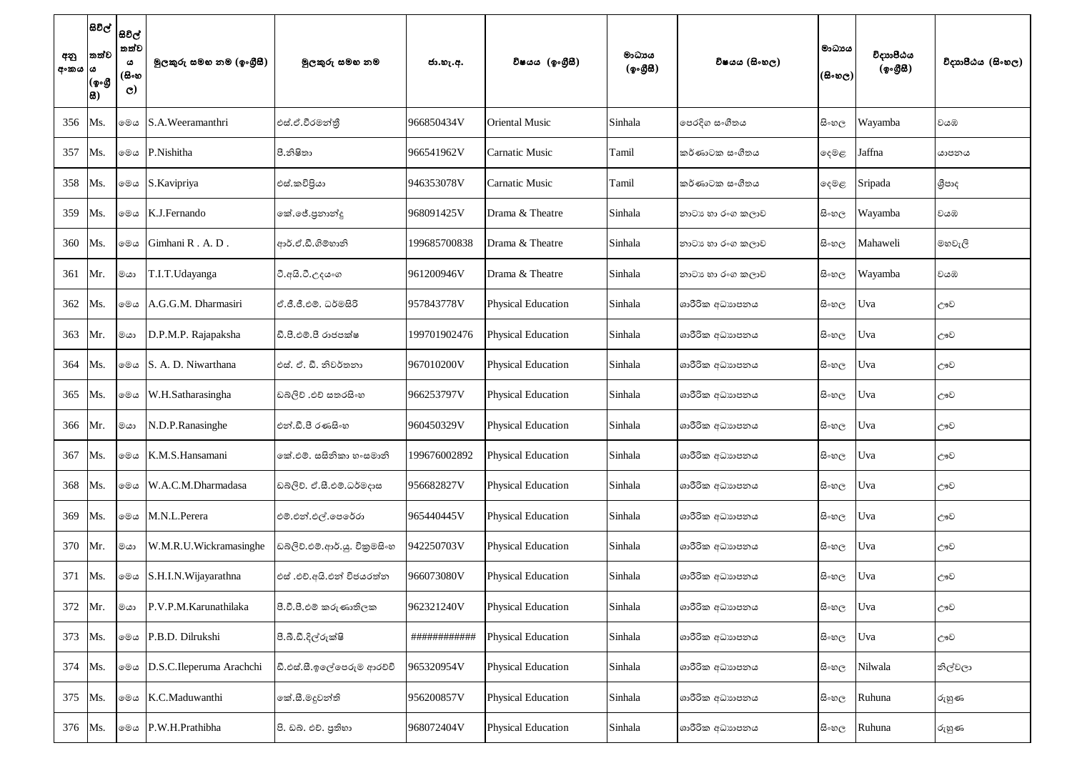| අනු<br>අංකය  ය | තත්ව<br>(ඉංගී<br>සි) | සිවිල්  <br>සවිල්  <br>තත්ව<br>ය<br>(සිංහ<br>$\mathbf{C}$ | මුලකුරු සමහ නම (ඉංගුීසී) | මූලකුරු සමහ නම                | ජා.හැ.අ.     | විෂයය (ඉංගීසී)            | මාධායය<br>(ඉංගීසී) | විෂයය (සිංහල)    | මාධාපය<br>$($ සිංහල) | විදාහපීඨය<br>(ඉංගීසී) | විදාහපීඨය (සිංහල) |
|----------------|----------------------|-----------------------------------------------------------|--------------------------|-------------------------------|--------------|---------------------------|--------------------|------------------|----------------------|-----------------------|-------------------|
| 356            | Ms.                  | මෙය                                                       | S.A.Weeramanthri         | එස්.ඒ.වීරමන්තී                | 966850434V   | <b>Oriental Music</b>     | Sinhala            | පෙරදිග සංගීතය    | සිංහල                | Wayamba               | වයඹ               |
| 357            | Ms.                  | මෙය                                                       | P.Nishitha               | පී.නිෂිතා                     | 966541962V   | <b>Carnatic Music</b>     | Tamil              | කර්ණාටක සංගීතය   | දෙමළ                 | Jaffna                | යාපනය             |
| 358            | Ms.                  | මෙය                                                       | S.Kavipriya              | එස්.කවිපියා                   | 946353078V   | <b>Carnatic Music</b>     | Tamil              | කර්ණාටක සංගීතය   | ඈමළ                  | Sripada               | ශීපාද             |
| 359            | Ms.                  | මෙය                                                       | K.J.Fernando             | කේ.ජේ.පුනාන්දු                | 968091425V   | Drama & Theatre           | Sinhala            | නාටා හා රංග කලාව | සි∘හල                | Wayamba               | වයඹ               |
| 360            | Ms.                  | මෙය                                                       | Gimhani R.A.D.           | ආර්.ඒ.ඩී.ගිම්හානි             | 199685700838 | Drama & Theatre           | Sinhala            | නාටා හා රංග කලාව | සි∘හල                | Mahaweli              | මහවැලි            |
| 361            | Mr.                  | මයා                                                       | T.I.T.Udayanga           | වී.අයි.ටී.උදය∘ග               | 961200946V   | Drama & Theatre           | Sinhala            | නාටා හා රංග කලාව | සි∘හල                | Wayamba               | වයඹ               |
| 362            | Ms.                  | මෙය                                                       | A.G.G.M. Dharmasiri      | ්.ජී.ජී.එම්. ධර්මසිරි         | 957843778V   | <b>Physical Education</b> | Sinhala            | ශාරීරික අධාහපනය  | සි∘හල                | Uva                   | ඌව                |
| 363            | Mr.                  | මයා                                                       | D.P.M.P. Rajapaksha      | ඩී.පී.එම්.පී රාජපක්ෂ          | 199701902476 | <b>Physical Education</b> | Sinhala            | ශාරීරික අධාහපනය  | සි∘හල                | Uva                   | ඌව                |
| 364            | Ms.                  | මෙය                                                       | S. A. D. Niwarthana      | එස්. ඒ. ඩී. නිවර්තනා          | 967010200V   | <b>Physical Education</b> | Sinhala            | ශාරීරික අධාහපනය  | සි∘හල                | Uva                   | ඌව                |
| 365            | Ms.                  | මෙය                                                       | W.H.Satharasingha        | ඩබ්ලිව් .එච් සතරසිංහ          | 966253797V   | <b>Physical Education</b> | Sinhala            | ශාරීරික අධාහපනය  | සි∘හල                | Uva                   | ඌව                |
| 366            | Mr.                  | මයා                                                       | N.D.P.Ranasinghe         | එන්.ඩී.පී රණසිංහ              | 960450329V   | <b>Physical Education</b> | Sinhala            | ශාරීරික අධාහපනය  | සි∘හල                | Uva                   | ඌව                |
| 367            | Ms.                  | මෙය                                                       | K.M.S.Hansamani          | කේ.එම්. සසිනිකා හංසමානි       | 199676002892 | <b>Physical Education</b> | Sinhala            | ශාරීරික අධාහපනය  | සි∘හල                | Uva                   | ඌව                |
| 368            | Ms.                  | මෙය                                                       | W.A.C.M.Dharmadasa       | ඩබ්ලිව්. ඒ.සී.එම්.ධර්මදාස     | 956682827V   | <b>Physical Education</b> | Sinhala            | ශාරීරික අධාහපනය  | සි∘හල                | Uva                   | ඌව                |
| 369            | Ms.                  | මෙය                                                       | M.N.L.Perera             | එම්.එන්.එල්.පෙරේරා            | 965440445V   | <b>Physical Education</b> | Sinhala            | ශාරීරික අධාහපනය  | සි∘හල                | Uva                   | ඌව                |
| 370            | Mr.                  | මයා                                                       | W.M.R.U.Wickramasinghe   | ඩබ්ලිව්.එම්.ආර්.යූ. විකුමසිංහ | 942250703V   | Physical Education        | Sinhala            | ශාරීරික අධාහපනය  | සි∘හල                | Uva                   | ඌව                |
| 371            | Ms.                  | මෙය                                                       | S.H.I.N. Wijayarathna    | එස් .එච්.අයි.එන් විජයරත්ත     | 966073080V   | <b>Physical Education</b> | Sinhala            | ශාරීරික අධාහපනය  | සි∘හල                | Uva                   | ඌව                |
| 372            | Mr.                  | මයා                                                       | P.V.P.M. Karunathilaka   | පී.වී.පී.එම් කරුණාතිලක        | 962321240V   | <b>Physical Education</b> | Sinhala            | ශාරීරික අධාහපනය  | සි∘හල                | Uva                   | ඌව                |
| 373            | Ms.                  | මෙය                                                       | P.B.D. Dilrukshi         | පී.බී.ඩී.දිල්රුක්ෂි           | ############ | <b>Physical Education</b> | Sinhala            | ශාරීරික අධාහපනය  | සි∘හල                | Uva                   | ඌව                |
| 374            | Ms.                  | මෙය                                                       | D.S.C.Ileperuma Arachchi | ඩී.එස්.සී.ඉලේපෙරුම ආරච්චි     | 965320954V   | <b>Physical Education</b> | Sinhala            | ශාරීරික අධාහපනය  | සි∘හල                | Nilwala               | නිල්වලා           |
| 375            | Ms.                  | මෙය                                                       | K.C.Maduwanthi           | කේ.සී.මදූවන්ති                | 956200857V   | <b>Physical Education</b> | Sinhala            | ශාරීරික අධාහපනය  | සි∘හල                | Ruhuna                | රුහුණ             |
| 376            | Ms.                  | මෙය                                                       | P.W.H.Prathibha          | පි. ඩබ්. එච්. පුතිහා          | 968072404V   | <b>Physical Education</b> | Sinhala            | ශාරීරික අධාහපනය  | සි∘හල                | Ruhuna                | රුහුණ             |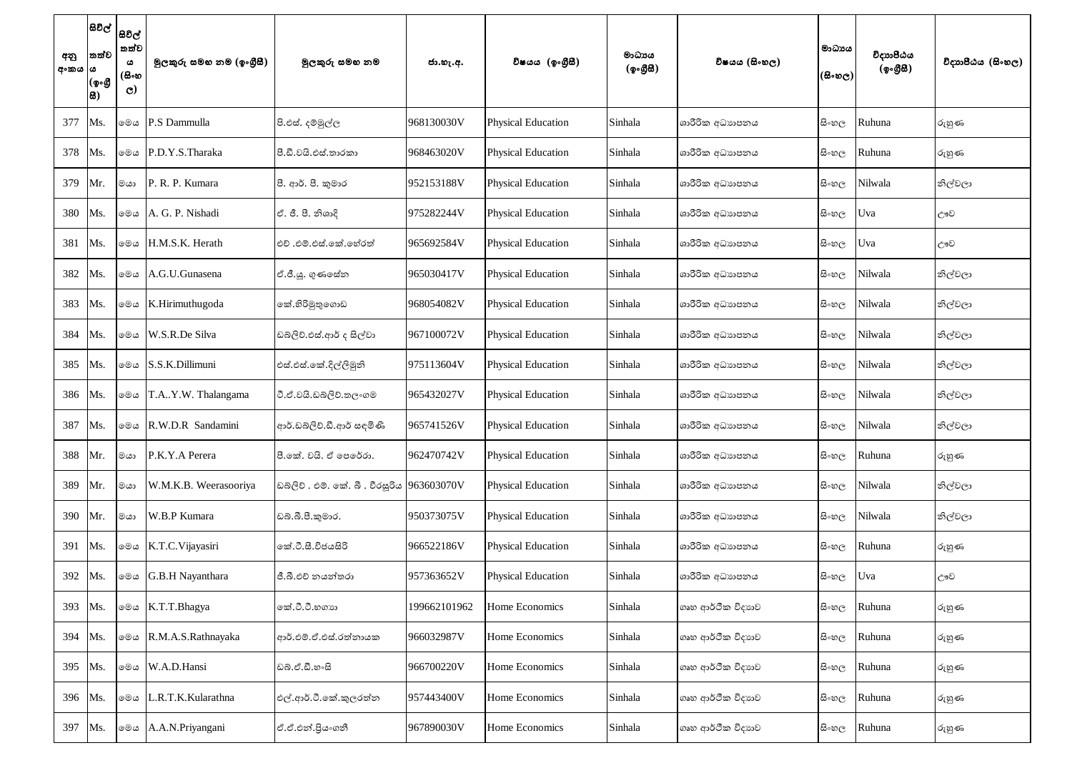| අනු<br>අංකය  ය | සිවිල්  <br> සවිල්  <br>තත්ව<br>(ඉංගී<br>සි) | තත්ව<br>ය<br>(සිංහ<br>$\mathbf{C}$ | මූලකුරු සමහ නම (ඉංගුීසී) | මූලකුරු සමහ නම                            | ජා.හැ.අ.     | විෂයය (ඉංගීසී)            | මාධායය<br>(ඉංගීසී) | විෂයය (සිංහල)     | මාධායය<br>$(\mathbb{B}\circ\mathfrak{v}_\mathbb{C})$ | විදාාාපීඨය<br>(ඉංගීසී) | විදාහපීඨය (සිංහල) |
|----------------|----------------------------------------------|------------------------------------|--------------------------|-------------------------------------------|--------------|---------------------------|--------------------|-------------------|------------------------------------------------------|------------------------|-------------------|
| 377            | Ms.                                          | මෙය                                | P.S Dammulla             | පි.එස්. දම්මුල්ල                          | 968130030V   | <b>Physical Education</b> | Sinhala            | ශාරීරික අධාහපනය   | සි∘හල                                                | Ruhuna                 | රුහුණ             |
| 378            | Ms.                                          | මෙය                                | P.D.Y.S.Tharaka          | පි.ඩී.වයි.එස්.තාරකා                       | 968463020V   | <b>Physical Education</b> | Sinhala            | ශාරීරික අධාහපනය   | සි∘හල                                                | Ruhuna                 | රුහුණ             |
| 379            | Mr.                                          | මයා                                | P. R. P. Kumara          | පී. ආර්. පී. කුමාර                        | 952153188V   | <b>Physical Education</b> | Sinhala            | ශාරීරික අධාහපනය   | සි∘හල                                                | Nilwala                | නිල්වලා           |
| 380            | Ms.                                          | මෙය                                | A. G. P. Nishadi         | ඒ. ජී. පී. නිශාදි                         | 975282244V   | <b>Physical Education</b> | Sinhala            | ශාරීරික අධාහපනය   | සි∘හල                                                | Uva                    | ඌව                |
| 381            | Ms.                                          | මෙය                                | H.M.S.K. Herath          | එච් .එම්.එස්.කේ.හේරත්                     | 965692584V   | <b>Physical Education</b> | Sinhala            | ශාරීරික අධාහපනය   | සි∘හල                                                | Uva                    | ඌව                |
| 382            | Ms.                                          | මෙය                                | A.G.U.Gunasena           | ඒ.ජී.ශූ. ගුණසේන                           | 965030417V   | <b>Physical Education</b> | Sinhala            | ශාරීරික අධාහපනය   | සි∘හල                                                | Nilwala                | නිල්වලා           |
| 383            | Ms.                                          | මෙය                                | K.Hirimuthugoda          | කේ.හිරිමුතුගොඩ                            | 968054082V   | <b>Physical Education</b> | Sinhala            | ශාරීරික අධාහපනය   | සි∘හල                                                | Nilwala                | නිල්වලා           |
| 384            | Ms.                                          | මෙය                                | W.S.R.De Silva           | ඩබ්ලිව්.එස්.ආර් ද සිල්වා                  | 967100072V   | <b>Physical Education</b> | Sinhala            | ශාරීරික අධාහපනය   | සිංහල                                                | Nilwala                | නිල්වලා           |
| 385            | Ms.                                          | මෙය                                | S.S.K.Dillimuni          | එස්.එස්.කේ.දිල්ලිමුනි                     | 975113604V   | <b>Physical Education</b> | Sinhala            | ශාරීරික අධාහපනය   | සි∘හල                                                | Nilwala                | නිල්වලා           |
| 386            | Ms.                                          | මෙය                                | T.AY.W. Thalangama       | ටී.ඒ.වයි.ඩබ්ලිව්.තලංගම                    | 965432027V   | <b>Physical Education</b> | Sinhala            | ශාරීරික අධාහපනය   | සි∘හල                                                | Nilwala                | නිල්වලා           |
| 387            | Ms.                                          | මෙය                                | R.W.D.R Sandamini        | ආර්.ඩබ්ලිව්.ඩී.ආර් සඳමිණි                 | 965741526V   | <b>Physical Education</b> | Sinhala            | ශාරීරික අධාහපනය   | සි∘හල                                                | Nilwala                | නිල්වලා           |
| 388            | Mr.                                          | මයා                                | P.K.Y.A Perera           | පී.කේ. වයි. ඒ පෙරේරා.                     | 962470742V   | <b>Physical Education</b> | Sinhala            | ශාරීරික අධාහපනය   | සි∘හල                                                | Ruhuna                 | රුහුණ             |
| 389            | Mr.                                          | මයා                                | W.M.K.B. Weerasooriya    | ඩබලිව . එම්. කේ. බී . වීරසුරිය 963603070V |              | <b>Physical Education</b> | Sinhala            | ශාරීරික අධාහපනය   | සි∘හල                                                | Nilwala                | නිල්වලා           |
| 390            | Mr.                                          | මයා                                | W.B.P Kumara             | ඩබ්.බී.පී.කුමාර.                          | 950373075V   | <b>Physical Education</b> | Sinhala            | ශාරීරික අධාහපනය   | සි∘හල                                                | Nilwala                | නිල්වලා           |
| 391            | Ms.                                          | මෙය                                | K.T.C.Vijayasiri         | කේ.ටී.සී.විජයසිරි                         | 966522186V   | <b>Physical Education</b> | Sinhala            | ශාරීරික අධාහපනය   | සි∘හල                                                | Ruhuna                 | රුහුණ             |
| 392            | Ms.                                          | මෙය                                | G.B.H Nayanthara         | ජී.බී.එච් නයන්තරා                         | 957363652V   | <b>Physical Education</b> | Sinhala            | ශාරීරික අධාහපනය   | සි∘හල                                                | Uva                    | ඌව                |
| 393            | Ms.                                          | මෙය                                | K.T.T.Bhagya             | කේ.ටී.ටී.හගාහ                             | 199662101962 | Home Economics            | Sinhala            | ගෘහ ආර්ථික විදාහව | සි∘හල                                                | Ruhuna                 | රුහුණ             |
| 394            | Ms.                                          | මෙය                                | R.M.A.S.Rathnayaka       | ආර්.එම්.ඒ.එස්.රත්නායක                     | 966032987V   | Home Economics            | Sinhala            | ගෘහ ආර්ථික විදාහව | සි∘හල                                                | Ruhuna                 | රුහුණ             |
| 395            | Ms.                                          | මෙය                                | W.A.D.Hansi              | ඩබ්.ඒ.ඩී.හංසි                             | 966700220V   | Home Economics            | Sinhala            | ගෘහ ආර්ථික විදාහව | සි∘හල                                                | Ruhuna                 | රුහුණ             |
| 396            | Ms.                                          | මෙය                                | L.R.T.K.Kularathna       | එල්.ආර්.ටී.කේ.කුලරත්න                     | 957443400V   | Home Economics            | Sinhala            | ගෘහ ආර්ථික විදාහව | සි∘හල                                                | Ruhuna                 | රුහුණ             |
| 397            | Ms.                                          | මෙය                                | A.A.N.Priyangani         | ඒ.ඒ.එන්.පියංගනී                           | 967890030V   | Home Economics            | Sinhala            | ගෘහ ආර්ථික විදාහව | සි∘හල                                                | Ruhuna                 | රුහුණ             |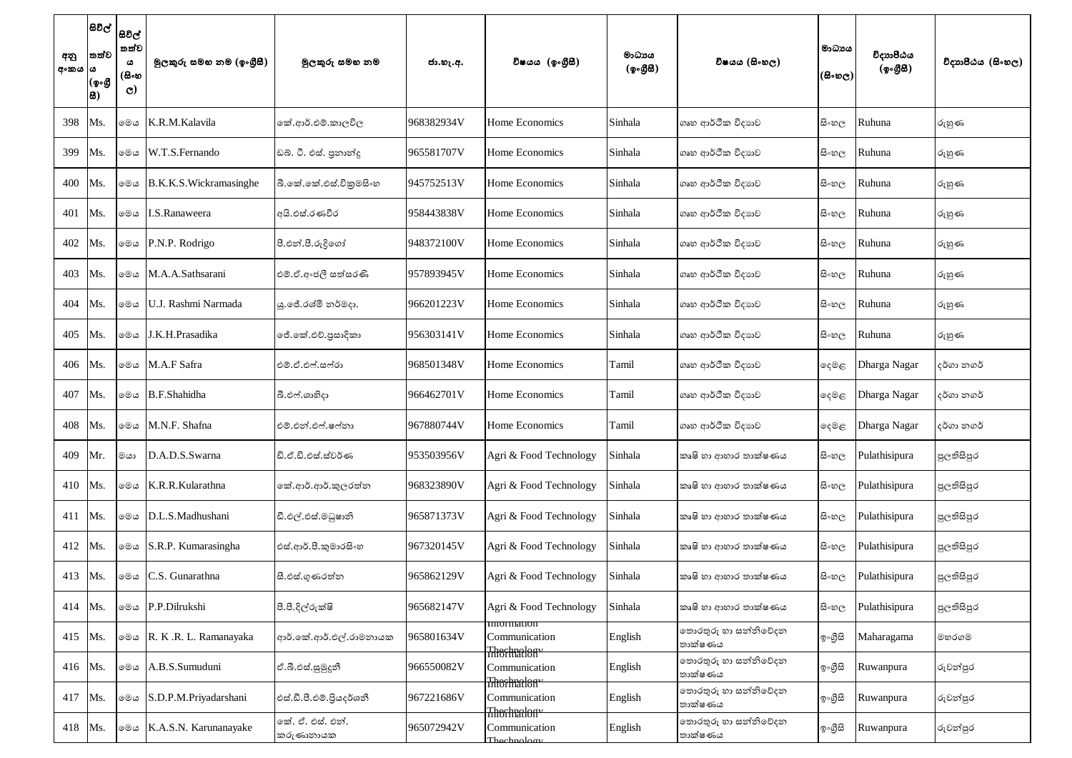| අනු<br>අංකය  ය | තත්ව<br>(ඉංගී<br>සි) | සිවිල්  <br>සවිල්  <br>තත්ව<br>ය<br>(සිංහ<br>$\mathbf{C}$ | මූලකුරු සමහ නම (ඉංගුීසී) | මූලකුරු සමහ නම                 | ජා.හැ.අ.   | විෂයය (ඉංගීුසී)                             | මාධායය<br>(ඉංගීසි) | විෂයය (සිංහල)                   | ්මාධායය<br>(සිංහල) | විදාාාපීඨය<br>(ඉංගීසී) | විදාහපීඨය (සිංහල) |
|----------------|----------------------|-----------------------------------------------------------|--------------------------|--------------------------------|------------|---------------------------------------------|--------------------|---------------------------------|--------------------|------------------------|-------------------|
| 398            | Ms.                  | මෙය                                                       | K.R.M.Kalavila           | කේ.ආර්.එම්.කාලවිල              | 968382934V | Home Economics                              | Sinhala            | ගෘහ ආර්ථික විදාහව               | සි∘හල              | Ruhuna                 | රුහුණ             |
| 399            | Ms.                  | මෙය                                                       | W.T.S.Fernando           | ඩබ්. ටී. එස්. පුනාන්දු         | 965581707V | Home Economics                              | Sinhala            | ගෘහ ආර්ථික විදාහව               | සි∘හල              | Ruhuna                 | රුහුණ             |
| 400            | Ms.                  | මෙය                                                       | B.K.K.S.Wickramasinghe   | බී.කේ.කේ.එස්.විකුමසිංහ         | 945752513V | Home Economics                              | Sinhala            | ගෘහ ආර්ථික විදාහව               | සි∘හල              | Ruhuna                 | රුහුණ             |
| 401            | Ms.                  | මෙය                                                       | I.S.Ranaweera            | අයි.එස්.රණවීර                  | 958443838V | Home Economics                              | Sinhala            | ගෘහ ආර්ථික විදාහව               | සි∘හල              | Ruhuna                 | රුහුණ             |
| 402            | Ms.                  | මෙය                                                       | P.N.P. Rodrigo           | පී.එන්.පී.රුදිගෝ               | 948372100V | Home Economics                              | Sinhala            | ගෘහ ආර්ථික විදාහව               | සි∘හල              | Ruhuna                 | රුහුණ             |
| 403            | Ms.                  | මෙය                                                       | M.A.A.Sathsarani         | එම්.ඒ.අංජලී සත්සරණි            | 957893945V | Home Economics                              | Sinhala            | ගෘහ ආර්ථික විදාහව               | සි∘හල              | Ruhuna                 | රුහුණ             |
| 404            | Ms.                  | මෙය                                                       | U.J. Rashmi Narmada      | ශු.ජේ.රශ්මි නර්මදා.            | 966201223V | Home Economics                              | Sinhala            | ගෘහ ආර්ථික විදාහව               | සි∘හල              | Ruhuna                 | රුහුණ             |
| 405            | Ms.                  | මෙය                                                       | J.K.H.Prasadika          | මේ.කේ.එච්.පුසාදිකා             | 956303141V | Home Economics                              | Sinhala            | ගෘහ ආර්ථික විදාහව               | සි∘හල              | Ruhuna                 | රුහුණ             |
| 406            | Ms.                  | මෙය                                                       | M.A.F Safra              | එම්.ඒ.එෆ්.සෆ්රා                | 968501348V | Home Economics                              | Tamil              | ගෘහ ආර්ථික විදාහව               | ඈමළ                | Dharga Nagar           | දර්ගා නගර්        |
| 407            | Ms.                  | මෙය                                                       | B.F.Shahidha             | බී.එෆ්.ශාහිදා                  | 966462701V | Home Economics                              | Tamil              | ගෘහ ආර්ථික විදාහව               | ඈමළ                | Dharga Nagar           | දර්ගා නගර්        |
| 408            | Ms.                  | මෙය                                                       | M.N.F. Shafna            | එම්.එන්.එෆ්.ෂෆ්නා              | 967880744V | Home Economics                              | Tamil              | ගෘහ ආර්ථික විදාහව               | ඈමළ                | Dharga Nagar           | දර්ගා නගර්        |
| 409            | Mr.                  | මයා                                                       | D.A.D.S.Swarna           | ඩි.ඒ.ඩි.එස්.ස්වර්ණ             | 953503956V | Agri & Food Technology                      | Sinhala            | කෘෂි හා ආහාර තාක්ෂණය            | සි∘හල              | Pulathisipura          | පුලතිසිපුර        |
| 410            | Ms.                  | මෙය                                                       | K.R.R.Kularathna         | කේ.ආර්.ආර්.කුලරත්න             | 968323890V | Agri & Food Technology                      | Sinhala            | කෘෂි හා ආහාර තාක්ෂණය            | සි∘හල              | Pulathisipura          | පුලතිසිපුර        |
| 411            | Ms.                  | මෙය                                                       | D.L.S.Madhushani         | ඩී.එල්.එස්.මධූෂානි             | 965871373V | Agri & Food Technology                      | Sinhala            | කෘෂි හා ආහාර තාක්ෂණය            | සි∘හල              | Pulathisipura          | පුලතිසිපුර        |
| 412            | Ms.                  | මෙය                                                       | S.R.P. Kumarasingha      | එස්.ආර්.පී.කුමාරසිංහ           | 967320145V | Agri & Food Technology                      | Sinhala            | කෘෂි හා ආහාර තාක්ෂණය            | සි∘හල              | Pulathisipura          | පුලතිසිපුර        |
| 413            | Ms.                  | මෙය                                                       | C.S. Gunarathna          | සී.එස්.ගුණරත්න                 | 965862129V | Agri & Food Technology                      | Sinhala            | කෘෂි හා ආහාර තාක්ෂණය            | සි∘හල              | Pulathisipura          | පුලතිසිපුර        |
| 414            | Ms.                  | මෙය                                                       | P.P.Dilrukshi            | පී.පී.දිල්රුක්ෂි               | 965682147V | Agri & Food Technology                      | Sinhala            | කෘෂි හා ආහාර තාක්ෂණය            | සි∘හල              | Pulathisipura          | පුලතිසිපුර        |
| 415            | Ms.                  | මෙය                                                       | R. K.R. L. Ramanayaka    | ආර්.කේ.ආර්.එල්.රාමනායක         | 965801634V | Information<br>Communication                | English            | තොරතුරු හා සන්නිවේදන<br>තාක්ෂණය | ඉංගුිසි            | Maharagama             | මහරගම             |
| 416            | Ms.                  | මෙය                                                       | A.B.S.Sumuduni           | ඒ.බී.එස්.සුමූදූනී              | 966550082V | Thormalon <sup>v</sup><br>Communication     | English            | තොරතුරු හා සන්නිවේදන<br>තාක්ෂණය | ඉංගුිසි            | Ruwanpura              | රුවන්පුර          |
| 417            | Ms.                  | මෙය                                                       | S.D.P.M.Priyadarshani    | එස්.ඩී.පී.එම්.පියදර්ශනී        | 967221686V | Thormalon <sup>"</sup><br>Communication     | English            | තොරතුරු හා සන්නිවේදන<br>තාක්ෂණය | ඉංගීසි             | Ruwanpura              | රුවන්පුර          |
| 418            | Ms.                  | මෙය                                                       | K.A.S.N. Karunanayake    | ෙක්. ඒ. එස්. එන්.<br>කරුණානායක | 965072942V | Thormalon"<br>Communication<br>The chnolaay | English            | තොරතුරු හා සන්නිවේදන<br>තාක්ෂණය | ඉ∘ගීුසි            | Ruwanpura              | රුවන්පුර          |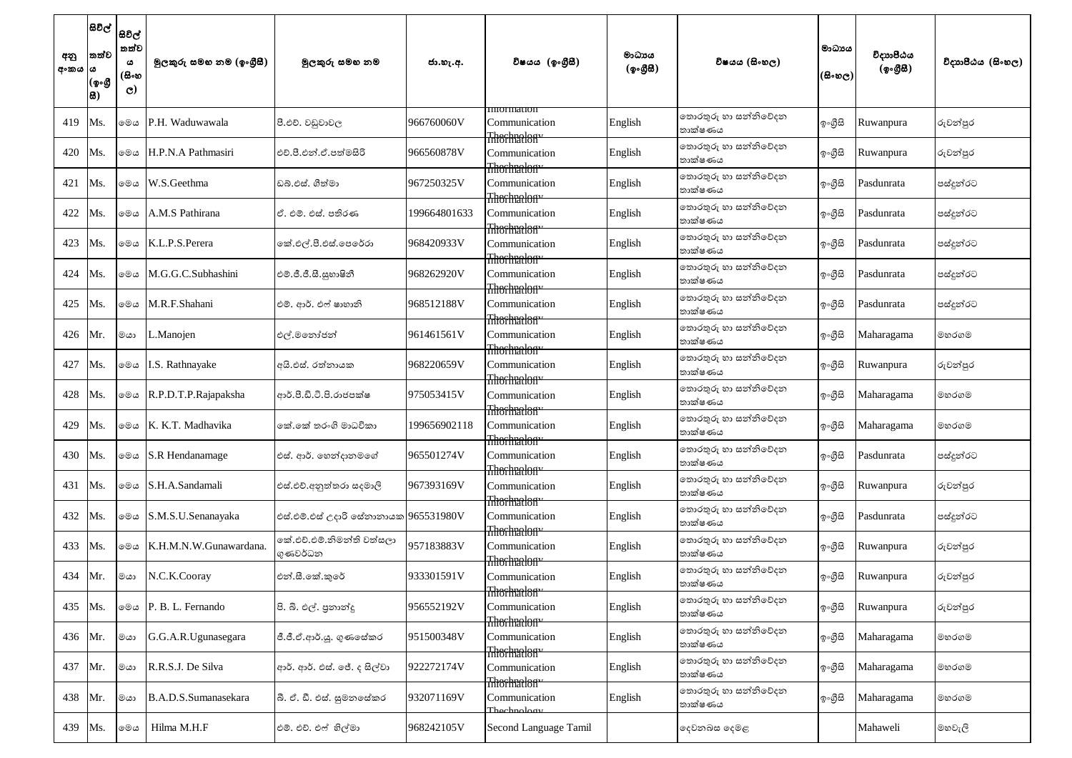| අනු<br>අංකය  ය | සිවිල්  <br>තත්ව<br>(ඉංගී<br>品) | සිවිල්<br>තත්ව<br>ය<br>(සිංහ<br>$\mathbf{C}$ | මූලකුරු සමහ නම (ඉංගීුසී) | මූලකුරු සමහ නම                        | ජා.හැ.අ.     | විෂයය (ඉංගීසී)                                         | මාධාපය<br>(ඉංගීසී) | විෂයය (සිංහල)                   | මාධායය<br>(සිංහල) | විදාහපීඨය<br>(ඉංගීසී) | විදාහපීඨය (සිංහල) |
|----------------|---------------------------------|----------------------------------------------|--------------------------|---------------------------------------|--------------|--------------------------------------------------------|--------------------|---------------------------------|-------------------|-----------------------|-------------------|
| 419            | Ms.                             | මෙය                                          | P.H. Waduwawala          | පී.එච්. වඩුවාවල                       | 966760060V   | <b>Information</b><br>Communication                    | English            | තොරතුරු හා සන්නිවේදන<br>තාක්ෂණය | ඉංගීසි            | Ruwanpura             | රුවන්පුර          |
| 420            | Ms.                             | මෙය                                          | H.P.N.A Pathmasiri       | එච්.පී.එන්.ඒ.පත්මසිරි                 | 966560878V   | Thormalon<br>Communication<br>Thormalon <sup>v</sup>   | English            | තොරතුරු හා සන්නිවේදන<br>තාක්ෂණය | ඉංගුිසි           | Ruwanpura             | රුවන්පුර          |
| 421            | Ms.                             | මෙය                                          | W.S.Geethma              | ඩබ්.එස්. ගීත්මා                       | 967250325V   | Communication<br>Thorhialon <sup>v</sup>               | English            | තොරතුරු හා සන්නිවේදන<br>තාක්ෂණය | ඉංගීසි            | Pasdunrata            | පස්දුන්රට         |
| 422            | Ms.                             | මෙය                                          | A.M.S Pathirana          | ඒ. එම්. එස්. පතිරණ                    | 199664801633 | Communication<br>Theshralon"                           | English            | තොරතුරු හා සන්නිවේදන<br>තාක්ෂණය | ඉංගීසි            | Pasdunrata            | පස්දූන්රට         |
| 423            | Ms.                             | මෙය                                          | K.L.P.S.Perera           | කේ.එල්.පී.එස්.පෙරේරා                  | 968420933V   | Communication<br>Theshralon"                           | English            | තොරතුරු හා සන්නිවේදන<br>තාක්ෂණය | ඉංගුිසි           | Pasdunrata            | පස්දුන්රට         |
| 424            | Ms.                             | මෙය                                          | M.G.G.C.Subhashini       | එම්.ජී.ජී.සී.සුභාෂිනී                 | 968262920V   | Communication<br>Thorhialon <sup>v</sup>               | English            | තොරතුරු හා සන්නිවේදන<br>තාක්ෂණය | ඉංගුිසි           | Pasdunrata            | පස්දුන්රට         |
| 425            | Ms.                             | මෙය                                          | M.R.F.Shahani            | එම්. ආර්. එෆ් ෂාහානි                  | 968512188V   | Communication<br>Thormalon <sup>v</sup>                | English            | තොරතුරු හා සන්නිවේදන<br>තාක්ෂණය | ඉංගුිසි           | Pasdunrata            | පස්දූන්රට         |
| 426            | Mr.                             | මයා                                          | L.Manojen                | එල්.මතෝජන්                            | 961461561V   | Communication<br>Thormalony                            | English            | තොරතුරු හා සන්නිවේදන<br>තාක්ෂණය | ඉංගුිසි           | Maharagama            | මහරගම             |
| 427            | Ms.                             | මෙය                                          | I.S. Rathnayake          | අයි.එස්. රත්නායක                      | 968220659V   | Communication<br>Thechnalon <sup>v</sup>               | English            | තොරතුරු හා සන්නිවේදන<br>තාක්ෂණය | ඉංගීසි            | Ruwanpura             | රුවන්පුර          |
| 428            | Ms.                             | මෙය                                          | R.P.D.T.P.Rajapaksha     | ආර්.පී.ඩී.ටී.පී.රාජපක්ෂ               | 975053415V   | Communication                                          | English            | තොරතුරු හා සන්නිවේදන<br>තාක්ෂණය | ඉංගීසි            | Maharagama            | මහරගම             |
| 429            | Ms.                             | මෙය                                          | K. K.T. Madhavika        | නේ.කේ තරංගි මාධවිකා                   | 199656902118 | Thormalon"<br>Communication<br>Thormalon <sup>y</sup>  | English            | තොරතුරු හා සන්නිවේදන<br>තාක්ෂණය | ඉංගීසි            | Maharagama            | මහරගම             |
| 430            | Ms.                             | මෙය                                          | <b>S.R.</b> Hendanamage  | එස්. ආර්. හෙන්දානමගේ                  | 965501274V   | Communication<br>Thechnalon <sup>y</sup>               | English            | තොරතුරු හා සන්නිවේදන<br>තාක්ෂණය | ඉංගීසි            | Pasdunrata            | පස්දුන්රට         |
| 431            | Ms.                             | මෙය                                          | S.H.A.Sandamali          | එස්.එච්.අනුත්තරා සදමාලි               | 967393169V   | Communication                                          | English            | තොරතුරු හා සන්නිවේදන<br>තාක්ෂණය | ඉංගීසි            | Ruwanpura             | රුවන්පුර          |
| 432            | Ms.                             | මෙය                                          | S.M.S.U.Senanayaka       | එස්.එම්.එස් උදාරි සේනානායක 965531980V |              | Thormalon<br>Communication                             | English            | තොරතුරු හා සන්නිවේදන<br>තාක්ෂණය | ඉංගුිසි           | Pasdunrata            | පස්දුන්රට         |
| 433            | Ms.                             | මෙය                                          | K.H.M.N.W.Gunawardana.   | කේ.එච්.එම්.නිමන්ති වත්සලා<br>ගුණවර්ධන | 957183883V   | Thormalon"<br>Communication<br>Thorhialon <sup>v</sup> | English            | තොරතුරු හා සන්නිවේදන<br>තාක්ෂණය | ඉංගීසි            | Ruwanpura             | රුවන්පුර          |
| 434            | Mr.                             | මයා                                          | N.C.K.Cooray             | එන්.සී.කේ.කුරේ                        | 933301591V   | Communication<br>Thoshnalon <sup>y</sup>               | English            | තොරතුරු හා සන්නිවේදන<br>තාක්ෂණය | ඉංගීසි            | Ruwanpura             | රුවන්පුර          |
| 435            | Ms.                             | මෙය                                          | P. B. L. Fernando        | 8ි. බී. එල්. පුනාන්දු                 | 956552192V   | Communication                                          | English            | තොරතුරු හා සන්නිවේදන<br>තාක්ෂණය | ඉංගීසි            | Ruwanpura             | රුවන්පුර          |
| 436            | Mr.                             | මයා                                          | G.G.A.R.Ugunasegara      | ජී.ජී.ඒ.ආර්.යූ. ගුණසේකර               | 951500348V   | Thoshpalony<br>Communication                           | English            | තොරතුරු හා සන්නිවේදන<br>තාක්ෂණය | ඉංගීසි            | Maharagama            | මහරගම             |
| 437            | Mr.                             | මයා                                          | R.R.S.J. De Silva        | ආර්. ආර්. එස්. ජේ. ද සිල්වා           | 922272174V   | Thorhialon <sup>v</sup><br>Communication               | English            | තොරතුරු හා සන්නිවේදන<br>තාක්ෂණය | ඉංගීසි            | Maharagama            | මහරගම             |
| 438            | Mr.                             | මයා                                          | B.A.D.S.Sumanasekara     | බී. ඒ. ඩී. එස්. සුමනසේකර              | 932071169V   | Thormalon"<br>Communication<br>تەملەممەت<br>تەملە      | English            | තොරතුරු හා සන්නිවේදන<br>තාක්ෂණය | ඉංගීසි            | Maharagama            | මහරගම             |
| 439            | Ms.                             | මෙය                                          | Hilma M.H.F              | එම්. එච්. එෆ් හිල්මා                  | 968242105V   | Second Language Tamil                                  |                    | දෙවනබස දෙමළ                     |                   | Mahaweli              | මහවැලි            |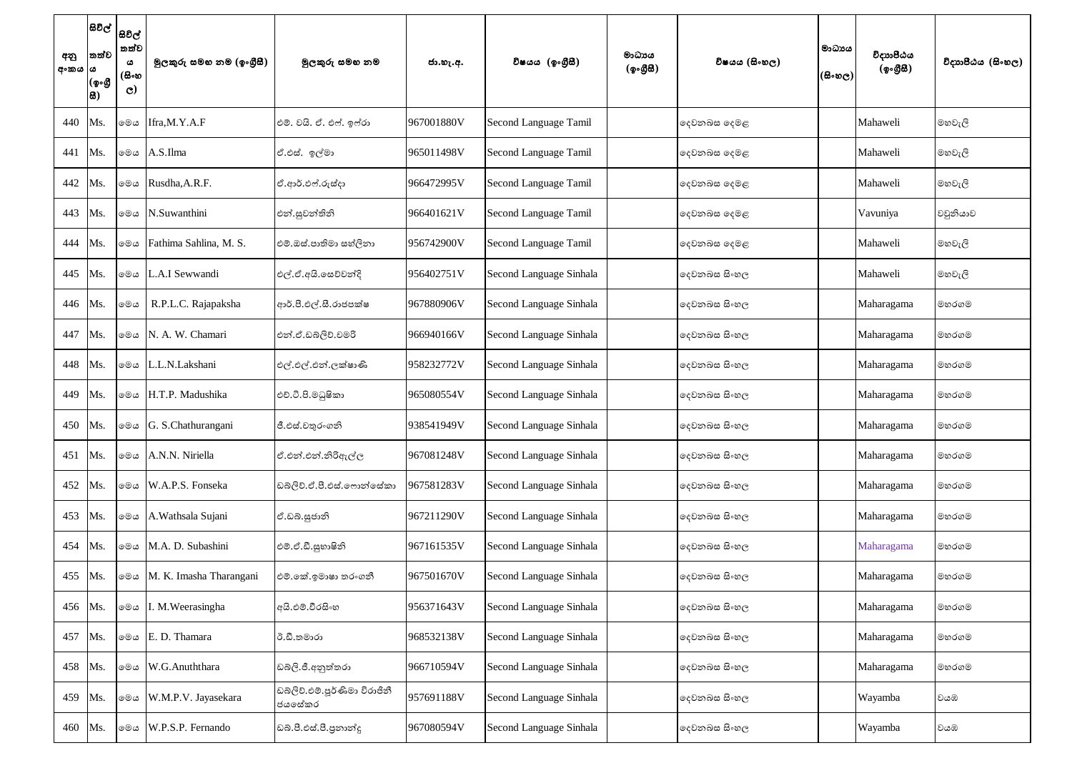| අනු<br>  අංකය  ය | තත්ව<br>(ඉංගී<br>සි) | සිවිල්  <br>සවිල්  <br>තත්ව<br>ය<br>(සිංහ<br>$\mathbf{C}$ | මූලකුරු සමහ නම (ඉංගීසී) | මූලකුරු සමහ නම                          | ජා.හැ.අ.   | විෂයය (ඉංගීසී)          | මාධායය<br>(ඉංගීසී) | විෂයය (සිංහල) | මාධායය<br>(සිංහල) | විදාහපීඨය<br>(ඉංගීසී) | විදාහපීඨය (සිංහල) |
|------------------|----------------------|-----------------------------------------------------------|-------------------------|-----------------------------------------|------------|-------------------------|--------------------|---------------|-------------------|-----------------------|-------------------|
| 440              | Ms.                  | මෙය                                                       | Ifra, M.Y.A.F           | එම්. වයි. ඒ. එෆ්. ඉෆ්රා                 | 967001880V | Second Language Tamil   |                    | දෙවනබස දෙමළ   |                   | Mahaweli              | මහවැලි            |
| 441              | Ms.                  | මෙය                                                       | A.S.Ilma                | ඒ.එස්. ඉල්මා                            | 965011498V | Second Language Tamil   |                    | දෙවනබස දෙමළ   |                   | Mahaweli              | මහවැලි            |
| 442              | Ms.                  | මෙය                                                       | Rusdha, A.R.F.          | ඒ.ආර්.ඵෆ්.රුස්දා                        | 966472995V | Second Language Tamil   |                    | දෙවනබස දෙමළ   |                   | Mahaweli              | මහවැලි            |
| 443              | Ms.                  | මෙය                                                       | N.Suwanthini            | එන්.සුවන්තිනි                           | 966401621V | Second Language Tamil   |                    | දෙවනබස දෙමළ   |                   | Vavuniya              | වවුනියාව          |
| 444              | Ms.                  | මෙය                                                       | Fathima Sahlina, M. S.  | එම්.ඔස්.පාතිමා සහ්ලිනා                  | 956742900V | Second Language Tamil   |                    | දෙවනබස දෙමළ   |                   | Mahaweli              | මහවැලි            |
| 445              | Ms.                  | මෙය                                                       | L.A.I Sewwandi          | එල්.ඒ.අයි.සෙව්වන්දි                     | 956402751V | Second Language Sinhala |                    | දෙවනබස සිංහල  |                   | Mahaweli              | මහවැලි            |
| 446              | Ms.                  | මෙය                                                       | R.P.L.C. Rajapaksha     | ආර්.පී.එල්.සී.රාජපක්ෂ                   | 967880906V | Second Language Sinhala |                    | දෙවනබස සිංහල  |                   | Maharagama            | මහරගම             |
| 447              | Ms.                  | මෙය                                                       | N. A. W. Chamari        | එන්.ඒ.ඩබ්ලිව්.චමරි                      | 966940166V | Second Language Sinhala |                    | දෙවනබස සිංහල  |                   | Maharagama            | මහරගම             |
| 448              | Ms.                  | මෙය                                                       | L.L.N.Lakshani          | එල්.එල්.එන්.ලක්ෂාණි                     | 958232772V | Second Language Sinhala |                    | දෙවනබස සිංහල  |                   | Maharagama            | මහරගම             |
| 449              | Ms.                  | මෙය                                                       | H.T.P. Madushika        | එච්.ටී.පි.මධුෂිකා                       | 965080554V | Second Language Sinhala |                    | දෙවනබස සිංහල  |                   | Maharagama            | මහරගම             |
| 450              | Ms.                  | මෙය                                                       | G. S.Chathurangani      | ජී.එස්.චතුරංගනි                         | 938541949V | Second Language Sinhala |                    | දෙවනබස සිංහල  |                   | Maharagama            | මහරගම             |
| 451              | Ms.                  | මෙය                                                       | A.N.N. Niriella         | ඒ.එන්.එන්.නිරිඇල්ල                      | 967081248V | Second Language Sinhala |                    | දෙවනබස සිංහල  |                   | Maharagama            | මහරගම             |
| 452              | Ms.                  | මෙය                                                       | W.A.P.S. Fonseka        | ඩබ්ලිව්.ඒ.පී.එස්.ෆොන්සේකා               | 967581283V | Second Language Sinhala |                    | දෙවනබස සිංහල  |                   | Maharagama            | මහරගම             |
| 453              | Ms.                  | මෙය                                                       | A. Wathsala Sujani      | ඒ.ඩබ්.සූජානි                            | 967211290V | Second Language Sinhala |                    | දෙවනබස සිංහල  |                   | Maharagama            | මහරගම             |
| 454              | Ms.                  | මෙය                                                       | M.A. D. Subashini       | එම්.ඒ.ඩී.සුහාෂිනි                       | 967161535V | Second Language Sinhala |                    | දෙවනබස සිංහල  |                   | Maharagama            | මහරගම             |
| 455              | Ms.                  | මෙය                                                       | M. K. Imasha Tharangani | එම්.කේ.ඉමාෂා තරංගනී                     | 967501670V | Second Language Sinhala |                    | දෙවනබස සිංහල  |                   | Maharagama            | මහරගම             |
| 456              | Ms.                  | මෙය                                                       | I. M. Weerasingha       | අයි.එම්.වීරසිංහ                         | 956371643V | Second Language Sinhala |                    | දෙවනබස සිංහල  |                   | Maharagama            | මහරගම             |
| 457              | Ms.                  | මෙය                                                       | E. D. Thamara           | ඊ.ඩී.තමාරා                              | 968532138V | Second Language Sinhala |                    | දෙවනබස සිංහල  |                   | Maharagama            | මහරගම             |
| 458              | Ms.                  | මෙය                                                       | W.G.Anuththara          | ඩබ්ලි.ජී.අනුත්තරා                       | 966710594V | Second Language Sinhala |                    | දෙවනබස සිංහල  |                   | Maharagama            | මහරගම             |
| 459              | Ms.                  | මෙය                                                       | W.M.P.V. Jayasekara     | ඩබ්ලිව්.එම්.පූර්ණිමා විරාජිනී<br>ජයසේකර | 957691188V | Second Language Sinhala |                    | දෙවනබස සිංහල  |                   | Wayamba               | වයඹ               |
| 460              | Ms.                  | මෙය                                                       | W.P.S.P. Fernando       | ඩබ්.පී.එස්.පී.පුනාන්දු                  | 967080594V | Second Language Sinhala |                    | දෙවනබස සිංහල  |                   | Wayamba               | වයඹ               |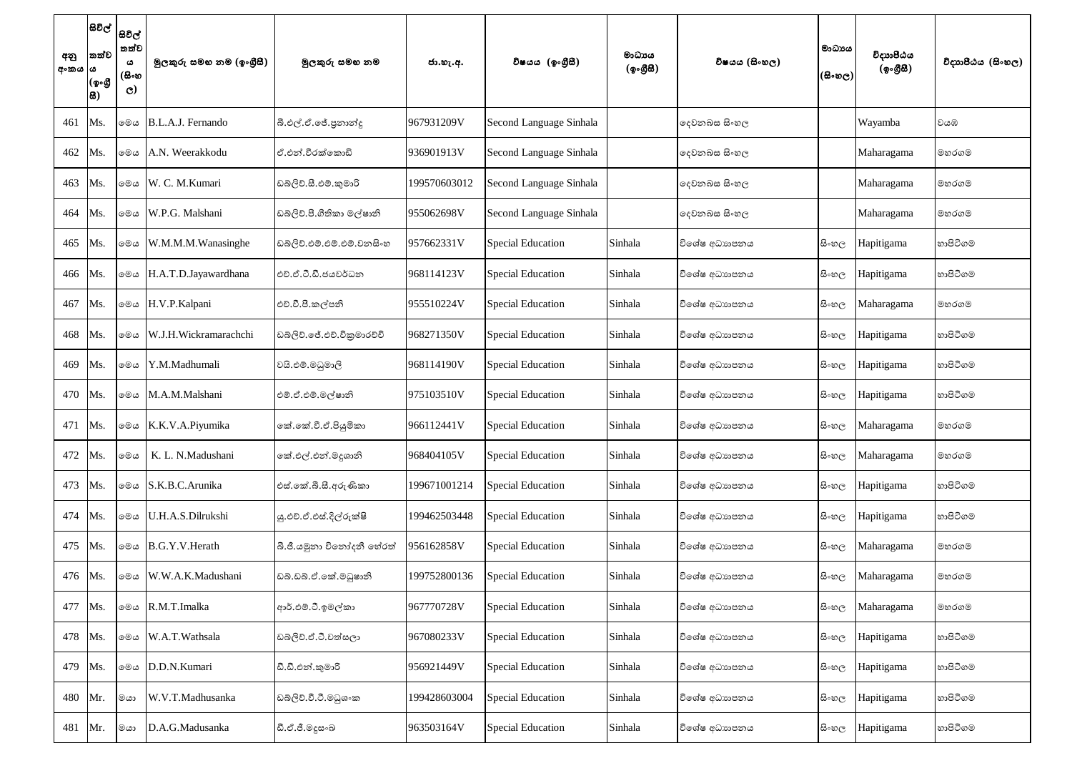| අනු<br>අංකය  ය | තත්ව<br>(ඉංගී<br>සි) | සිවිල්  <br>සවිල්  <br>තත්ව<br>ය<br>(සිංහ<br>$\mathbf{C}$ | මූලකුරු සමහ නම (ඉංගුීසී) | මූලකුරු සමහ නම             | ජා.හැ.අ.     | විෂයය (ඉංගීසී)           | මාධායය<br>(ඉංගීසී) | විෂයය (සිංහල) | මාධායය<br>(සිංහල)' | විදාහපීඨය<br>(ඉංගීසී) | විදාහපීඨය (සිංහල) |
|----------------|----------------------|-----------------------------------------------------------|--------------------------|----------------------------|--------------|--------------------------|--------------------|---------------|--------------------|-----------------------|-------------------|
| 461            | Ms.                  | මෙය                                                       | B.L.A.J. Fernando        | බී.එල්.ඒ.ජේ.පුනාන්දු       | 967931209V   | Second Language Sinhala  |                    | දෙවනබස සිංහල  |                    | Wayamba               | වයඹ               |
| 462            | Ms.                  | මෙය                                                       | A.N. Weerakkodu          | ඒ.එන්.වීරක්කොඩි            | 936901913V   | Second Language Sinhala  |                    | දෙවනබස සිංහල  |                    | Maharagama            | මහරගම             |
| 463            | Ms.                  | මෙය                                                       | W. C. M. Kumari          | ඩබ්ලිව්.සී.එම්.කුමාරි      | 199570603012 | Second Language Sinhala  |                    | දෙවනබස සිංහල  |                    | Maharagama            | මහරගම             |
| 464            | Ms.                  | මෙය                                                       | W.P.G. Malshani          | ඩබ්ලිව්.පී.ගීතිකා මල්ෂානි  | 955062698V   | Second Language Sinhala  |                    | දෙවනබස සිංහල  |                    | Maharagama            | මහරගම             |
| 465            | Ms.                  | මෙය                                                       | W.M.M.M.Wanasinghe       | ඩබ්ලිව්.එම්.එම්.එම්.වනසිංහ | 957662331V   | <b>Special Education</b> | Sinhala            | විශේෂ අධාහපනය | සි∘හල              | Hapitigama            | හාපිටිගම          |
| 466            | Ms.                  | මෙය                                                       | H.A.T.D.Jayawardhana     | එච්.ඒ.ටී.ඩී.ජයවර්ධන        | 968114123V   | Special Education        | Sinhala            | විශේෂ අධාහපනය | සිංහල              | Hapitigama            | හාපිටිගම          |
| 467            | Ms.                  | මෙය                                                       | H.V.P.Kalpani            | එච්.වී.පී.කල්පනි           | 955510224V   | Special Education        | Sinhala            | විශේෂ අධාහපනය | සි∘හල              | Maharagama            | මහරගම             |
| 468            | Ms.                  | මෙය                                                       | W.J.H.Wickramarachchi    | ඩබ්ලිව්.ජේ.එච්.විකුමාරච්චි | 968271350V   | Special Education        | Sinhala            | විශේෂ අධාහපනය | සිංහල              | Hapitigama            | හාපිටිගම          |
| 469            | Ms.                  | මෙය                                                       | Y.M.Madhumali            | වයි.එම්.මධුමාලි            | 968114190V   | <b>Special Education</b> | Sinhala            | විශේෂ අධාහපනය | සි∘හල              | Hapitigama            | හාපිටිගම          |
| 470            | Ms.                  | මෙය                                                       | M.A.M.Malshani           | එම්.ඒ.එම්.මල්ෂානි          | 975103510V   | Special Education        | Sinhala            | විශේෂ අධාහපනය | සි∘හල              | Hapitigama            | හාපිටිගම          |
| 471            | Ms.                  | මෙය                                                       | K.K.V.A.Piyumika         | කේ.කේ.වී.ඒ.පියුමිකා        | 966112441V   | <b>Special Education</b> | Sinhala            | විශේෂ අධාහපනය | සි∘හල              | Maharagama            | මහරගම             |
| 472            | Ms.                  | මෙය                                                       | K. L. N.Madushani        | කේ.එල්.එන්.මදුශානි         | 968404105V   | Special Education        | Sinhala            | විශේෂ අධාහපනය | සි∘හල              | Maharagama            | මහරගම             |
| 473            | Ms.                  | මෙය                                                       | S.K.B.C.Arunika          | එස්.කේ.බී.සී.අරුණිකා       | 199671001214 | <b>Special Education</b> | Sinhala            | විශේෂ අධාහපනය | සි∘හල              | Hapitigama            | හාපිටිගම          |
| 474            | Ms.                  | මෙය                                                       | U.H.A.S.Dilrukshi        | ශු.එච්.ඒ.එස්.දිල්රුක්ෂි    | 199462503448 | <b>Special Education</b> | Sinhala            | විශේෂ අධාහපනය | සි∘හල              | Hapitigama            | හාපිටිගම          |
| 475            | Ms.                  | මෙය                                                       | B.G.Y.V.Herath           | බී.ජී.යමුනා විනෝදනී හේරත්  | 956162858V   | <b>Special Education</b> | Sinhala            | විශේෂ අධාහපනය | සි∘හල              | Maharagama            | මහරගම             |
| 476            | Ms.                  | මෙය                                                       | W.W.A.K.Madushani        | ඩබ්.ඩබ්.ඒ.කේ.මධුෂානි       | 199752800136 | <b>Special Education</b> | Sinhala            | විශේෂ අධාහපනය | සි∘හල              | Maharagama            | මහරගම             |
| 477            | Ms.                  | මෙය                                                       | R.M.T.Imalka             | ආර්.එම්.ටී.ඉමල්කා          | 967770728V   | Special Education        | Sinhala            | විශේෂ අධාහපනය | සි∘හල              | Maharagama            | මහරගම             |
| 478            | Ms.                  | මෙය                                                       | W.A.T.Wathsala           | ඩබ්ලිව්.ඒ.ටී.වත්සලා        | 967080233V   | <b>Special Education</b> | Sinhala            | විශේෂ අධාහපනය | සි∘හල              | Hapitigama            | හාපිටිගම          |
| 479            | Ms.                  | මෙය                                                       | D.D.N.Kumari             | ඩී.ඩී.එන්.කුමාරි           | 956921449V   | <b>Special Education</b> | Sinhala            | විශේෂ අධාහපනය | සි∘හල              | Hapitigama            | හාපිටිගම          |
| 480            | Mr.                  | මයා                                                       | W.V.T.Madhusanka         | ඩබ්ලිව්.වී.ටී.මධුශංක       | 199428603004 | <b>Special Education</b> | Sinhala            | විශේෂ අධාහපනය | සි∘හල              | Hapitigama            | හාපිටිගම          |
| 481            | Mr.                  | මයා                                                       | D.A.G.Madusanka          | ඩී.ඒ.ජී.මදූසංඛ             | 963503164V   | <b>Special Education</b> | Sinhala            | විශේෂ අධාහපනය | සි∘හල              | Hapitigama            | හාපිටිගම          |